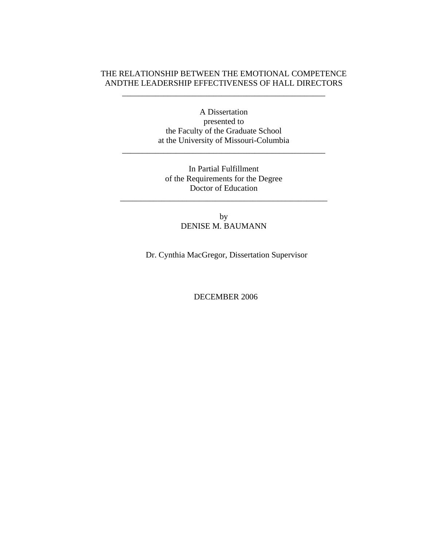# THE RELATIONSHIP BETWEEN THE EMOTIONAL COMPETENCE ANDTHE LEADERSHIP EFFECTIVENESS OF HALL DIRECTORS

\_\_\_\_\_\_\_\_\_\_\_\_\_\_\_\_\_\_\_\_\_\_\_\_\_\_\_\_\_\_\_\_\_\_\_\_\_\_\_\_\_\_\_\_\_\_\_\_\_

A Dissertation presented to the Faculty of the Graduate School at the University of Missouri-Columbia

\_\_\_\_\_\_\_\_\_\_\_\_\_\_\_\_\_\_\_\_\_\_\_\_\_\_\_\_\_\_\_\_\_\_\_\_\_\_\_\_\_\_\_\_\_\_\_\_\_

In Partial Fulfillment of the Requirements for the Degree Doctor of Education

\_\_\_\_\_\_\_\_\_\_\_\_\_\_\_\_\_\_\_\_\_\_\_\_\_\_\_\_\_\_\_\_\_\_\_\_\_\_\_\_\_\_\_\_\_\_\_\_\_\_

by DENISE M. BAUMANN

Dr. Cynthia MacGregor, Dissertation Supervisor

DECEMBER 2006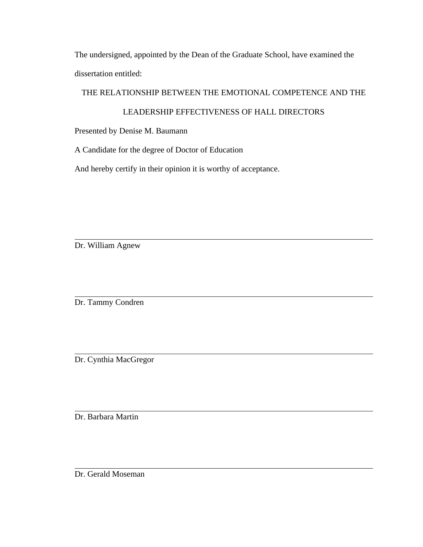The undersigned, appointed by the Dean of the Graduate School, have examined the dissertation entitled:

# THE RELATIONSHIP BETWEEN THE EMOTIONAL COMPETENCE AND THE

# LEADERSHIP EFFECTIVENESS OF HALL DIRECTORS

Presented by Denise M. Baumann

A Candidate for the degree of Doctor of Education

And hereby certify in their opinion it is worthy of acceptance.

Dr. William Agnew

Dr. Tammy Condren

Dr. Cynthia MacGregor

Dr. Barbara Martin

Dr. Gerald Moseman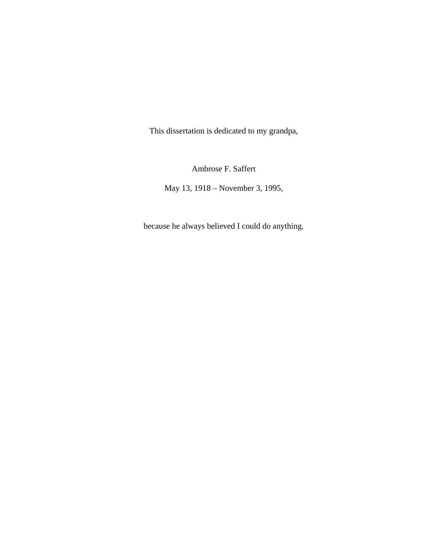This dissertation is dedicated to my grandpa,

Ambrose F. Saffert

May 13, 1918 – November 3, 1995,

because he always believed I could do anything.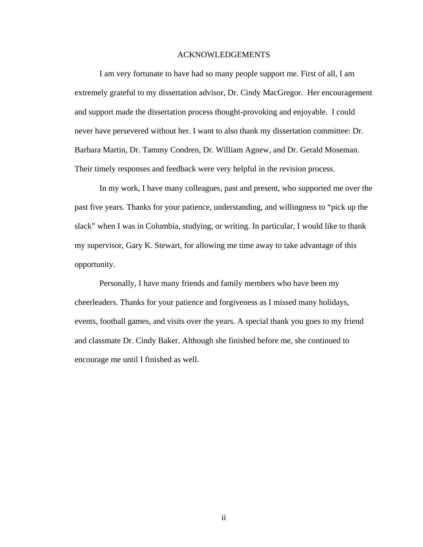#### ACKNOWLEDGEMENTS

 I am very fortunate to have had so many people support me. First of all, I am extremely grateful to my dissertation advisor, Dr. Cindy MacGregor. Her encouragement and support made the dissertation process thought-provoking and enjoyable. I could never have persevered without her. I want to also thank my dissertation committee: Dr. Barbara Martin, Dr. Tammy Condren, Dr. William Agnew, and Dr. Gerald Moseman. Their timely responses and feedback were very helpful in the revision process.

 In my work, I have many colleagues, past and present, who supported me over the past five years. Thanks for your patience, understanding, and willingness to "pick up the slack" when I was in Columbia, studying, or writing. In particular, I would like to thank my supervisor, Gary K. Stewart, for allowing me time away to take advantage of this opportunity.

 Personally, I have many friends and family members who have been my cheerleaders. Thanks for your patience and forgiveness as I missed many holidays, events, football games, and visits over the years. A special thank you goes to my friend and classmate Dr. Cindy Baker. Although she finished before me, she continued to encourage me until I finished as well.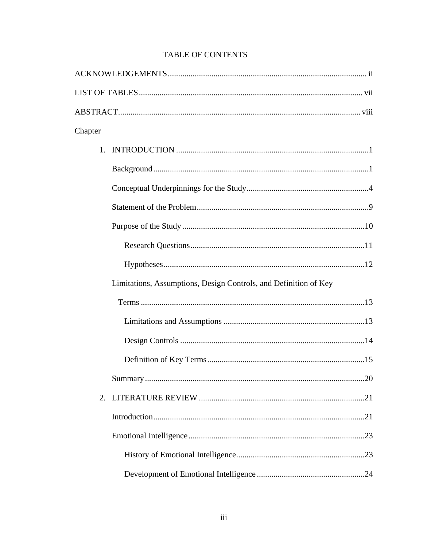| Chapter |                                                                  |
|---------|------------------------------------------------------------------|
|         |                                                                  |
|         |                                                                  |
|         |                                                                  |
|         |                                                                  |
|         |                                                                  |
|         |                                                                  |
|         |                                                                  |
|         | Limitations, Assumptions, Design Controls, and Definition of Key |
|         |                                                                  |
|         |                                                                  |
|         |                                                                  |
|         |                                                                  |
|         |                                                                  |
| 2.      |                                                                  |
|         |                                                                  |
|         |                                                                  |
|         |                                                                  |
|         |                                                                  |

# TABLE OF CONTENTS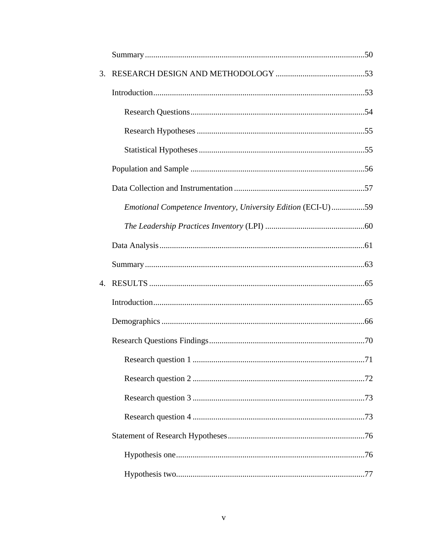| 3. |                                                              |  |
|----|--------------------------------------------------------------|--|
|    |                                                              |  |
|    |                                                              |  |
|    |                                                              |  |
|    |                                                              |  |
|    |                                                              |  |
|    |                                                              |  |
|    | Emotional Competence Inventory, University Edition (ECI-U)59 |  |
|    |                                                              |  |
|    |                                                              |  |
|    |                                                              |  |
|    |                                                              |  |
|    |                                                              |  |
|    |                                                              |  |
|    |                                                              |  |
|    |                                                              |  |
|    |                                                              |  |
|    |                                                              |  |
|    |                                                              |  |
|    |                                                              |  |
|    |                                                              |  |
|    |                                                              |  |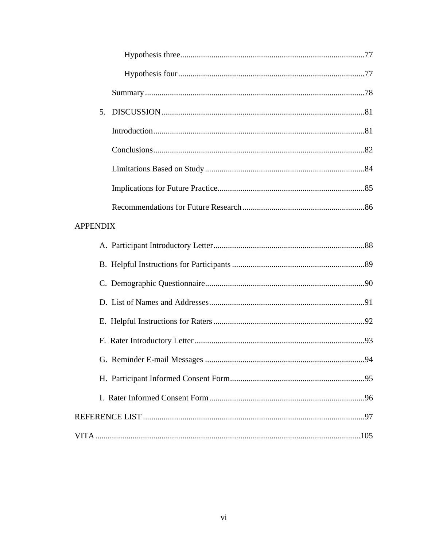| 5.              |  |
|-----------------|--|
|                 |  |
|                 |  |
|                 |  |
|                 |  |
|                 |  |
| <b>APPENDIX</b> |  |
|                 |  |
|                 |  |
|                 |  |
|                 |  |
|                 |  |
|                 |  |
|                 |  |
|                 |  |
|                 |  |
|                 |  |
|                 |  |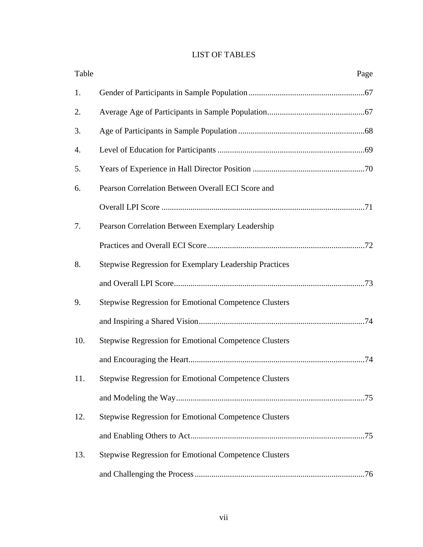# LIST OF TABLES

| Table | Page                                                         |
|-------|--------------------------------------------------------------|
| 1.    |                                                              |
| 2.    |                                                              |
| 3.    |                                                              |
| 4.    |                                                              |
| 5.    |                                                              |
| 6.    | Pearson Correlation Between Overall ECI Score and            |
|       |                                                              |
| 7.    | Pearson Correlation Between Exemplary Leadership             |
|       |                                                              |
| 8.    | Stepwise Regression for Exemplary Leadership Practices       |
|       |                                                              |
| 9.    | Stepwise Regression for Emotional Competence Clusters        |
|       |                                                              |
| 10.   | <b>Stepwise Regression for Emotional Competence Clusters</b> |
|       |                                                              |
| 11.   | Stepwise Regression for Emotional Competence Clusters        |
|       |                                                              |
| 12.   | <b>Stepwise Regression for Emotional Competence Clusters</b> |
|       |                                                              |
| 13.   | Stepwise Regression for Emotional Competence Clusters        |
|       |                                                              |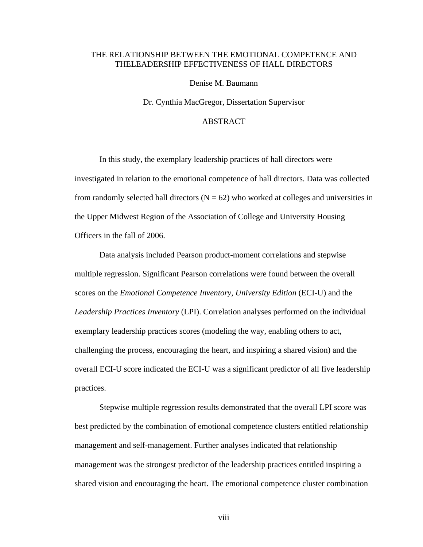## THE RELATIONSHIP BETWEEN THE EMOTIONAL COMPETENCE AND THELEADERSHIP EFFECTIVENESS OF HALL DIRECTORS

Denise M. Baumann

Dr. Cynthia MacGregor, Dissertation Supervisor

## ABSTRACT

 In this study, the exemplary leadership practices of hall directors were investigated in relation to the emotional competence of hall directors. Data was collected from randomly selected hall directors  $(N = 62)$  who worked at colleges and universities in the Upper Midwest Region of the Association of College and University Housing Officers in the fall of 2006.

 Data analysis included Pearson product-moment correlations and stepwise multiple regression. Significant Pearson correlations were found between the overall scores on the *Emotional Competence Inventory, University Edition* (ECI-U) and the *Leadership Practices Inventory* (LPI). Correlation analyses performed on the individual exemplary leadership practices scores (modeling the way, enabling others to act, challenging the process, encouraging the heart, and inspiring a shared vision) and the overall ECI-U score indicated the ECI-U was a significant predictor of all five leadership practices.

 Stepwise multiple regression results demonstrated that the overall LPI score was best predicted by the combination of emotional competence clusters entitled relationship management and self-management. Further analyses indicated that relationship management was the strongest predictor of the leadership practices entitled inspiring a shared vision and encouraging the heart. The emotional competence cluster combination

viii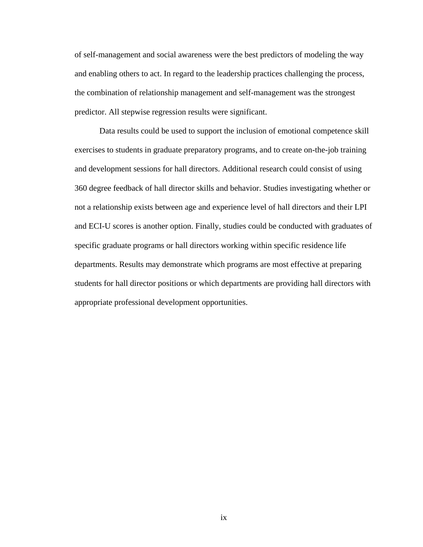of self-management and social awareness were the best predictors of modeling the way and enabling others to act. In regard to the leadership practices challenging the process, the combination of relationship management and self-management was the strongest predictor. All stepwise regression results were significant.

 Data results could be used to support the inclusion of emotional competence skill exercises to students in graduate preparatory programs, and to create on-the-job training and development sessions for hall directors. Additional research could consist of using 360 degree feedback of hall director skills and behavior. Studies investigating whether or not a relationship exists between age and experience level of hall directors and their LPI and ECI-U scores is another option. Finally, studies could be conducted with graduates of specific graduate programs or hall directors working within specific residence life departments. Results may demonstrate which programs are most effective at preparing students for hall director positions or which departments are providing hall directors with appropriate professional development opportunities.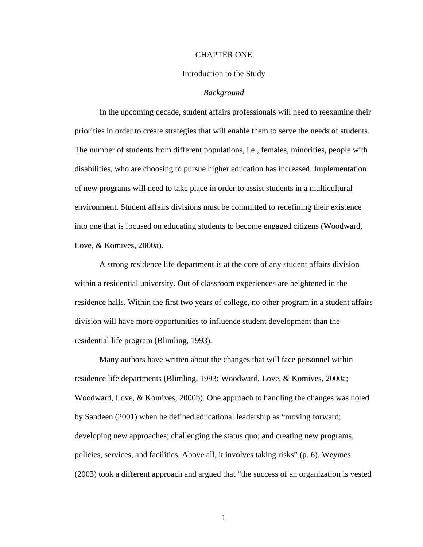#### CHAPTER ONE

#### Introduction to the Study

#### *Background*

 In the upcoming decade, student affairs professionals will need to reexamine their priorities in order to create strategies that will enable them to serve the needs of students. The number of students from different populations, i.e., females, minorities, people with disabilities, who are choosing to pursue higher education has increased. Implementation of new programs will need to take place in order to assist students in a multicultural environment. Student affairs divisions must be committed to redefining their existence into one that is focused on educating students to become engaged citizens (Woodward, Love, & Komives, 2000a).

 A strong residence life department is at the core of any student affairs division within a residential university. Out of classroom experiences are heightened in the residence halls. Within the first two years of college, no other program in a student affairs division will have more opportunities to influence student development than the residential life program (Blimling, 1993).

 Many authors have written about the changes that will face personnel within residence life departments (Blimling, 1993; Woodward, Love, & Komives, 2000a; Woodward, Love, & Komives, 2000b). One approach to handling the changes was noted by Sandeen (2001) when he defined educational leadership as "moving forward; developing new approaches; challenging the status quo; and creating new programs, policies, services, and facilities. Above all, it involves taking risks" (p. 6). Weymes (2003) took a different approach and argued that "the success of an organization is vested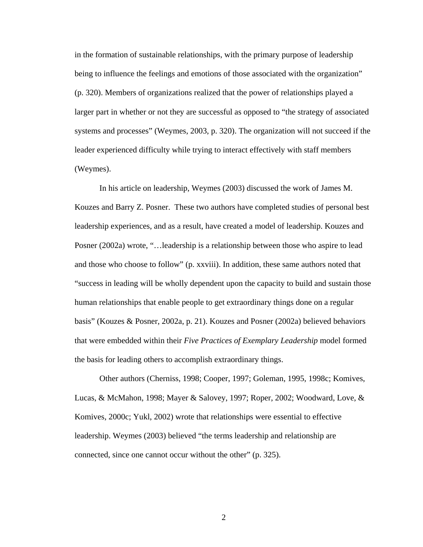in the formation of sustainable relationships, with the primary purpose of leadership being to influence the feelings and emotions of those associated with the organization" (p. 320). Members of organizations realized that the power of relationships played a larger part in whether or not they are successful as opposed to "the strategy of associated systems and processes" (Weymes, 2003, p. 320). The organization will not succeed if the leader experienced difficulty while trying to interact effectively with staff members (Weymes).

 In his article on leadership, Weymes (2003) discussed the work of James M. Kouzes and Barry Z. Posner. These two authors have completed studies of personal best leadership experiences, and as a result, have created a model of leadership. Kouzes and Posner (2002a) wrote, "…leadership is a relationship between those who aspire to lead and those who choose to follow" (p. xxviii). In addition, these same authors noted that "success in leading will be wholly dependent upon the capacity to build and sustain those human relationships that enable people to get extraordinary things done on a regular basis" (Kouzes & Posner, 2002a, p. 21). Kouzes and Posner (2002a) believed behaviors that were embedded within their *Five Practices of Exemplary Leadership* model formed the basis for leading others to accomplish extraordinary things.

 Other authors (Cherniss, 1998; Cooper, 1997; Goleman, 1995, 1998c; Komives, Lucas, & McMahon, 1998; Mayer & Salovey, 1997; Roper, 2002; Woodward, Love, & Komives, 2000c; Yukl, 2002) wrote that relationships were essential to effective leadership. Weymes (2003) believed "the terms leadership and relationship are connected, since one cannot occur without the other" (p. 325).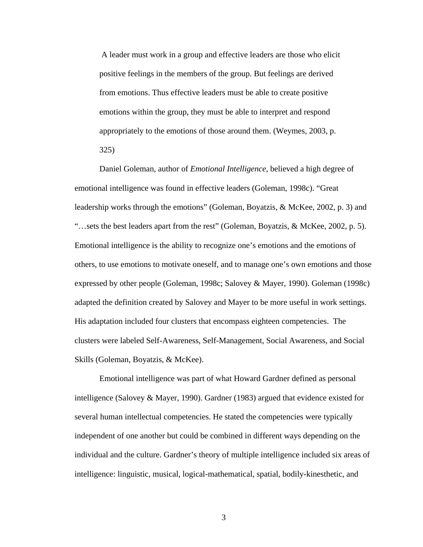A leader must work in a group and effective leaders are those who elicit positive feelings in the members of the group. But feelings are derived from emotions. Thus effective leaders must be able to create positive emotions within the group, they must be able to interpret and respond appropriately to the emotions of those around them. (Weymes, 2003, p. 325)

 Daniel Goleman, author of *Emotional Intelligence*, believed a high degree of emotional intelligence was found in effective leaders (Goleman, 1998c). "Great leadership works through the emotions" (Goleman, Boyatzis, & McKee, 2002, p. 3) and "…sets the best leaders apart from the rest" (Goleman, Boyatzis, & McKee, 2002, p. 5). Emotional intelligence is the ability to recognize one's emotions and the emotions of others, to use emotions to motivate oneself, and to manage one's own emotions and those expressed by other people (Goleman, 1998c; Salovey & Mayer, 1990). Goleman (1998c) adapted the definition created by Salovey and Mayer to be more useful in work settings. His adaptation included four clusters that encompass eighteen competencies. The clusters were labeled Self-Awareness, Self-Management, Social Awareness, and Social Skills (Goleman, Boyatzis, & McKee).

Emotional intelligence was part of what Howard Gardner defined as personal intelligence (Salovey & Mayer, 1990). Gardner (1983) argued that evidence existed for several human intellectual competencies. He stated the competencies were typically independent of one another but could be combined in different ways depending on the individual and the culture. Gardner's theory of multiple intelligence included six areas of intelligence: linguistic, musical, logical-mathematical, spatial, bodily-kinesthetic, and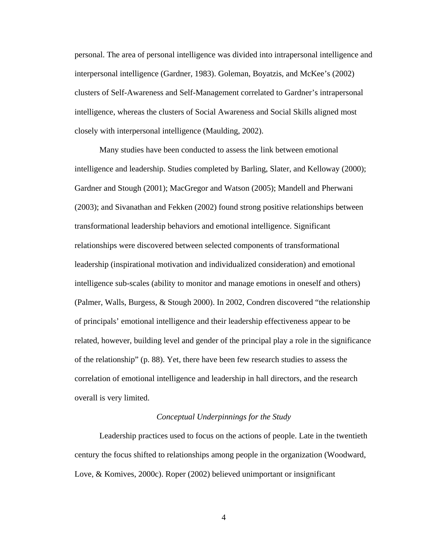personal. The area of personal intelligence was divided into intrapersonal intelligence and interpersonal intelligence (Gardner, 1983). Goleman, Boyatzis, and McKee's (2002) clusters of Self-Awareness and Self-Management correlated to Gardner's intrapersonal intelligence, whereas the clusters of Social Awareness and Social Skills aligned most closely with interpersonal intelligence (Maulding, 2002).

 Many studies have been conducted to assess the link between emotional intelligence and leadership. Studies completed by Barling, Slater, and Kelloway (2000); Gardner and Stough (2001); MacGregor and Watson (2005); Mandell and Pherwani (2003); and Sivanathan and Fekken (2002) found strong positive relationships between transformational leadership behaviors and emotional intelligence. Significant relationships were discovered between selected components of transformational leadership (inspirational motivation and individualized consideration) and emotional intelligence sub-scales (ability to monitor and manage emotions in oneself and others) (Palmer, Walls, Burgess, & Stough 2000). In 2002, Condren discovered "the relationship of principals' emotional intelligence and their leadership effectiveness appear to be related, however, building level and gender of the principal play a role in the significance of the relationship" (p. 88). Yet, there have been few research studies to assess the correlation of emotional intelligence and leadership in hall directors, and the research overall is very limited.

#### *Conceptual Underpinnings for the Study*

 Leadership practices used to focus on the actions of people. Late in the twentieth century the focus shifted to relationships among people in the organization (Woodward, Love, & Komives, 2000c). Roper (2002) believed unimportant or insignificant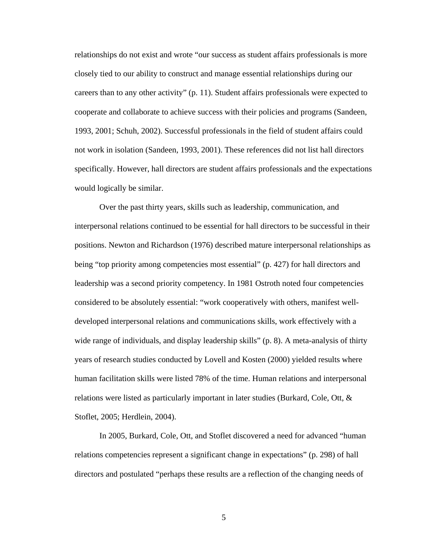relationships do not exist and wrote "our success as student affairs professionals is more closely tied to our ability to construct and manage essential relationships during our careers than to any other activity" (p. 11). Student affairs professionals were expected to cooperate and collaborate to achieve success with their policies and programs (Sandeen, 1993, 2001; Schuh, 2002). Successful professionals in the field of student affairs could not work in isolation (Sandeen, 1993, 2001). These references did not list hall directors specifically. However, hall directors are student affairs professionals and the expectations would logically be similar.

 Over the past thirty years, skills such as leadership, communication, and interpersonal relations continued to be essential for hall directors to be successful in their positions. Newton and Richardson (1976) described mature interpersonal relationships as being "top priority among competencies most essential" (p. 427) for hall directors and leadership was a second priority competency. In 1981 Ostroth noted four competencies considered to be absolutely essential: "work cooperatively with others, manifest welldeveloped interpersonal relations and communications skills, work effectively with a wide range of individuals, and display leadership skills" (p. 8). A meta-analysis of thirty years of research studies conducted by Lovell and Kosten (2000) yielded results where human facilitation skills were listed 78% of the time. Human relations and interpersonal relations were listed as particularly important in later studies (Burkard, Cole, Ott, & Stoflet, 2005; Herdlein, 2004).

 In 2005, Burkard, Cole, Ott, and Stoflet discovered a need for advanced "human relations competencies represent a significant change in expectations" (p. 298) of hall directors and postulated "perhaps these results are a reflection of the changing needs of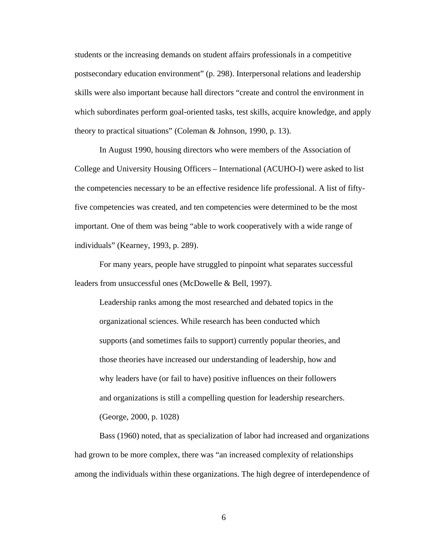students or the increasing demands on student affairs professionals in a competitive postsecondary education environment" (p. 298). Interpersonal relations and leadership skills were also important because hall directors "create and control the environment in which subordinates perform goal-oriented tasks, test skills, acquire knowledge, and apply theory to practical situations" (Coleman & Johnson, 1990, p. 13).

In August 1990, housing directors who were members of the Association of College and University Housing Officers – International (ACUHO-I) were asked to list the competencies necessary to be an effective residence life professional. A list of fiftyfive competencies was created, and ten competencies were determined to be the most important. One of them was being "able to work cooperatively with a wide range of individuals" (Kearney, 1993, p. 289).

 For many years, people have struggled to pinpoint what separates successful leaders from unsuccessful ones (McDowelle & Bell, 1997).

Leadership ranks among the most researched and debated topics in the organizational sciences. While research has been conducted which supports (and sometimes fails to support) currently popular theories, and those theories have increased our understanding of leadership, how and why leaders have (or fail to have) positive influences on their followers and organizations is still a compelling question for leadership researchers. (George, 2000, p. 1028)

Bass (1960) noted, that as specialization of labor had increased and organizations had grown to be more complex, there was "an increased complexity of relationships among the individuals within these organizations. The high degree of interdependence of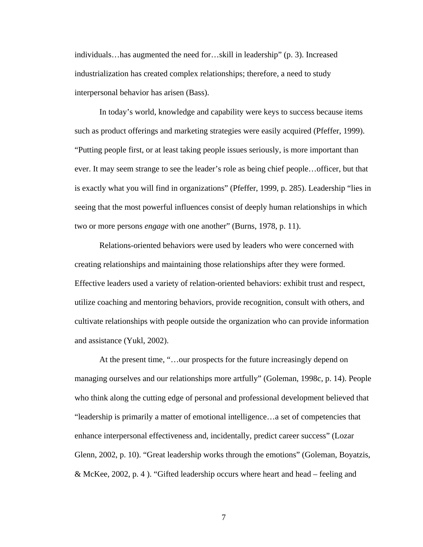individuals…has augmented the need for…skill in leadership" (p. 3). Increased industrialization has created complex relationships; therefore, a need to study interpersonal behavior has arisen (Bass).

In today's world, knowledge and capability were keys to success because items such as product offerings and marketing strategies were easily acquired (Pfeffer, 1999). "Putting people first, or at least taking people issues seriously, is more important than ever. It may seem strange to see the leader's role as being chief people…officer, but that is exactly what you will find in organizations" (Pfeffer, 1999, p. 285). Leadership "lies in seeing that the most powerful influences consist of deeply human relationships in which two or more persons *engage* with one another" (Burns, 1978, p. 11).

Relations-oriented behaviors were used by leaders who were concerned with creating relationships and maintaining those relationships after they were formed. Effective leaders used a variety of relation-oriented behaviors: exhibit trust and respect, utilize coaching and mentoring behaviors, provide recognition, consult with others, and cultivate relationships with people outside the organization who can provide information and assistance (Yukl, 2002).

At the present time, "…our prospects for the future increasingly depend on managing ourselves and our relationships more artfully" (Goleman, 1998c, p. 14). People who think along the cutting edge of personal and professional development believed that "leadership is primarily a matter of emotional intelligence…a set of competencies that enhance interpersonal effectiveness and, incidentally, predict career success" (Lozar Glenn, 2002, p. 10). "Great leadership works through the emotions" (Goleman, Boyatzis, & McKee, 2002, p. 4 ). "Gifted leadership occurs where heart and head – feeling and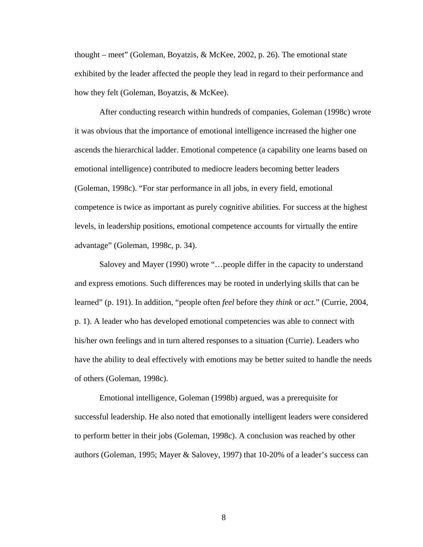thought – meet" (Goleman, Boyatzis, & McKee, 2002, p. 26). The emotional state exhibited by the leader affected the people they lead in regard to their performance and how they felt (Goleman, Boyatzis, & McKee).

After conducting research within hundreds of companies, Goleman (1998c) wrote it was obvious that the importance of emotional intelligence increased the higher one ascends the hierarchical ladder. Emotional competence (a capability one learns based on emotional intelligence) contributed to mediocre leaders becoming better leaders (Goleman, 1998c). "For star performance in all jobs, in every field, emotional competence is twice as important as purely cognitive abilities. For success at the highest levels, in leadership positions, emotional competence accounts for virtually the entire advantage" (Goleman, 1998c, p. 34).

Salovey and Mayer (1990) wrote "…people differ in the capacity to understand and express emotions. Such differences may be rooted in underlying skills that can be learned" (p. 191). In addition, "people often *feel* before they *think* or *act*." (Currie, 2004, p. 1). A leader who has developed emotional competencies was able to connect with his/her own feelings and in turn altered responses to a situation (Currie). Leaders who have the ability to deal effectively with emotions may be better suited to handle the needs of others (Goleman, 1998c).

Emotional intelligence, Goleman (1998b) argued, was a prerequisite for successful leadership. He also noted that emotionally intelligent leaders were considered to perform better in their jobs (Goleman, 1998c). A conclusion was reached by other authors (Goleman, 1995; Mayer & Salovey, 1997) that 10-20% of a leader's success can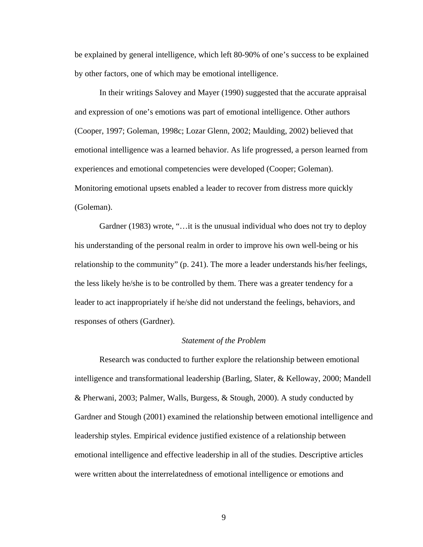be explained by general intelligence, which left 80-90% of one's success to be explained by other factors, one of which may be emotional intelligence.

In their writings Salovey and Mayer (1990) suggested that the accurate appraisal and expression of one's emotions was part of emotional intelligence. Other authors (Cooper, 1997; Goleman, 1998c; Lozar Glenn, 2002; Maulding, 2002) believed that emotional intelligence was a learned behavior. As life progressed, a person learned from experiences and emotional competencies were developed (Cooper; Goleman). Monitoring emotional upsets enabled a leader to recover from distress more quickly (Goleman).

Gardner (1983) wrote, "... it is the unusual individual who does not try to deploy his understanding of the personal realm in order to improve his own well-being or his relationship to the community" (p. 241). The more a leader understands his/her feelings, the less likely he/she is to be controlled by them. There was a greater tendency for a leader to act inappropriately if he/she did not understand the feelings, behaviors, and responses of others (Gardner).

#### *Statement of the Problem*

Research was conducted to further explore the relationship between emotional intelligence and transformational leadership (Barling, Slater, & Kelloway, 2000; Mandell & Pherwani, 2003; Palmer, Walls, Burgess, & Stough, 2000). A study conducted by Gardner and Stough (2001) examined the relationship between emotional intelligence and leadership styles. Empirical evidence justified existence of a relationship between emotional intelligence and effective leadership in all of the studies. Descriptive articles were written about the interrelatedness of emotional intelligence or emotions and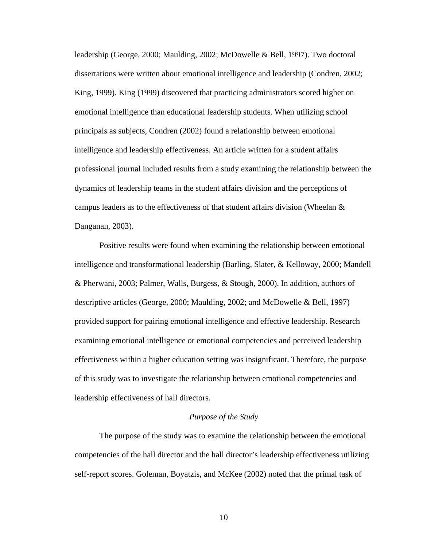leadership (George, 2000; Maulding, 2002; McDowelle & Bell, 1997). Two doctoral dissertations were written about emotional intelligence and leadership (Condren, 2002; King, 1999). King (1999) discovered that practicing administrators scored higher on emotional intelligence than educational leadership students. When utilizing school principals as subjects, Condren (2002) found a relationship between emotional intelligence and leadership effectiveness. An article written for a student affairs professional journal included results from a study examining the relationship between the dynamics of leadership teams in the student affairs division and the perceptions of campus leaders as to the effectiveness of that student affairs division (Wheelan & Danganan, 2003).

Positive results were found when examining the relationship between emotional intelligence and transformational leadership (Barling, Slater, & Kelloway, 2000; Mandell & Pherwani, 2003; Palmer, Walls, Burgess, & Stough, 2000). In addition, authors of descriptive articles (George, 2000; Maulding, 2002; and McDowelle & Bell, 1997) provided support for pairing emotional intelligence and effective leadership. Research examining emotional intelligence or emotional competencies and perceived leadership effectiveness within a higher education setting was insignificant. Therefore, the purpose of this study was to investigate the relationship between emotional competencies and leadership effectiveness of hall directors.

#### *Purpose of the Study*

The purpose of the study was to examine the relationship between the emotional competencies of the hall director and the hall director's leadership effectiveness utilizing self-report scores. Goleman, Boyatzis, and McKee (2002) noted that the primal task of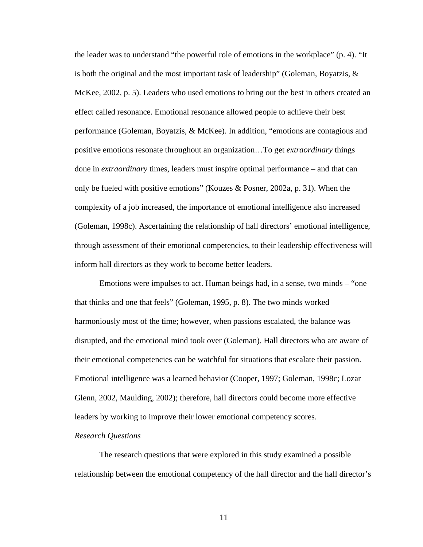the leader was to understand "the powerful role of emotions in the workplace" (p. 4). "It is both the original and the most important task of leadership" (Goleman, Boyatzis,  $\&$ McKee, 2002, p. 5). Leaders who used emotions to bring out the best in others created an effect called resonance. Emotional resonance allowed people to achieve their best performance (Goleman, Boyatzis, & McKee). In addition, "emotions are contagious and positive emotions resonate throughout an organization…To get *extraordinary* things done in *extraordinary* times, leaders must inspire optimal performance – and that can only be fueled with positive emotions" (Kouzes & Posner, 2002a, p. 31). When the complexity of a job increased, the importance of emotional intelligence also increased (Goleman, 1998c). Ascertaining the relationship of hall directors' emotional intelligence, through assessment of their emotional competencies, to their leadership effectiveness will inform hall directors as they work to become better leaders.

Emotions were impulses to act. Human beings had, in a sense, two minds – "one that thinks and one that feels" (Goleman, 1995, p. 8). The two minds worked harmoniously most of the time; however, when passions escalated, the balance was disrupted, and the emotional mind took over (Goleman). Hall directors who are aware of their emotional competencies can be watchful for situations that escalate their passion. Emotional intelligence was a learned behavior (Cooper, 1997; Goleman, 1998c; Lozar Glenn, 2002, Maulding, 2002); therefore, hall directors could become more effective leaders by working to improve their lower emotional competency scores.

#### *Research Questions*

 The research questions that were explored in this study examined a possible relationship between the emotional competency of the hall director and the hall director's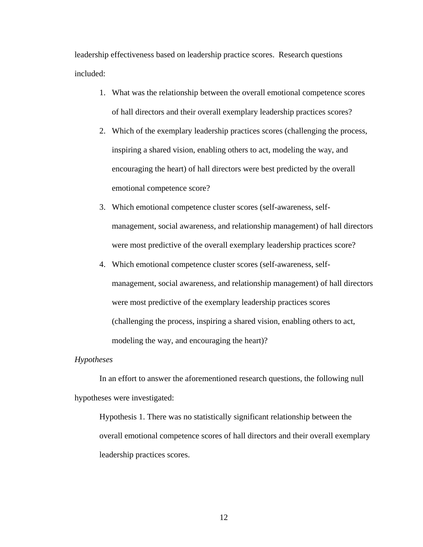leadership effectiveness based on leadership practice scores. Research questions included:

- 1. What was the relationship between the overall emotional competence scores of hall directors and their overall exemplary leadership practices scores?
- 2. Which of the exemplary leadership practices scores (challenging the process, inspiring a shared vision, enabling others to act, modeling the way, and encouraging the heart) of hall directors were best predicted by the overall emotional competence score?
- 3. Which emotional competence cluster scores (self-awareness, selfmanagement, social awareness, and relationship management) of hall directors were most predictive of the overall exemplary leadership practices score?
- 4. Which emotional competence cluster scores (self-awareness, selfmanagement, social awareness, and relationship management) of hall directors were most predictive of the exemplary leadership practices scores (challenging the process, inspiring a shared vision, enabling others to act, modeling the way, and encouraging the heart)?

#### *Hypotheses*

 In an effort to answer the aforementioned research questions, the following null hypotheses were investigated:

Hypothesis 1. There was no statistically significant relationship between the overall emotional competence scores of hall directors and their overall exemplary leadership practices scores.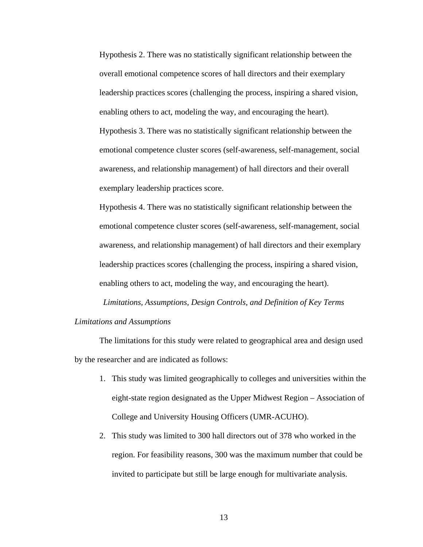Hypothesis 2. There was no statistically significant relationship between the overall emotional competence scores of hall directors and their exemplary leadership practices scores (challenging the process, inspiring a shared vision, enabling others to act, modeling the way, and encouraging the heart). Hypothesis 3. There was no statistically significant relationship between the emotional competence cluster scores (self-awareness, self-management, social awareness, and relationship management) of hall directors and their overall exemplary leadership practices score.

Hypothesis 4. There was no statistically significant relationship between the emotional competence cluster scores (self-awareness, self-management, social awareness, and relationship management) of hall directors and their exemplary leadership practices scores (challenging the process, inspiring a shared vision, enabling others to act, modeling the way, and encouraging the heart).

*Limitations, Assumptions, Design Controls, and Definition of Key Terms Limitations and Assumptions* 

 The limitations for this study were related to geographical area and design used by the researcher and are indicated as follows:

- 1. This study was limited geographically to colleges and universities within the eight-state region designated as the Upper Midwest Region – Association of College and University Housing Officers (UMR-ACUHO).
- 2. This study was limited to 300 hall directors out of 378 who worked in the region. For feasibility reasons, 300 was the maximum number that could be invited to participate but still be large enough for multivariate analysis.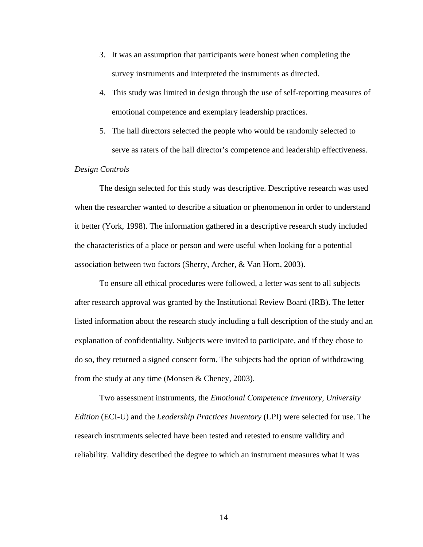- 3. It was an assumption that participants were honest when completing the survey instruments and interpreted the instruments as directed.
- 4. This study was limited in design through the use of self-reporting measures of emotional competence and exemplary leadership practices.
- 5. The hall directors selected the people who would be randomly selected to serve as raters of the hall director's competence and leadership effectiveness.

## *Design Controls*

 The design selected for this study was descriptive. Descriptive research was used when the researcher wanted to describe a situation or phenomenon in order to understand it better (York, 1998). The information gathered in a descriptive research study included the characteristics of a place or person and were useful when looking for a potential association between two factors (Sherry, Archer, & Van Horn, 2003).

 To ensure all ethical procedures were followed, a letter was sent to all subjects after research approval was granted by the Institutional Review Board (IRB). The letter listed information about the research study including a full description of the study and an explanation of confidentiality. Subjects were invited to participate, and if they chose to do so, they returned a signed consent form. The subjects had the option of withdrawing from the study at any time (Monsen & Cheney, 2003).

 Two assessment instruments, the *Emotional Competence Inventory, University Edition* (ECI-U) and the *Leadership Practices Inventory* (LPI) were selected for use. The research instruments selected have been tested and retested to ensure validity and reliability. Validity described the degree to which an instrument measures what it was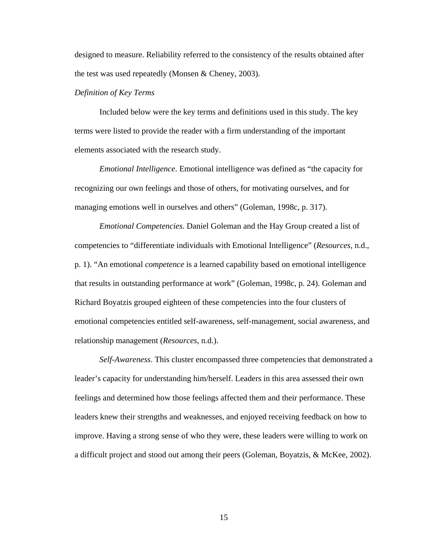designed to measure. Reliability referred to the consistency of the results obtained after the test was used repeatedly (Monsen & Cheney, 2003).

## *Definition of Key Terms*

Included below were the key terms and definitions used in this study. The key terms were listed to provide the reader with a firm understanding of the important elements associated with the research study.

*Emotional Intelligence*. Emotional intelligence was defined as "the capacity for recognizing our own feelings and those of others, for motivating ourselves, and for managing emotions well in ourselves and others" (Goleman, 1998c, p. 317).

*Emotional Competencies*. Daniel Goleman and the Hay Group created a list of competencies to "differentiate individuals with Emotional Intelligence" (*Resources*, n.d., p. 1). "An emotional *competence* is a learned capability based on emotional intelligence that results in outstanding performance at work" (Goleman, 1998c, p. 24). Goleman and Richard Boyatzis grouped eighteen of these competencies into the four clusters of emotional competencies entitled self-awareness, self-management, social awareness, and relationship management (*Resources*, n.d.).

*Self-Awareness*. This cluster encompassed three competencies that demonstrated a leader's capacity for understanding him/herself. Leaders in this area assessed their own feelings and determined how those feelings affected them and their performance. These leaders knew their strengths and weaknesses, and enjoyed receiving feedback on how to improve. Having a strong sense of who they were, these leaders were willing to work on a difficult project and stood out among their peers (Goleman, Boyatzis, & McKee, 2002).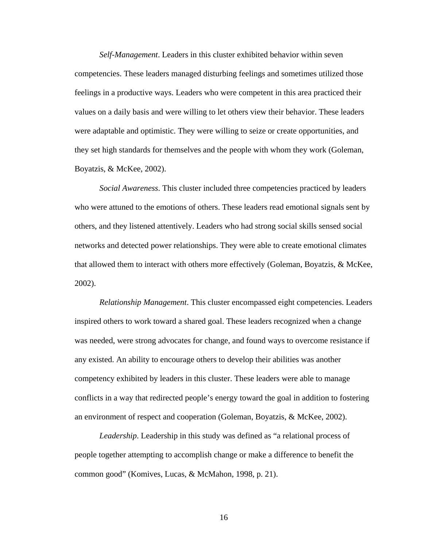*Self-Management*. Leaders in this cluster exhibited behavior within seven competencies. These leaders managed disturbing feelings and sometimes utilized those feelings in a productive ways. Leaders who were competent in this area practiced their values on a daily basis and were willing to let others view their behavior. These leaders were adaptable and optimistic. They were willing to seize or create opportunities, and they set high standards for themselves and the people with whom they work (Goleman, Boyatzis, & McKee, 2002).

*Social Awareness*. This cluster included three competencies practiced by leaders who were attuned to the emotions of others. These leaders read emotional signals sent by others, and they listened attentively. Leaders who had strong social skills sensed social networks and detected power relationships. They were able to create emotional climates that allowed them to interact with others more effectively (Goleman, Boyatzis, & McKee, 2002).

*Relationship Management*. This cluster encompassed eight competencies. Leaders inspired others to work toward a shared goal. These leaders recognized when a change was needed, were strong advocates for change, and found ways to overcome resistance if any existed. An ability to encourage others to develop their abilities was another competency exhibited by leaders in this cluster. These leaders were able to manage conflicts in a way that redirected people's energy toward the goal in addition to fostering an environment of respect and cooperation (Goleman, Boyatzis, & McKee, 2002).

*Leadership*. Leadership in this study was defined as "a relational process of people together attempting to accomplish change or make a difference to benefit the common good" (Komives, Lucas, & McMahon, 1998, p. 21).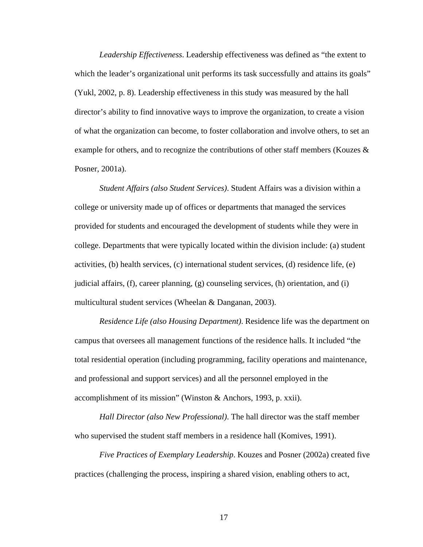*Leadership Effectiveness*. Leadership effectiveness was defined as "the extent to which the leader's organizational unit performs its task successfully and attains its goals" (Yukl, 2002, p. 8). Leadership effectiveness in this study was measured by the hall director's ability to find innovative ways to improve the organization, to create a vision of what the organization can become, to foster collaboration and involve others, to set an example for others, and to recognize the contributions of other staff members (Kouzes & Posner, 2001a).

*Student Affairs (also Student Services)*. Student Affairs was a division within a college or university made up of offices or departments that managed the services provided for students and encouraged the development of students while they were in college. Departments that were typically located within the division include: (a) student activities, (b) health services, (c) international student services, (d) residence life, (e) judicial affairs, (f), career planning, (g) counseling services, (h) orientation, and (i) multicultural student services (Wheelan & Danganan, 2003).

*Residence Life (also Housing Department)*. Residence life was the department on campus that oversees all management functions of the residence halls. It included "the total residential operation (including programming, facility operations and maintenance, and professional and support services) and all the personnel employed in the accomplishment of its mission" (Winston & Anchors, 1993, p. xxii).

*Hall Director (also New Professional)*. The hall director was the staff member who supervised the student staff members in a residence hall (Komives, 1991).

*Five Practices of Exemplary Leadership*. Kouzes and Posner (2002a) created five practices (challenging the process, inspiring a shared vision, enabling others to act,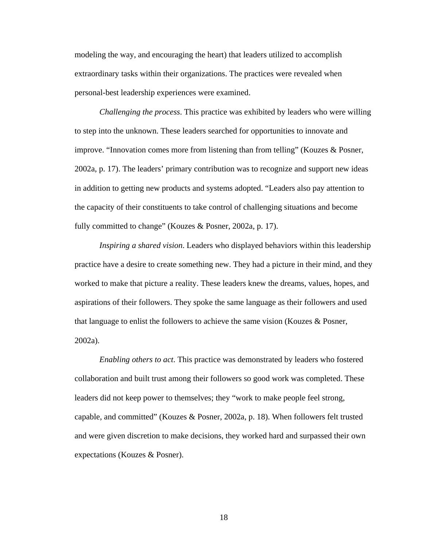modeling the way, and encouraging the heart) that leaders utilized to accomplish extraordinary tasks within their organizations. The practices were revealed when personal-best leadership experiences were examined.

*Challenging the process*. This practice was exhibited by leaders who were willing to step into the unknown. These leaders searched for opportunities to innovate and improve. "Innovation comes more from listening than from telling" (Kouzes & Posner, 2002a, p. 17). The leaders' primary contribution was to recognize and support new ideas in addition to getting new products and systems adopted. "Leaders also pay attention to the capacity of their constituents to take control of challenging situations and become fully committed to change" (Kouzes & Posner, 2002a, p. 17).

*Inspiring a shared vision*. Leaders who displayed behaviors within this leadership practice have a desire to create something new. They had a picture in their mind, and they worked to make that picture a reality. These leaders knew the dreams, values, hopes, and aspirations of their followers. They spoke the same language as their followers and used that language to enlist the followers to achieve the same vision (Kouzes & Posner, 2002a).

*Enabling others to act*. This practice was demonstrated by leaders who fostered collaboration and built trust among their followers so good work was completed. These leaders did not keep power to themselves; they "work to make people feel strong, capable, and committed" (Kouzes & Posner, 2002a, p. 18). When followers felt trusted and were given discretion to make decisions, they worked hard and surpassed their own expectations (Kouzes & Posner).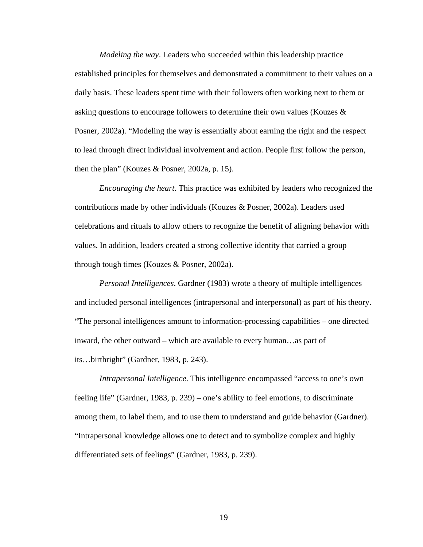*Modeling the way*. Leaders who succeeded within this leadership practice established principles for themselves and demonstrated a commitment to their values on a daily basis. These leaders spent time with their followers often working next to them or asking questions to encourage followers to determine their own values (Kouzes & Posner, 2002a). "Modeling the way is essentially about earning the right and the respect to lead through direct individual involvement and action. People first follow the person, then the plan" (Kouzes & Posner, 2002a, p. 15).

*Encouraging the heart*. This practice was exhibited by leaders who recognized the contributions made by other individuals (Kouzes & Posner, 2002a). Leaders used celebrations and rituals to allow others to recognize the benefit of aligning behavior with values. In addition, leaders created a strong collective identity that carried a group through tough times (Kouzes & Posner, 2002a).

*Personal Intelligences*. Gardner (1983) wrote a theory of multiple intelligences and included personal intelligences (intrapersonal and interpersonal) as part of his theory. "The personal intelligences amount to information-processing capabilities – one directed inward, the other outward – which are available to every human…as part of its…birthright" (Gardner, 1983, p. 243).

*Intrapersonal Intelligence*. This intelligence encompassed "access to one's own feeling life" (Gardner, 1983, p. 239) – one's ability to feel emotions, to discriminate among them, to label them, and to use them to understand and guide behavior (Gardner). "Intrapersonal knowledge allows one to detect and to symbolize complex and highly differentiated sets of feelings" (Gardner, 1983, p. 239).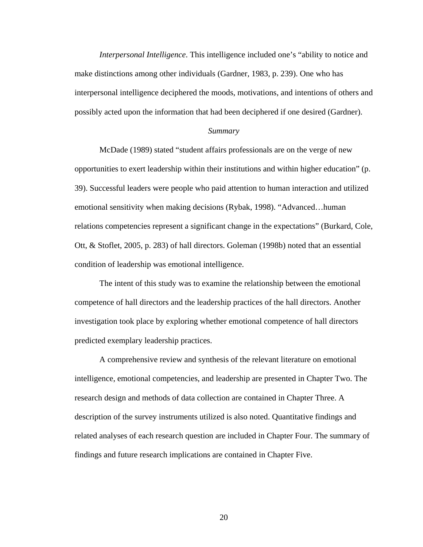*Interpersonal Intelligence*. This intelligence included one's "ability to notice and make distinctions among other individuals (Gardner, 1983, p. 239). One who has interpersonal intelligence deciphered the moods, motivations, and intentions of others and possibly acted upon the information that had been deciphered if one desired (Gardner).

#### *Summary*

 McDade (1989) stated "student affairs professionals are on the verge of new opportunities to exert leadership within their institutions and within higher education" (p. 39). Successful leaders were people who paid attention to human interaction and utilized emotional sensitivity when making decisions (Rybak, 1998). "Advanced…human relations competencies represent a significant change in the expectations" (Burkard, Cole, Ott, & Stoflet, 2005, p. 283) of hall directors. Goleman (1998b) noted that an essential condition of leadership was emotional intelligence.

 The intent of this study was to examine the relationship between the emotional competence of hall directors and the leadership practices of the hall directors. Another investigation took place by exploring whether emotional competence of hall directors predicted exemplary leadership practices.

 A comprehensive review and synthesis of the relevant literature on emotional intelligence, emotional competencies, and leadership are presented in Chapter Two. The research design and methods of data collection are contained in Chapter Three. A description of the survey instruments utilized is also noted. Quantitative findings and related analyses of each research question are included in Chapter Four. The summary of findings and future research implications are contained in Chapter Five.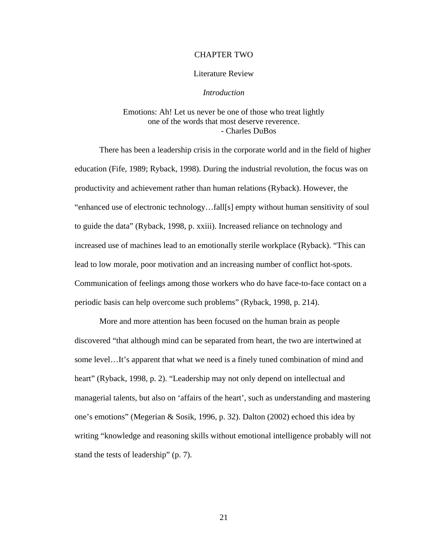#### CHAPTER TWO

#### Literature Review

#### *Introduction*

## Emotions: Ah! Let us never be one of those who treat lightly one of the words that most deserve reverence. - Charles DuBos

 There has been a leadership crisis in the corporate world and in the field of higher education (Fife, 1989; Ryback, 1998). During the industrial revolution, the focus was on productivity and achievement rather than human relations (Ryback). However, the "enhanced use of electronic technology…fall[s] empty without human sensitivity of soul to guide the data" (Ryback, 1998, p. xxiii). Increased reliance on technology and increased use of machines lead to an emotionally sterile workplace (Ryback). "This can lead to low morale, poor motivation and an increasing number of conflict hot-spots. Communication of feelings among those workers who do have face-to-face contact on a periodic basis can help overcome such problems" (Ryback, 1998, p. 214).

 More and more attention has been focused on the human brain as people discovered "that although mind can be separated from heart, the two are intertwined at some level…It's apparent that what we need is a finely tuned combination of mind and heart" (Ryback, 1998, p. 2). "Leadership may not only depend on intellectual and managerial talents, but also on 'affairs of the heart', such as understanding and mastering one's emotions" (Megerian & Sosik, 1996, p. 32). Dalton (2002) echoed this idea by writing "knowledge and reasoning skills without emotional intelligence probably will not stand the tests of leadership" (p. 7).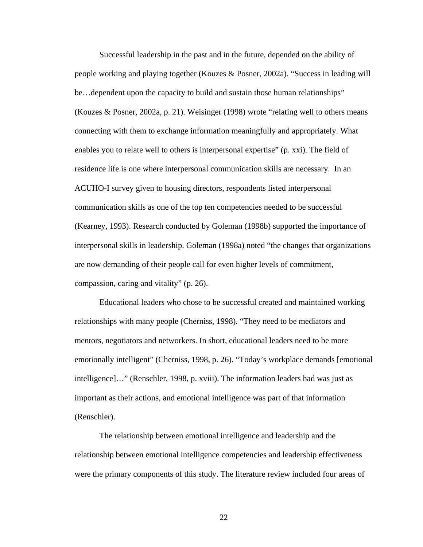Successful leadership in the past and in the future, depended on the ability of people working and playing together (Kouzes & Posner, 2002a). "Success in leading will be…dependent upon the capacity to build and sustain those human relationships" (Kouzes & Posner, 2002a, p. 21). Weisinger (1998) wrote "relating well to others means connecting with them to exchange information meaningfully and appropriately. What enables you to relate well to others is interpersonal expertise" (p. xxi). The field of residence life is one where interpersonal communication skills are necessary. In an ACUHO-I survey given to housing directors, respondents listed interpersonal communication skills as one of the top ten competencies needed to be successful (Kearney, 1993). Research conducted by Goleman (1998b) supported the importance of interpersonal skills in leadership. Goleman (1998a) noted "the changes that organizations are now demanding of their people call for even higher levels of commitment, compassion, caring and vitality" (p. 26).

 Educational leaders who chose to be successful created and maintained working relationships with many people (Cherniss, 1998). "They need to be mediators and mentors, negotiators and networkers. In short, educational leaders need to be more emotionally intelligent" (Cherniss, 1998, p. 26). "Today's workplace demands [emotional intelligence]…" (Renschler, 1998, p. xviii). The information leaders had was just as important as their actions, and emotional intelligence was part of that information (Renschler).

 The relationship between emotional intelligence and leadership and the relationship between emotional intelligence competencies and leadership effectiveness were the primary components of this study. The literature review included four areas of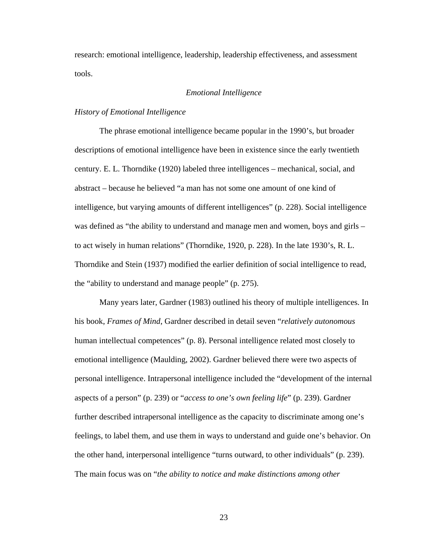research: emotional intelligence, leadership, leadership effectiveness, and assessment tools.

## *Emotional Intelligence*

## *History of Emotional Intelligence*

 The phrase emotional intelligence became popular in the 1990's, but broader descriptions of emotional intelligence have been in existence since the early twentieth century. E. L. Thorndike (1920) labeled three intelligences – mechanical, social, and abstract – because he believed "a man has not some one amount of one kind of intelligence, but varying amounts of different intelligences" (p. 228). Social intelligence was defined as "the ability to understand and manage men and women, boys and girls – to act wisely in human relations" (Thorndike, 1920, p. 228). In the late 1930's, R. L. Thorndike and Stein (1937) modified the earlier definition of social intelligence to read, the "ability to understand and manage people" (p. 275).

 Many years later, Gardner (1983) outlined his theory of multiple intelligences. In his book, *Frames of Mind*, Gardner described in detail seven "*relatively autonomous* human intellectual competences" (p. 8). Personal intelligence related most closely to emotional intelligence (Maulding, 2002). Gardner believed there were two aspects of personal intelligence. Intrapersonal intelligence included the "development of the internal aspects of a person" (p. 239) or "*access to one's own feeling life*" (p. 239). Gardner further described intrapersonal intelligence as the capacity to discriminate among one's feelings, to label them, and use them in ways to understand and guide one's behavior. On the other hand, interpersonal intelligence "turns outward, to other individuals" (p. 239). The main focus was on "*the ability to notice and make distinctions among other*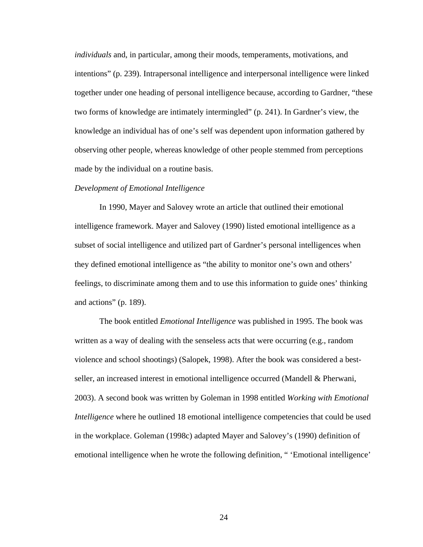*individuals* and, in particular, among their moods, temperaments, motivations, and intentions" (p. 239). Intrapersonal intelligence and interpersonal intelligence were linked together under one heading of personal intelligence because, according to Gardner, "these two forms of knowledge are intimately intermingled" (p. 241). In Gardner's view, the knowledge an individual has of one's self was dependent upon information gathered by observing other people, whereas knowledge of other people stemmed from perceptions made by the individual on a routine basis.

#### *Development of Emotional Intelligence*

 In 1990, Mayer and Salovey wrote an article that outlined their emotional intelligence framework. Mayer and Salovey (1990) listed emotional intelligence as a subset of social intelligence and utilized part of Gardner's personal intelligences when they defined emotional intelligence as "the ability to monitor one's own and others' feelings, to discriminate among them and to use this information to guide ones' thinking and actions" (p. 189).

 The book entitled *Emotional Intelligence* was published in 1995. The book was written as a way of dealing with the senseless acts that were occurring (e.g., random violence and school shootings) (Salopek, 1998). After the book was considered a bestseller, an increased interest in emotional intelligence occurred (Mandell & Pherwani, 2003). A second book was written by Goleman in 1998 entitled *Working with Emotional Intelligence* where he outlined 18 emotional intelligence competencies that could be used in the workplace. Goleman (1998c) adapted Mayer and Salovey's (1990) definition of emotional intelligence when he wrote the following definition, " 'Emotional intelligence'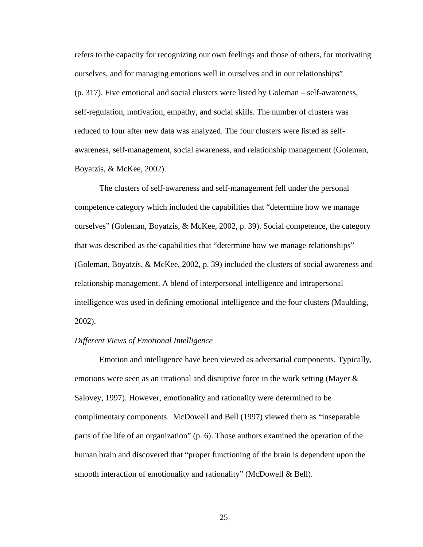refers to the capacity for recognizing our own feelings and those of others, for motivating ourselves, and for managing emotions well in ourselves and in our relationships" (p. 317). Five emotional and social clusters were listed by Goleman – self-awareness, self-regulation, motivation, empathy, and social skills. The number of clusters was reduced to four after new data was analyzed. The four clusters were listed as selfawareness, self-management, social awareness, and relationship management (Goleman, Boyatzis, & McKee, 2002).

 The clusters of self-awareness and self-management fell under the personal competence category which included the capabilities that "determine how we manage ourselves" (Goleman, Boyatzis, & McKee, 2002, p. 39). Social competence, the category that was described as the capabilities that "determine how we manage relationships" (Goleman, Boyatzis, & McKee, 2002, p. 39) included the clusters of social awareness and relationship management. A blend of interpersonal intelligence and intrapersonal intelligence was used in defining emotional intelligence and the four clusters (Maulding, 2002).

## *Different Views of Emotional Intelligence*

 Emotion and intelligence have been viewed as adversarial components. Typically, emotions were seen as an irrational and disruptive force in the work setting (Mayer & Salovey, 1997). However, emotionality and rationality were determined to be complimentary components. McDowell and Bell (1997) viewed them as "inseparable parts of the life of an organization" (p. 6). Those authors examined the operation of the human brain and discovered that "proper functioning of the brain is dependent upon the smooth interaction of emotionality and rationality" (McDowell & Bell).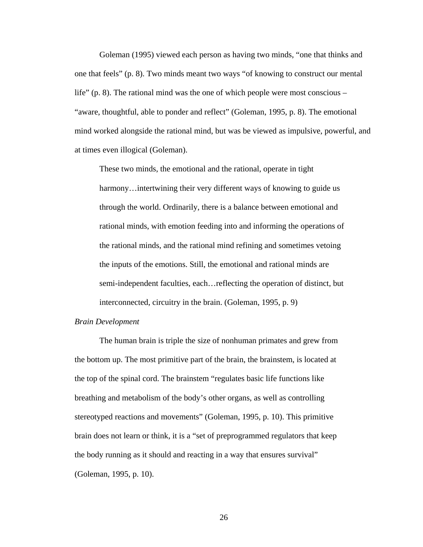Goleman (1995) viewed each person as having two minds, "one that thinks and one that feels" (p. 8). Two minds meant two ways "of knowing to construct our mental life" (p. 8). The rational mind was the one of which people were most conscious – "aware, thoughtful, able to ponder and reflect" (Goleman, 1995, p. 8). The emotional mind worked alongside the rational mind, but was be viewed as impulsive, powerful, and at times even illogical (Goleman).

These two minds, the emotional and the rational, operate in tight harmony... intertwining their very different ways of knowing to guide us through the world. Ordinarily, there is a balance between emotional and rational minds, with emotion feeding into and informing the operations of the rational minds, and the rational mind refining and sometimes vetoing the inputs of the emotions. Still, the emotional and rational minds are semi-independent faculties, each…reflecting the operation of distinct, but interconnected, circuitry in the brain. (Goleman, 1995, p. 9)

## *Brain Development*

 The human brain is triple the size of nonhuman primates and grew from the bottom up. The most primitive part of the brain, the brainstem, is located at the top of the spinal cord. The brainstem "regulates basic life functions like breathing and metabolism of the body's other organs, as well as controlling stereotyped reactions and movements" (Goleman, 1995, p. 10). This primitive brain does not learn or think, it is a "set of preprogrammed regulators that keep the body running as it should and reacting in a way that ensures survival" (Goleman, 1995, p. 10).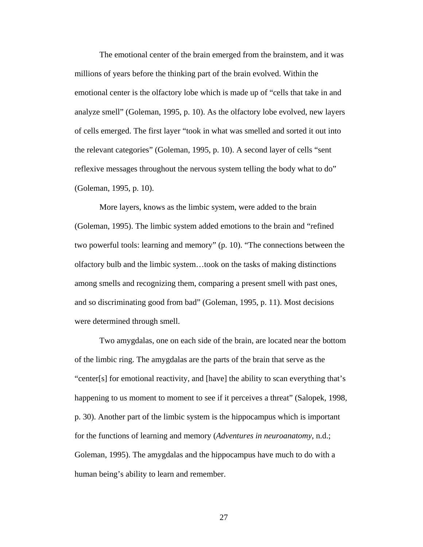The emotional center of the brain emerged from the brainstem, and it was millions of years before the thinking part of the brain evolved. Within the emotional center is the olfactory lobe which is made up of "cells that take in and analyze smell" (Goleman, 1995, p. 10). As the olfactory lobe evolved, new layers of cells emerged. The first layer "took in what was smelled and sorted it out into the relevant categories" (Goleman, 1995, p. 10). A second layer of cells "sent reflexive messages throughout the nervous system telling the body what to do" (Goleman, 1995, p. 10).

 More layers, knows as the limbic system, were added to the brain (Goleman, 1995). The limbic system added emotions to the brain and "refined two powerful tools: learning and memory" (p. 10). "The connections between the olfactory bulb and the limbic system…took on the tasks of making distinctions among smells and recognizing them, comparing a present smell with past ones, and so discriminating good from bad" (Goleman, 1995, p. 11). Most decisions were determined through smell.

 Two amygdalas, one on each side of the brain, are located near the bottom of the limbic ring. The amygdalas are the parts of the brain that serve as the "center[s] for emotional reactivity, and [have] the ability to scan everything that's happening to us moment to moment to see if it perceives a threat" (Salopek, 1998, p. 30). Another part of the limbic system is the hippocampus which is important for the functions of learning and memory (*Adventures in neuroanatomy*, n.d.; Goleman, 1995). The amygdalas and the hippocampus have much to do with a human being's ability to learn and remember.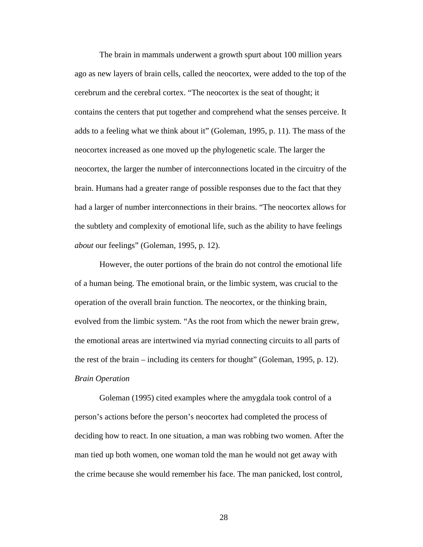The brain in mammals underwent a growth spurt about 100 million years ago as new layers of brain cells, called the neocortex, were added to the top of the cerebrum and the cerebral cortex. "The neocortex is the seat of thought; it contains the centers that put together and comprehend what the senses perceive. It adds to a feeling what we think about it" (Goleman, 1995, p. 11). The mass of the neocortex increased as one moved up the phylogenetic scale. The larger the neocortex, the larger the number of interconnections located in the circuitry of the brain. Humans had a greater range of possible responses due to the fact that they had a larger of number interconnections in their brains. "The neocortex allows for the subtlety and complexity of emotional life, such as the ability to have feelings *about* our feelings" (Goleman, 1995, p. 12).

However, the outer portions of the brain do not control the emotional life of a human being. The emotional brain, or the limbic system, was crucial to the operation of the overall brain function. The neocortex, or the thinking brain, evolved from the limbic system. "As the root from which the newer brain grew, the emotional areas are intertwined via myriad connecting circuits to all parts of the rest of the brain – including its centers for thought" (Goleman, 1995, p. 12). *Brain Operation* 

 Goleman (1995) cited examples where the amygdala took control of a person's actions before the person's neocortex had completed the process of deciding how to react. In one situation, a man was robbing two women. After the man tied up both women, one woman told the man he would not get away with the crime because she would remember his face. The man panicked, lost control,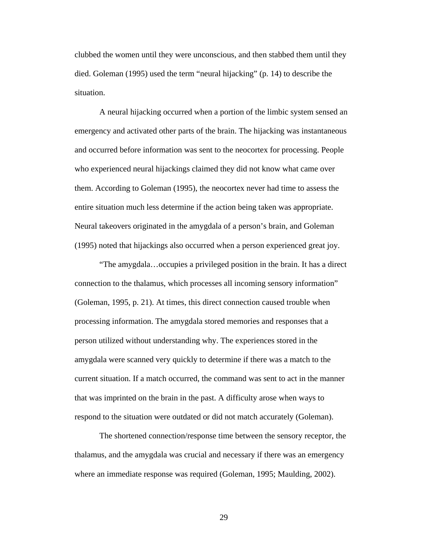clubbed the women until they were unconscious, and then stabbed them until they died. Goleman (1995) used the term "neural hijacking" (p. 14) to describe the situation.

 A neural hijacking occurred when a portion of the limbic system sensed an emergency and activated other parts of the brain. The hijacking was instantaneous and occurred before information was sent to the neocortex for processing. People who experienced neural hijackings claimed they did not know what came over them. According to Goleman (1995), the neocortex never had time to assess the entire situation much less determine if the action being taken was appropriate. Neural takeovers originated in the amygdala of a person's brain, and Goleman (1995) noted that hijackings also occurred when a person experienced great joy.

 "The amygdala…occupies a privileged position in the brain. It has a direct connection to the thalamus, which processes all incoming sensory information" (Goleman, 1995, p. 21). At times, this direct connection caused trouble when processing information. The amygdala stored memories and responses that a person utilized without understanding why. The experiences stored in the amygdala were scanned very quickly to determine if there was a match to the current situation. If a match occurred, the command was sent to act in the manner that was imprinted on the brain in the past. A difficulty arose when ways to respond to the situation were outdated or did not match accurately (Goleman).

 The shortened connection/response time between the sensory receptor, the thalamus, and the amygdala was crucial and necessary if there was an emergency where an immediate response was required (Goleman, 1995; Maulding, 2002).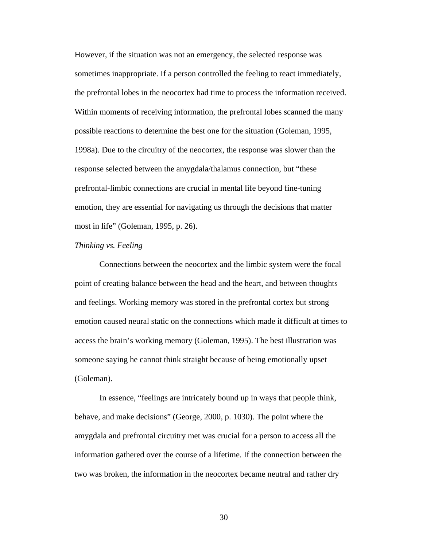However, if the situation was not an emergency, the selected response was sometimes inappropriate. If a person controlled the feeling to react immediately, the prefrontal lobes in the neocortex had time to process the information received. Within moments of receiving information, the prefrontal lobes scanned the many possible reactions to determine the best one for the situation (Goleman, 1995, 1998a). Due to the circuitry of the neocortex, the response was slower than the response selected between the amygdala/thalamus connection, but "these prefrontal-limbic connections are crucial in mental life beyond fine-tuning emotion, they are essential for navigating us through the decisions that matter most in life" (Goleman, 1995, p. 26).

#### *Thinking vs. Feeling*

 Connections between the neocortex and the limbic system were the focal point of creating balance between the head and the heart, and between thoughts and feelings. Working memory was stored in the prefrontal cortex but strong emotion caused neural static on the connections which made it difficult at times to access the brain's working memory (Goleman, 1995). The best illustration was someone saying he cannot think straight because of being emotionally upset (Goleman).

 In essence, "feelings are intricately bound up in ways that people think, behave, and make decisions" (George, 2000, p. 1030). The point where the amygdala and prefrontal circuitry met was crucial for a person to access all the information gathered over the course of a lifetime. If the connection between the two was broken, the information in the neocortex became neutral and rather dry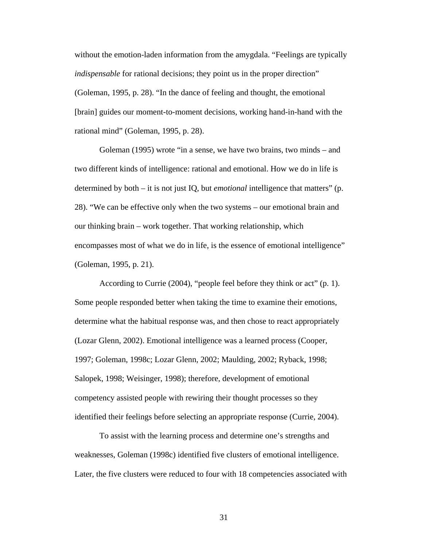without the emotion-laden information from the amygdala. "Feelings are typically *indispensable* for rational decisions; they point us in the proper direction" (Goleman, 1995, p. 28). "In the dance of feeling and thought, the emotional [brain] guides our moment-to-moment decisions, working hand-in-hand with the rational mind" (Goleman, 1995, p. 28).

 Goleman (1995) wrote "in a sense, we have two brains, two minds – and two different kinds of intelligence: rational and emotional. How we do in life is determined by both – it is not just IQ, but *emotional* intelligence that matters" (p. 28). "We can be effective only when the two systems – our emotional brain and our thinking brain – work together. That working relationship, which encompasses most of what we do in life, is the essence of emotional intelligence" (Goleman, 1995, p. 21).

 According to Currie (2004), "people feel before they think or act" (p. 1). Some people responded better when taking the time to examine their emotions, determine what the habitual response was, and then chose to react appropriately (Lozar Glenn, 2002). Emotional intelligence was a learned process (Cooper, 1997; Goleman, 1998c; Lozar Glenn, 2002; Maulding, 2002; Ryback, 1998; Salopek, 1998; Weisinger, 1998); therefore, development of emotional competency assisted people with rewiring their thought processes so they identified their feelings before selecting an appropriate response (Currie, 2004).

To assist with the learning process and determine one's strengths and weaknesses, Goleman (1998c) identified five clusters of emotional intelligence. Later, the five clusters were reduced to four with 18 competencies associated with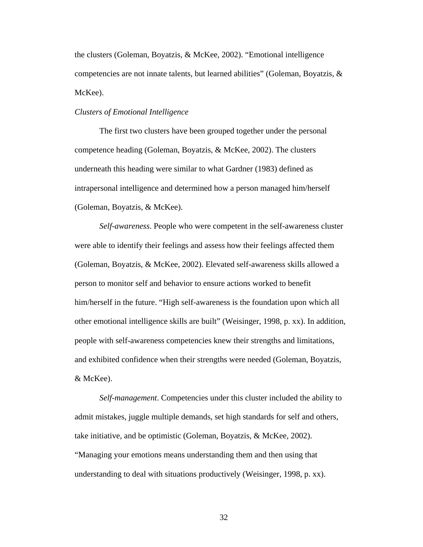the clusters (Goleman, Boyatzis, & McKee, 2002). "Emotional intelligence competencies are not innate talents, but learned abilities" (Goleman, Boyatzis, & McKee).

#### *Clusters of Emotional Intelligence*

 The first two clusters have been grouped together under the personal competence heading (Goleman, Boyatzis, & McKee, 2002). The clusters underneath this heading were similar to what Gardner (1983) defined as intrapersonal intelligence and determined how a person managed him/herself (Goleman, Boyatzis, & McKee).

*Self-awareness*. People who were competent in the self-awareness cluster were able to identify their feelings and assess how their feelings affected them (Goleman, Boyatzis, & McKee, 2002). Elevated self-awareness skills allowed a person to monitor self and behavior to ensure actions worked to benefit him/herself in the future. "High self-awareness is the foundation upon which all other emotional intelligence skills are built" (Weisinger, 1998, p. xx). In addition, people with self-awareness competencies knew their strengths and limitations, and exhibited confidence when their strengths were needed (Goleman, Boyatzis, & McKee).

 *Self-management*. Competencies under this cluster included the ability to admit mistakes, juggle multiple demands, set high standards for self and others, take initiative, and be optimistic (Goleman, Boyatzis, & McKee, 2002). "Managing your emotions means understanding them and then using that understanding to deal with situations productively (Weisinger, 1998, p. xx).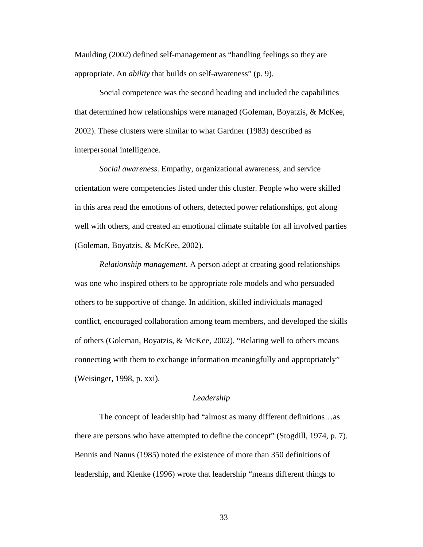Maulding (2002) defined self-management as "handling feelings so they are appropriate. An *ability* that builds on self-awareness" (p. 9).

 Social competence was the second heading and included the capabilities that determined how relationships were managed (Goleman, Boyatzis, & McKee, 2002). These clusters were similar to what Gardner (1983) described as interpersonal intelligence.

*Social awareness*. Empathy, organizational awareness, and service orientation were competencies listed under this cluster. People who were skilled in this area read the emotions of others, detected power relationships, got along well with others, and created an emotional climate suitable for all involved parties (Goleman, Boyatzis, & McKee, 2002).

*Relationship management*. A person adept at creating good relationships was one who inspired others to be appropriate role models and who persuaded others to be supportive of change. In addition, skilled individuals managed conflict, encouraged collaboration among team members, and developed the skills of others (Goleman, Boyatzis, & McKee, 2002). "Relating well to others means connecting with them to exchange information meaningfully and appropriately" (Weisinger, 1998, p. xxi).

## *Leadership*

 The concept of leadership had "almost as many different definitions…as there are persons who have attempted to define the concept" (Stogdill, 1974, p. 7). Bennis and Nanus (1985) noted the existence of more than 350 definitions of leadership, and Klenke (1996) wrote that leadership "means different things to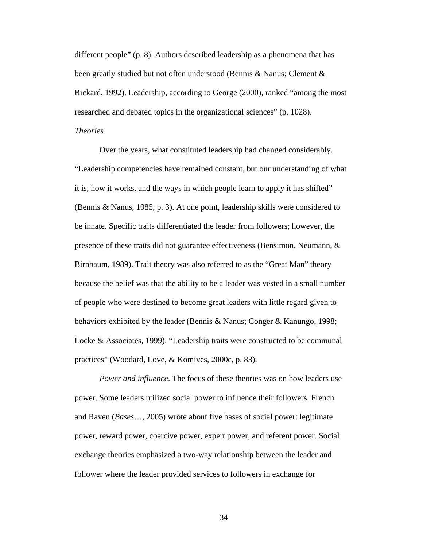different people" (p. 8). Authors described leadership as a phenomena that has been greatly studied but not often understood (Bennis & Nanus; Clement & Rickard, 1992). Leadership, according to George (2000), ranked "among the most researched and debated topics in the organizational sciences" (p. 1028).

# *Theories*

 Over the years, what constituted leadership had changed considerably. "Leadership competencies have remained constant, but our understanding of what it is, how it works, and the ways in which people learn to apply it has shifted" (Bennis & Nanus, 1985, p. 3). At one point, leadership skills were considered to be innate. Specific traits differentiated the leader from followers; however, the presence of these traits did not guarantee effectiveness (Bensimon, Neumann, & Birnbaum, 1989). Trait theory was also referred to as the "Great Man" theory because the belief was that the ability to be a leader was vested in a small number of people who were destined to become great leaders with little regard given to behaviors exhibited by the leader (Bennis & Nanus; Conger & Kanungo, 1998; Locke & Associates, 1999). "Leadership traits were constructed to be communal practices" (Woodard, Love, & Komives, 2000c, p. 83).

*Power and influence*. The focus of these theories was on how leaders use power. Some leaders utilized social power to influence their followers. French and Raven (*Bases*…, 2005) wrote about five bases of social power: legitimate power, reward power, coercive power, expert power, and referent power. Social exchange theories emphasized a two-way relationship between the leader and follower where the leader provided services to followers in exchange for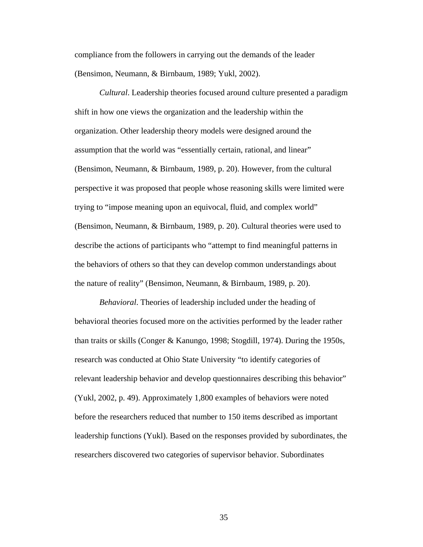compliance from the followers in carrying out the demands of the leader (Bensimon, Neumann, & Birnbaum, 1989; Yukl, 2002).

*Cultural*. Leadership theories focused around culture presented a paradigm shift in how one views the organization and the leadership within the organization. Other leadership theory models were designed around the assumption that the world was "essentially certain, rational, and linear" (Bensimon, Neumann, & Birnbaum, 1989, p. 20). However, from the cultural perspective it was proposed that people whose reasoning skills were limited were trying to "impose meaning upon an equivocal, fluid, and complex world" (Bensimon, Neumann, & Birnbaum, 1989, p. 20). Cultural theories were used to describe the actions of participants who "attempt to find meaningful patterns in the behaviors of others so that they can develop common understandings about the nature of reality" (Bensimon, Neumann, & Birnbaum, 1989, p. 20).

*Behavioral*. Theories of leadership included under the heading of behavioral theories focused more on the activities performed by the leader rather than traits or skills (Conger & Kanungo, 1998; Stogdill, 1974). During the 1950s, research was conducted at Ohio State University "to identify categories of relevant leadership behavior and develop questionnaires describing this behavior" (Yukl, 2002, p. 49). Approximately 1,800 examples of behaviors were noted before the researchers reduced that number to 150 items described as important leadership functions (Yukl). Based on the responses provided by subordinates, the researchers discovered two categories of supervisor behavior. Subordinates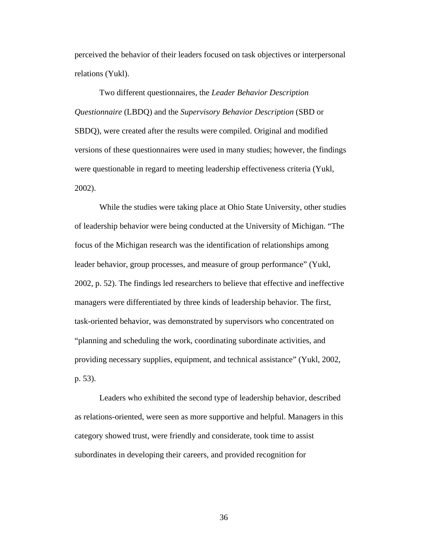perceived the behavior of their leaders focused on task objectives or interpersonal relations (Yukl).

 Two different questionnaires, the *Leader Behavior Description Questionnaire* (LBDQ) and the *Supervisory Behavior Description* (SBD or SBDQ), were created after the results were compiled. Original and modified versions of these questionnaires were used in many studies; however, the findings were questionable in regard to meeting leadership effectiveness criteria (Yukl, 2002).

 While the studies were taking place at Ohio State University, other studies of leadership behavior were being conducted at the University of Michigan. "The focus of the Michigan research was the identification of relationships among leader behavior, group processes, and measure of group performance" (Yukl, 2002, p. 52). The findings led researchers to believe that effective and ineffective managers were differentiated by three kinds of leadership behavior. The first, task-oriented behavior, was demonstrated by supervisors who concentrated on "planning and scheduling the work, coordinating subordinate activities, and providing necessary supplies, equipment, and technical assistance" (Yukl, 2002, p. 53).

 Leaders who exhibited the second type of leadership behavior, described as relations-oriented, were seen as more supportive and helpful. Managers in this category showed trust, were friendly and considerate, took time to assist subordinates in developing their careers, and provided recognition for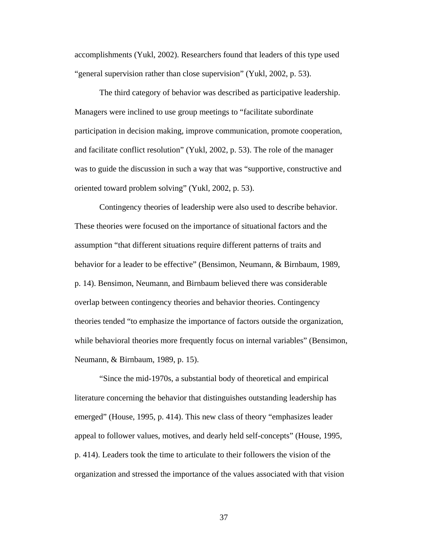accomplishments (Yukl, 2002). Researchers found that leaders of this type used "general supervision rather than close supervision" (Yukl, 2002, p. 53).

 The third category of behavior was described as participative leadership. Managers were inclined to use group meetings to "facilitate subordinate participation in decision making, improve communication, promote cooperation, and facilitate conflict resolution" (Yukl, 2002, p. 53). The role of the manager was to guide the discussion in such a way that was "supportive, constructive and oriented toward problem solving" (Yukl, 2002, p. 53).

 Contingency theories of leadership were also used to describe behavior. These theories were focused on the importance of situational factors and the assumption "that different situations require different patterns of traits and behavior for a leader to be effective" (Bensimon, Neumann, & Birnbaum, 1989, p. 14). Bensimon, Neumann, and Birnbaum believed there was considerable overlap between contingency theories and behavior theories. Contingency theories tended "to emphasize the importance of factors outside the organization, while behavioral theories more frequently focus on internal variables" (Bensimon, Neumann, & Birnbaum, 1989, p. 15).

 "Since the mid-1970s, a substantial body of theoretical and empirical literature concerning the behavior that distinguishes outstanding leadership has emerged" (House, 1995, p. 414). This new class of theory "emphasizes leader appeal to follower values, motives, and dearly held self-concepts" (House, 1995, p. 414). Leaders took the time to articulate to their followers the vision of the organization and stressed the importance of the values associated with that vision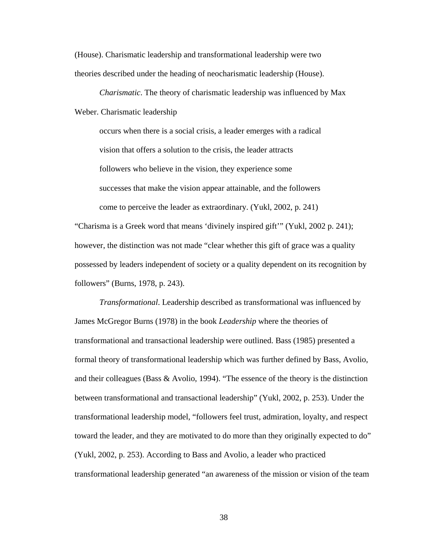(House). Charismatic leadership and transformational leadership were two theories described under the heading of neocharismatic leadership (House).

*Charismatic*. The theory of charismatic leadership was influenced by Max Weber. Charismatic leadership

occurs when there is a social crisis, a leader emerges with a radical vision that offers a solution to the crisis, the leader attracts followers who believe in the vision, they experience some successes that make the vision appear attainable, and the followers come to perceive the leader as extraordinary. (Yukl, 2002, p. 241)

"Charisma is a Greek word that means 'divinely inspired gift'" (Yukl, 2002 p. 241); however, the distinction was not made "clear whether this gift of grace was a quality possessed by leaders independent of society or a quality dependent on its recognition by followers" (Burns, 1978, p. 243).

*Transformational*. Leadership described as transformational was influenced by James McGregor Burns (1978) in the book *Leadership* where the theories of transformational and transactional leadership were outlined. Bass (1985) presented a formal theory of transformational leadership which was further defined by Bass, Avolio, and their colleagues (Bass & Avolio, 1994). "The essence of the theory is the distinction between transformational and transactional leadership" (Yukl, 2002, p. 253). Under the transformational leadership model, "followers feel trust, admiration, loyalty, and respect toward the leader, and they are motivated to do more than they originally expected to do" (Yukl, 2002, p. 253). According to Bass and Avolio, a leader who practiced transformational leadership generated "an awareness of the mission or vision of the team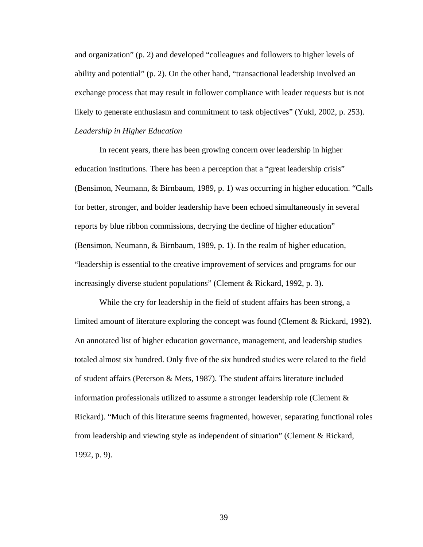and organization" (p. 2) and developed "colleagues and followers to higher levels of ability and potential" (p. 2). On the other hand, "transactional leadership involved an exchange process that may result in follower compliance with leader requests but is not likely to generate enthusiasm and commitment to task objectives" (Yukl, 2002, p. 253). *Leadership in Higher Education* 

 In recent years, there has been growing concern over leadership in higher education institutions. There has been a perception that a "great leadership crisis" (Bensimon, Neumann, & Birnbaum, 1989, p. 1) was occurring in higher education. "Calls for better, stronger, and bolder leadership have been echoed simultaneously in several reports by blue ribbon commissions, decrying the decline of higher education" (Bensimon, Neumann, & Birnbaum, 1989, p. 1). In the realm of higher education, "leadership is essential to the creative improvement of services and programs for our increasingly diverse student populations" (Clement & Rickard, 1992, p. 3).

 While the cry for leadership in the field of student affairs has been strong, a limited amount of literature exploring the concept was found (Clement & Rickard, 1992). An annotated list of higher education governance, management, and leadership studies totaled almost six hundred. Only five of the six hundred studies were related to the field of student affairs (Peterson & Mets, 1987). The student affairs literature included information professionals utilized to assume a stronger leadership role (Clement & Rickard). "Much of this literature seems fragmented, however, separating functional roles from leadership and viewing style as independent of situation" (Clement & Rickard, 1992, p. 9).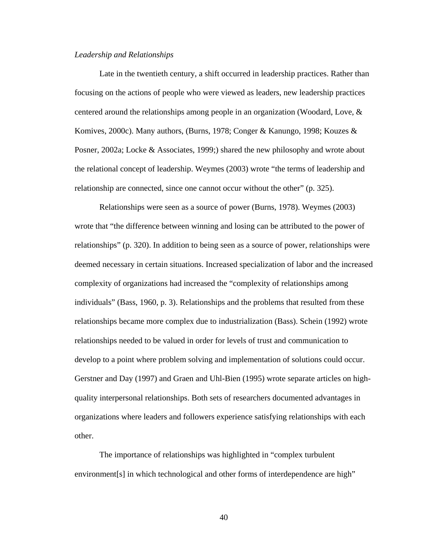### *Leadership and Relationships*

 Late in the twentieth century, a shift occurred in leadership practices. Rather than focusing on the actions of people who were viewed as leaders, new leadership practices centered around the relationships among people in an organization (Woodard, Love, & Komives, 2000c). Many authors, (Burns, 1978; Conger & Kanungo, 1998; Kouzes & Posner, 2002a; Locke & Associates, 1999;) shared the new philosophy and wrote about the relational concept of leadership. Weymes (2003) wrote "the terms of leadership and relationship are connected, since one cannot occur without the other" (p. 325).

 Relationships were seen as a source of power (Burns, 1978). Weymes (2003) wrote that "the difference between winning and losing can be attributed to the power of relationships" (p. 320). In addition to being seen as a source of power, relationships were deemed necessary in certain situations. Increased specialization of labor and the increased complexity of organizations had increased the "complexity of relationships among individuals" (Bass, 1960, p. 3). Relationships and the problems that resulted from these relationships became more complex due to industrialization (Bass). Schein (1992) wrote relationships needed to be valued in order for levels of trust and communication to develop to a point where problem solving and implementation of solutions could occur. Gerstner and Day (1997) and Graen and Uhl-Bien (1995) wrote separate articles on highquality interpersonal relationships. Both sets of researchers documented advantages in organizations where leaders and followers experience satisfying relationships with each other.

 The importance of relationships was highlighted in "complex turbulent environment [s] in which technological and other forms of interdependence are high"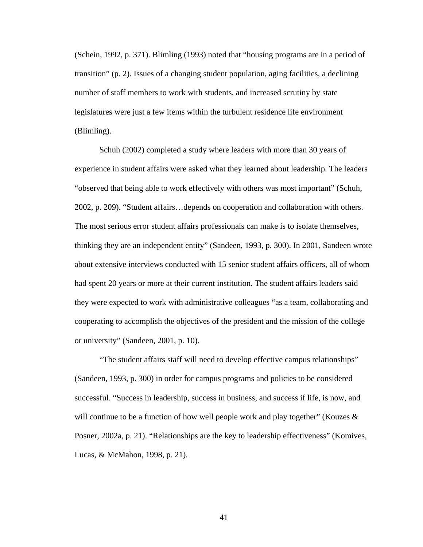(Schein, 1992, p. 371). Blimling (1993) noted that "housing programs are in a period of transition" (p. 2). Issues of a changing student population, aging facilities, a declining number of staff members to work with students, and increased scrutiny by state legislatures were just a few items within the turbulent residence life environment (Blimling).

 Schuh (2002) completed a study where leaders with more than 30 years of experience in student affairs were asked what they learned about leadership. The leaders "observed that being able to work effectively with others was most important" (Schuh, 2002, p. 209). "Student affairs…depends on cooperation and collaboration with others. The most serious error student affairs professionals can make is to isolate themselves, thinking they are an independent entity" (Sandeen, 1993, p. 300). In 2001, Sandeen wrote about extensive interviews conducted with 15 senior student affairs officers, all of whom had spent 20 years or more at their current institution. The student affairs leaders said they were expected to work with administrative colleagues "as a team, collaborating and cooperating to accomplish the objectives of the president and the mission of the college or university" (Sandeen, 2001, p. 10).

 "The student affairs staff will need to develop effective campus relationships" (Sandeen, 1993, p. 300) in order for campus programs and policies to be considered successful. "Success in leadership, success in business, and success if life, is now, and will continue to be a function of how well people work and play together" (Kouzes  $\&$ Posner, 2002a, p. 21). "Relationships are the key to leadership effectiveness" (Komives, Lucas, & McMahon, 1998, p. 21).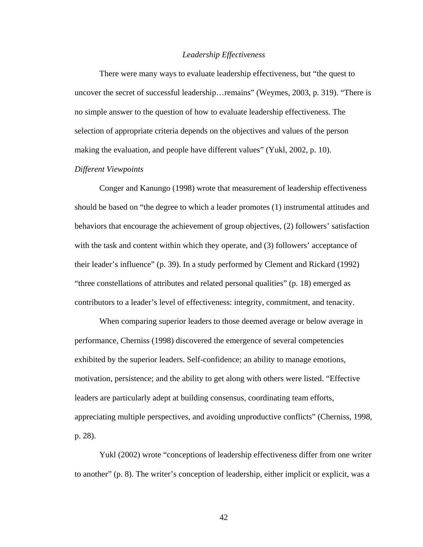### *Leadership Effectiveness*

 There were many ways to evaluate leadership effectiveness, but "the quest to uncover the secret of successful leadership…remains" (Weymes, 2003, p. 319). "There is no simple answer to the question of how to evaluate leadership effectiveness. The selection of appropriate criteria depends on the objectives and values of the person making the evaluation, and people have different values" (Yukl, 2002, p. 10).

# *Different Viewpoints*

 Conger and Kanungo (1998) wrote that measurement of leadership effectiveness should be based on "the degree to which a leader promotes (1) instrumental attitudes and behaviors that encourage the achievement of group objectives, (2) followers' satisfaction with the task and content within which they operate, and (3) followers' acceptance of their leader's influence" (p. 39). In a study performed by Clement and Rickard (1992) "three constellations of attributes and related personal qualities" (p. 18) emerged as contributors to a leader's level of effectiveness: integrity, commitment, and tenacity.

 When comparing superior leaders to those deemed average or below average in performance, Cherniss (1998) discovered the emergence of several competencies exhibited by the superior leaders. Self-confidence; an ability to manage emotions, motivation, persistence; and the ability to get along with others were listed. "Effective leaders are particularly adept at building consensus, coordinating team efforts, appreciating multiple perspectives, and avoiding unproductive conflicts" (Cherniss, 1998, p. 28).

 Yukl (2002) wrote "conceptions of leadership effectiveness differ from one writer to another" (p. 8). The writer's conception of leadership, either implicit or explicit, was a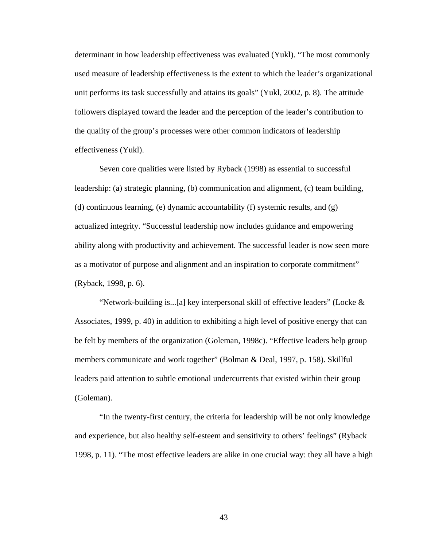determinant in how leadership effectiveness was evaluated (Yukl). "The most commonly used measure of leadership effectiveness is the extent to which the leader's organizational unit performs its task successfully and attains its goals" (Yukl, 2002, p. 8). The attitude followers displayed toward the leader and the perception of the leader's contribution to the quality of the group's processes were other common indicators of leadership effectiveness (Yukl).

 Seven core qualities were listed by Ryback (1998) as essential to successful leadership: (a) strategic planning, (b) communication and alignment, (c) team building, (d) continuous learning, (e) dynamic accountability (f) systemic results, and (g) actualized integrity. "Successful leadership now includes guidance and empowering ability along with productivity and achievement. The successful leader is now seen more as a motivator of purpose and alignment and an inspiration to corporate commitment" (Ryback, 1998, p. 6).

"Network-building is...[a] key interpersonal skill of effective leaders" (Locke  $\&$ Associates, 1999, p. 40) in addition to exhibiting a high level of positive energy that can be felt by members of the organization (Goleman, 1998c). "Effective leaders help group members communicate and work together" (Bolman & Deal, 1997, p. 158). Skillful leaders paid attention to subtle emotional undercurrents that existed within their group (Goleman).

 "In the twenty-first century, the criteria for leadership will be not only knowledge and experience, but also healthy self-esteem and sensitivity to others' feelings" (Ryback 1998, p. 11). "The most effective leaders are alike in one crucial way: they all have a high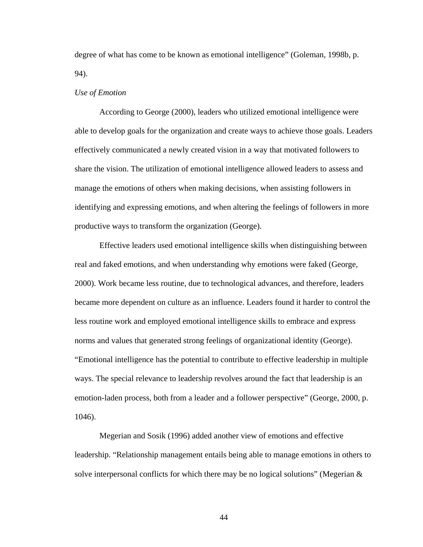degree of what has come to be known as emotional intelligence" (Goleman, 1998b, p. 94).

## *Use of Emotion*

 According to George (2000), leaders who utilized emotional intelligence were able to develop goals for the organization and create ways to achieve those goals. Leaders effectively communicated a newly created vision in a way that motivated followers to share the vision. The utilization of emotional intelligence allowed leaders to assess and manage the emotions of others when making decisions, when assisting followers in identifying and expressing emotions, and when altering the feelings of followers in more productive ways to transform the organization (George).

 Effective leaders used emotional intelligence skills when distinguishing between real and faked emotions, and when understanding why emotions were faked (George, 2000). Work became less routine, due to technological advances, and therefore, leaders became more dependent on culture as an influence. Leaders found it harder to control the less routine work and employed emotional intelligence skills to embrace and express norms and values that generated strong feelings of organizational identity (George). "Emotional intelligence has the potential to contribute to effective leadership in multiple ways. The special relevance to leadership revolves around the fact that leadership is an emotion-laden process, both from a leader and a follower perspective" (George, 2000, p. 1046).

 Megerian and Sosik (1996) added another view of emotions and effective leadership. "Relationship management entails being able to manage emotions in others to solve interpersonal conflicts for which there may be no logical solutions" (Megerian  $\&$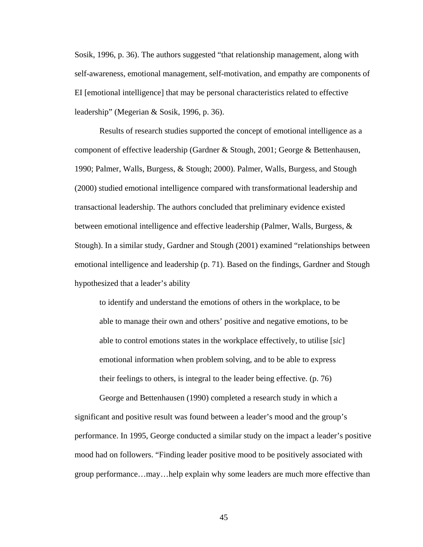Sosik, 1996, p. 36). The authors suggested "that relationship management, along with self-awareness, emotional management, self-motivation, and empathy are components of EI [emotional intelligence] that may be personal characteristics related to effective leadership" (Megerian & Sosik, 1996, p. 36).

 Results of research studies supported the concept of emotional intelligence as a component of effective leadership (Gardner & Stough, 2001; George & Bettenhausen, 1990; Palmer, Walls, Burgess, & Stough; 2000). Palmer, Walls, Burgess, and Stough (2000) studied emotional intelligence compared with transformational leadership and transactional leadership. The authors concluded that preliminary evidence existed between emotional intelligence and effective leadership (Palmer, Walls, Burgess, & Stough). In a similar study, Gardner and Stough (2001) examined "relationships between emotional intelligence and leadership (p. 71). Based on the findings, Gardner and Stough hypothesized that a leader's ability

to identify and understand the emotions of others in the workplace, to be able to manage their own and others' positive and negative emotions, to be able to control emotions states in the workplace effectively, to utilise [*sic*] emotional information when problem solving, and to be able to express their feelings to others, is integral to the leader being effective. (p. 76)

 George and Bettenhausen (1990) completed a research study in which a significant and positive result was found between a leader's mood and the group's performance. In 1995, George conducted a similar study on the impact a leader's positive mood had on followers. "Finding leader positive mood to be positively associated with group performance…may…help explain why some leaders are much more effective than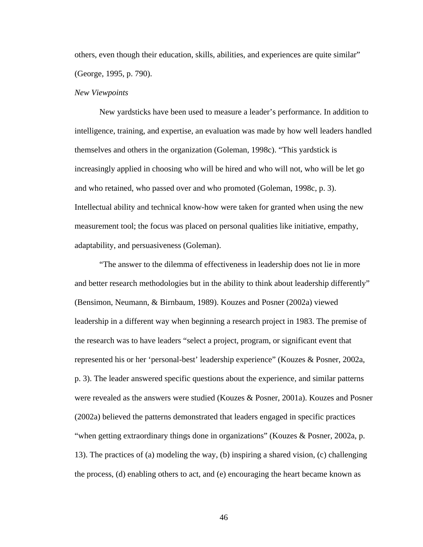others, even though their education, skills, abilities, and experiences are quite similar" (George, 1995, p. 790).

#### *New Viewpoints*

 New yardsticks have been used to measure a leader's performance. In addition to intelligence, training, and expertise, an evaluation was made by how well leaders handled themselves and others in the organization (Goleman, 1998c). "This yardstick is increasingly applied in choosing who will be hired and who will not, who will be let go and who retained, who passed over and who promoted (Goleman, 1998c, p. 3). Intellectual ability and technical know-how were taken for granted when using the new measurement tool; the focus was placed on personal qualities like initiative, empathy, adaptability, and persuasiveness (Goleman).

 "The answer to the dilemma of effectiveness in leadership does not lie in more and better research methodologies but in the ability to think about leadership differently" (Bensimon, Neumann, & Birnbaum, 1989). Kouzes and Posner (2002a) viewed leadership in a different way when beginning a research project in 1983. The premise of the research was to have leaders "select a project, program, or significant event that represented his or her 'personal-best' leadership experience" (Kouzes & Posner, 2002a, p. 3). The leader answered specific questions about the experience, and similar patterns were revealed as the answers were studied (Kouzes & Posner, 2001a). Kouzes and Posner (2002a) believed the patterns demonstrated that leaders engaged in specific practices "when getting extraordinary things done in organizations" (Kouzes & Posner, 2002a, p. 13). The practices of (a) modeling the way, (b) inspiring a shared vision, (c) challenging the process, (d) enabling others to act, and (e) encouraging the heart became known as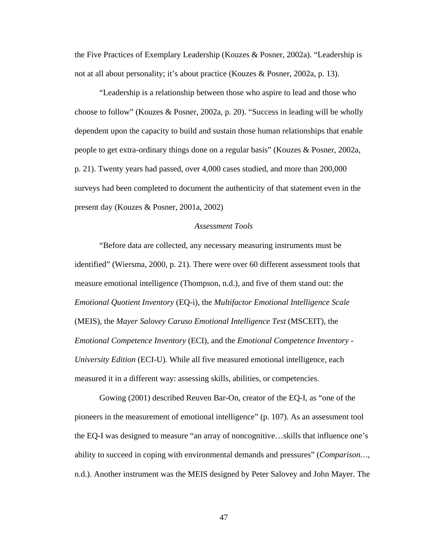the Five Practices of Exemplary Leadership (Kouzes & Posner, 2002a). "Leadership is not at all about personality; it's about practice (Kouzes & Posner, 2002a, p. 13).

 "Leadership is a relationship between those who aspire to lead and those who choose to follow" (Kouzes & Posner, 2002a, p. 20). "Success in leading will be wholly dependent upon the capacity to build and sustain those human relationships that enable people to get extra-ordinary things done on a regular basis" (Kouzes & Posner, 2002a, p. 21). Twenty years had passed, over 4,000 cases studied, and more than 200,000 surveys had been completed to document the authenticity of that statement even in the present day (Kouzes & Posner, 2001a, 2002)

## *Assessment Tools*

 "Before data are collected, any necessary measuring instruments must be identified" (Wiersma, 2000, p. 21). There were over 60 different assessment tools that measure emotional intelligence (Thompson, n.d.), and five of them stand out: the *Emotional Quotient Inventory* (EQ-i), the *Multifactor Emotional Intelligence Scale* (MEIS), the *Mayer Salovey Caruso Emotional Intelligence Test* (MSCEIT), the *Emotional Competence Inventory* (ECI), and the *Emotional Competence Inventory - University Edition* (ECI-U). While all five measured emotional intelligence, each measured it in a different way: assessing skills, abilities, or competencies.

 Gowing (2001) described Reuven Bar-On, creator of the EQ-I, as "one of the pioneers in the measurement of emotional intelligence" (p. 107). As an assessment tool the EQ-I was designed to measure "an array of noncognitive…skills that influence one's ability to succeed in coping with environmental demands and pressures" (*Comparison…*, n.d.). Another instrument was the MEIS designed by Peter Salovey and John Mayer. The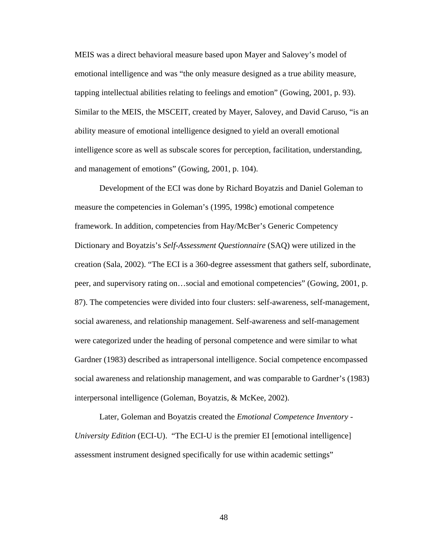MEIS was a direct behavioral measure based upon Mayer and Salovey's model of emotional intelligence and was "the only measure designed as a true ability measure, tapping intellectual abilities relating to feelings and emotion" (Gowing, 2001, p. 93). Similar to the MEIS, the MSCEIT, created by Mayer, Salovey, and David Caruso, "is an ability measure of emotional intelligence designed to yield an overall emotional intelligence score as well as subscale scores for perception, facilitation, understanding, and management of emotions" (Gowing, 2001, p. 104).

 Development of the ECI was done by Richard Boyatzis and Daniel Goleman to measure the competencies in Goleman's (1995, 1998c) emotional competence framework. In addition, competencies from Hay/McBer's Generic Competency Dictionary and Boyatzis's *Self-Assessment Questionnaire* (SAQ) were utilized in the creation (Sala, 2002). "The ECI is a 360-degree assessment that gathers self, subordinate, peer, and supervisory rating on…social and emotional competencies" (Gowing, 2001, p. 87). The competencies were divided into four clusters: self-awareness, self-management, social awareness, and relationship management. Self-awareness and self-management were categorized under the heading of personal competence and were similar to what Gardner (1983) described as intrapersonal intelligence. Social competence encompassed social awareness and relationship management, and was comparable to Gardner's (1983) interpersonal intelligence (Goleman, Boyatzis, & McKee, 2002).

 Later, Goleman and Boyatzis created the *Emotional Competence Inventory - University Edition* (ECI-U). "The ECI-U is the premier EI [emotional intelligence] assessment instrument designed specifically for use within academic settings"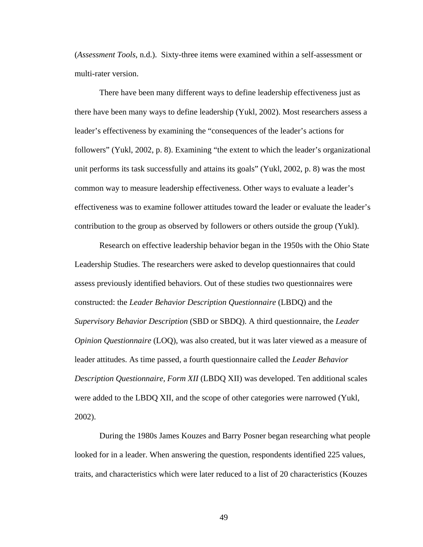(*Assessment Tools*, n.d.). Sixty-three items were examined within a self-assessment or multi-rater version.

 There have been many different ways to define leadership effectiveness just as there have been many ways to define leadership (Yukl, 2002). Most researchers assess a leader's effectiveness by examining the "consequences of the leader's actions for followers" (Yukl, 2002, p. 8). Examining "the extent to which the leader's organizational unit performs its task successfully and attains its goals" (Yukl, 2002, p. 8) was the most common way to measure leadership effectiveness. Other ways to evaluate a leader's effectiveness was to examine follower attitudes toward the leader or evaluate the leader's contribution to the group as observed by followers or others outside the group (Yukl).

 Research on effective leadership behavior began in the 1950s with the Ohio State Leadership Studies. The researchers were asked to develop questionnaires that could assess previously identified behaviors. Out of these studies two questionnaires were constructed: the *Leader Behavior Description Questionnaire* (LBDQ) and the *Supervisory Behavior Description* (SBD or SBDQ). A third questionnaire, the *Leader Opinion Questionnaire* (LOQ), was also created, but it was later viewed as a measure of leader attitudes. As time passed, a fourth questionnaire called the *Leader Behavior Description Questionnaire, Form XII* (LBDQ XII) was developed. Ten additional scales were added to the LBDQ XII, and the scope of other categories were narrowed (Yukl, 2002).

 During the 1980s James Kouzes and Barry Posner began researching what people looked for in a leader. When answering the question, respondents identified 225 values, traits, and characteristics which were later reduced to a list of 20 characteristics (Kouzes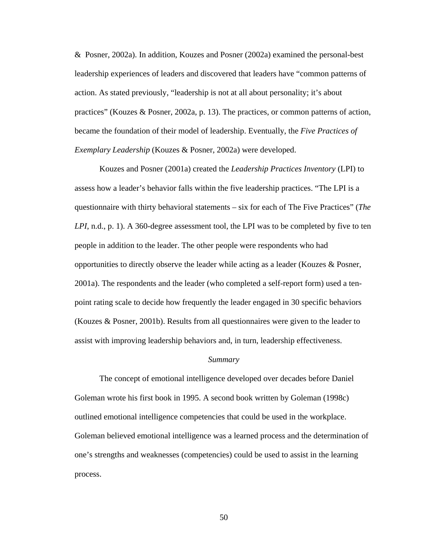& Posner, 2002a). In addition, Kouzes and Posner (2002a) examined the personal-best leadership experiences of leaders and discovered that leaders have "common patterns of action. As stated previously, "leadership is not at all about personality; it's about practices" (Kouzes & Posner, 2002a, p. 13). The practices, or common patterns of action, became the foundation of their model of leadership. Eventually, the *Five Practices of Exemplary Leadership* (Kouzes & Posner, 2002a) were developed.

 Kouzes and Posner (2001a) created the *Leadership Practices Inventory* (LPI) to assess how a leader's behavior falls within the five leadership practices. "The LPI is a questionnaire with thirty behavioral statements – six for each of The Five Practices" (*The LPI*, n.d., p. 1). A 360-degree assessment tool, the LPI was to be completed by five to ten people in addition to the leader. The other people were respondents who had opportunities to directly observe the leader while acting as a leader (Kouzes & Posner, 2001a). The respondents and the leader (who completed a self-report form) used a tenpoint rating scale to decide how frequently the leader engaged in 30 specific behaviors (Kouzes & Posner, 2001b). Results from all questionnaires were given to the leader to assist with improving leadership behaviors and, in turn, leadership effectiveness.

### *Summary*

The concept of emotional intelligence developed over decades before Daniel Goleman wrote his first book in 1995. A second book written by Goleman (1998c) outlined emotional intelligence competencies that could be used in the workplace. Goleman believed emotional intelligence was a learned process and the determination of one's strengths and weaknesses (competencies) could be used to assist in the learning process.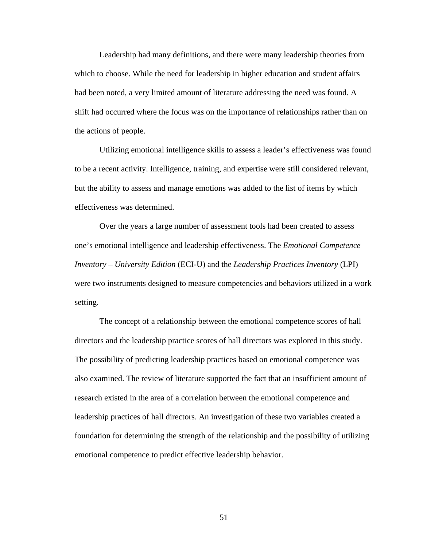Leadership had many definitions, and there were many leadership theories from which to choose. While the need for leadership in higher education and student affairs had been noted, a very limited amount of literature addressing the need was found. A shift had occurred where the focus was on the importance of relationships rather than on the actions of people.

 Utilizing emotional intelligence skills to assess a leader's effectiveness was found to be a recent activity. Intelligence, training, and expertise were still considered relevant, but the ability to assess and manage emotions was added to the list of items by which effectiveness was determined.

Over the years a large number of assessment tools had been created to assess one's emotional intelligence and leadership effectiveness. The *Emotional Competence Inventory – University Edition* (ECI-U) and the *Leadership Practices Inventory* (LPI) were two instruments designed to measure competencies and behaviors utilized in a work setting.

The concept of a relationship between the emotional competence scores of hall directors and the leadership practice scores of hall directors was explored in this study. The possibility of predicting leadership practices based on emotional competence was also examined. The review of literature supported the fact that an insufficient amount of research existed in the area of a correlation between the emotional competence and leadership practices of hall directors. An investigation of these two variables created a foundation for determining the strength of the relationship and the possibility of utilizing emotional competence to predict effective leadership behavior.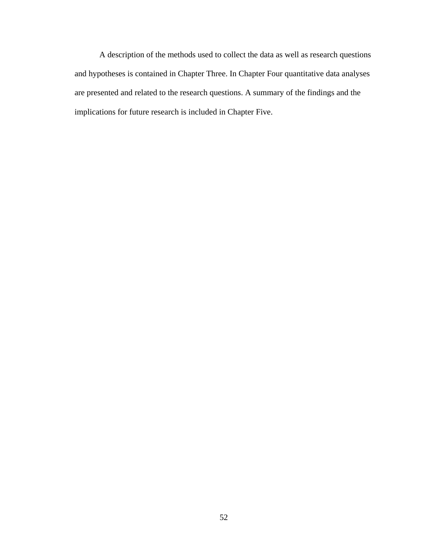A description of the methods used to collect the data as well as research questions and hypotheses is contained in Chapter Three. In Chapter Four quantitative data analyses are presented and related to the research questions. A summary of the findings and the implications for future research is included in Chapter Five.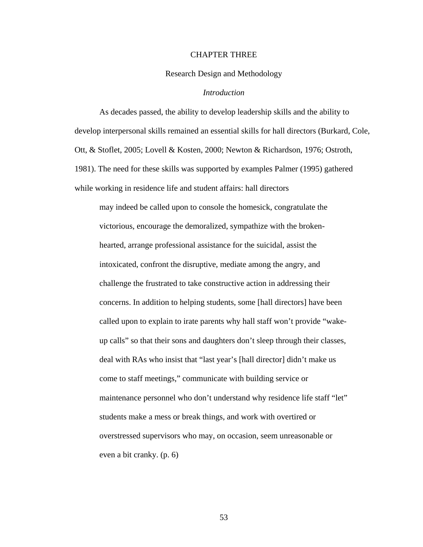### CHAPTER THREE

### Research Design and Methodology

## *Introduction*

 As decades passed, the ability to develop leadership skills and the ability to develop interpersonal skills remained an essential skills for hall directors (Burkard, Cole, Ott, & Stoflet, 2005; Lovell & Kosten, 2000; Newton & Richardson, 1976; Ostroth, 1981). The need for these skills was supported by examples Palmer (1995) gathered while working in residence life and student affairs: hall directors

may indeed be called upon to console the homesick, congratulate the victorious, encourage the demoralized, sympathize with the brokenhearted, arrange professional assistance for the suicidal, assist the intoxicated, confront the disruptive, mediate among the angry, and challenge the frustrated to take constructive action in addressing their concerns. In addition to helping students, some [hall directors] have been called upon to explain to irate parents why hall staff won't provide "wakeup calls" so that their sons and daughters don't sleep through their classes, deal with RAs who insist that "last year's [hall director] didn't make us come to staff meetings," communicate with building service or maintenance personnel who don't understand why residence life staff "let" students make a mess or break things, and work with overtired or overstressed supervisors who may, on occasion, seem unreasonable or even a bit cranky. (p. 6)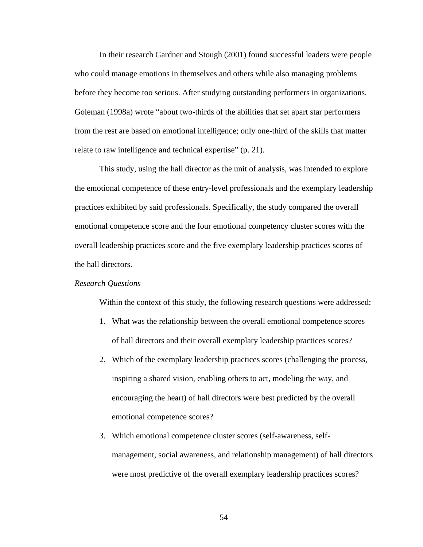In their research Gardner and Stough (2001) found successful leaders were people who could manage emotions in themselves and others while also managing problems before they become too serious. After studying outstanding performers in organizations, Goleman (1998a) wrote "about two-thirds of the abilities that set apart star performers from the rest are based on emotional intelligence; only one-third of the skills that matter relate to raw intelligence and technical expertise" (p. 21).

This study, using the hall director as the unit of analysis, was intended to explore the emotional competence of these entry-level professionals and the exemplary leadership practices exhibited by said professionals. Specifically, the study compared the overall emotional competence score and the four emotional competency cluster scores with the overall leadership practices score and the five exemplary leadership practices scores of the hall directors.

## *Research Questions*

Within the context of this study, the following research questions were addressed:

- 1. What was the relationship between the overall emotional competence scores of hall directors and their overall exemplary leadership practices scores?
- 2. Which of the exemplary leadership practices scores (challenging the process, inspiring a shared vision, enabling others to act, modeling the way, and encouraging the heart) of hall directors were best predicted by the overall emotional competence scores?
- 3. Which emotional competence cluster scores (self-awareness, selfmanagement, social awareness, and relationship management) of hall directors were most predictive of the overall exemplary leadership practices scores?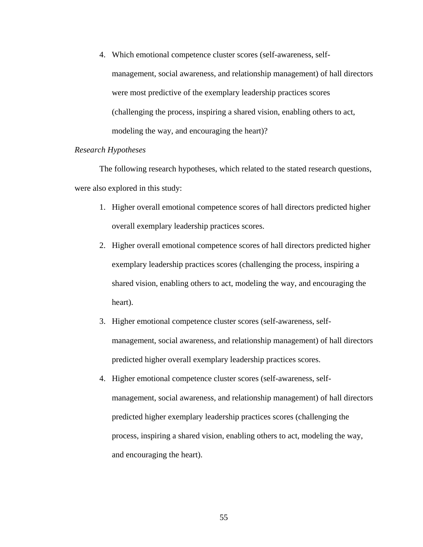4. Which emotional competence cluster scores (self-awareness, selfmanagement, social awareness, and relationship management) of hall directors were most predictive of the exemplary leadership practices scores (challenging the process, inspiring a shared vision, enabling others to act, modeling the way, and encouraging the heart)?

# *Research Hypotheses*

 The following research hypotheses, which related to the stated research questions, were also explored in this study:

- 1. Higher overall emotional competence scores of hall directors predicted higher overall exemplary leadership practices scores.
- 2. Higher overall emotional competence scores of hall directors predicted higher exemplary leadership practices scores (challenging the process, inspiring a shared vision, enabling others to act, modeling the way, and encouraging the heart).
- 3. Higher emotional competence cluster scores (self-awareness, selfmanagement, social awareness, and relationship management) of hall directors predicted higher overall exemplary leadership practices scores.
- 4. Higher emotional competence cluster scores (self-awareness, selfmanagement, social awareness, and relationship management) of hall directors predicted higher exemplary leadership practices scores (challenging the process, inspiring a shared vision, enabling others to act, modeling the way, and encouraging the heart).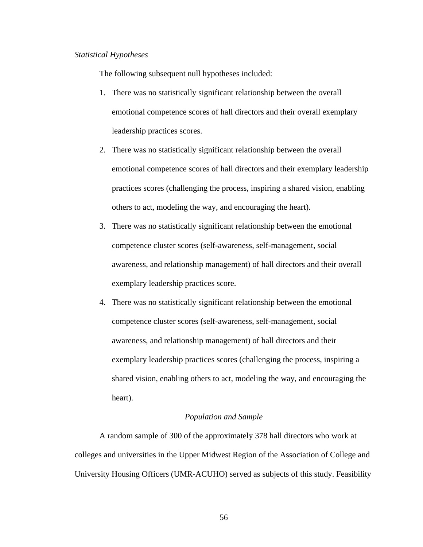### *Statistical Hypotheses*

The following subsequent null hypotheses included:

- 1. There was no statistically significant relationship between the overall emotional competence scores of hall directors and their overall exemplary leadership practices scores.
- 2. There was no statistically significant relationship between the overall emotional competence scores of hall directors and their exemplary leadership practices scores (challenging the process, inspiring a shared vision, enabling others to act, modeling the way, and encouraging the heart).
- 3. There was no statistically significant relationship between the emotional competence cluster scores (self-awareness, self-management, social awareness, and relationship management) of hall directors and their overall exemplary leadership practices score.
- 4. There was no statistically significant relationship between the emotional competence cluster scores (self-awareness, self-management, social awareness, and relationship management) of hall directors and their exemplary leadership practices scores (challenging the process, inspiring a shared vision, enabling others to act, modeling the way, and encouraging the heart).

## *Population and Sample*

 A random sample of 300 of the approximately 378 hall directors who work at colleges and universities in the Upper Midwest Region of the Association of College and University Housing Officers (UMR-ACUHO) served as subjects of this study. Feasibility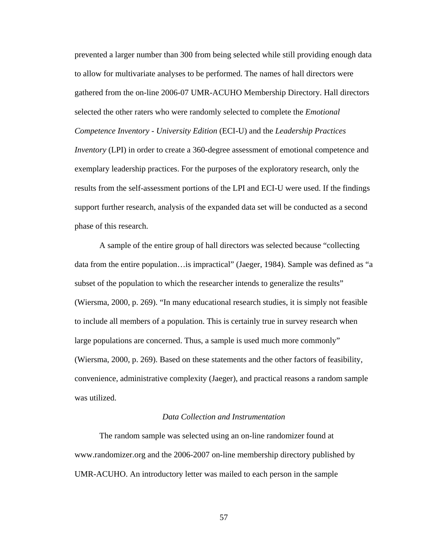prevented a larger number than 300 from being selected while still providing enough data to allow for multivariate analyses to be performed. The names of hall directors were gathered from the on-line 2006-07 UMR-ACUHO Membership Directory. Hall directors selected the other raters who were randomly selected to complete the *Emotional Competence Inventory - University Edition* (ECI-U) and the *Leadership Practices Inventory* (LPI) in order to create a 360-degree assessment of emotional competence and exemplary leadership practices. For the purposes of the exploratory research, only the results from the self-assessment portions of the LPI and ECI-U were used. If the findings support further research, analysis of the expanded data set will be conducted as a second phase of this research.

 A sample of the entire group of hall directors was selected because "collecting data from the entire population…is impractical" (Jaeger, 1984). Sample was defined as "a subset of the population to which the researcher intends to generalize the results" (Wiersma, 2000, p. 269). "In many educational research studies, it is simply not feasible to include all members of a population. This is certainly true in survey research when large populations are concerned. Thus, a sample is used much more commonly" (Wiersma, 2000, p. 269). Based on these statements and the other factors of feasibility, convenience, administrative complexity (Jaeger), and practical reasons a random sample was utilized.

# *Data Collection and Instrumentation*

 The random sample was selected using an on-line randomizer found at [www.randomizer.org](http://www.randomizer.org/) and the 2006-2007 on-line membership directory published by UMR-ACUHO. An introductory letter was mailed to each person in the sample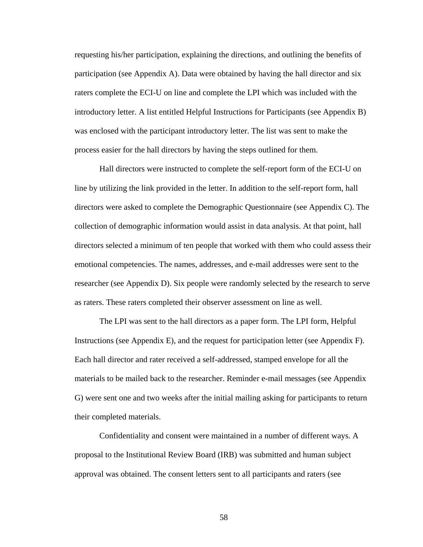requesting his/her participation, explaining the directions, and outlining the benefits of participation (see Appendix A). Data were obtained by having the hall director and six raters complete the ECI-U on line and complete the LPI which was included with the introductory letter. A list entitled Helpful Instructions for Participants (see Appendix B) was enclosed with the participant introductory letter. The list was sent to make the process easier for the hall directors by having the steps outlined for them.

 Hall directors were instructed to complete the self-report form of the ECI-U on line by utilizing the link provided in the letter. In addition to the self-report form, hall directors were asked to complete the Demographic Questionnaire (see Appendix C). The collection of demographic information would assist in data analysis. At that point, hall directors selected a minimum of ten people that worked with them who could assess their emotional competencies. The names, addresses, and e-mail addresses were sent to the researcher (see Appendix D). Six people were randomly selected by the research to serve as raters. These raters completed their observer assessment on line as well.

 The LPI was sent to the hall directors as a paper form. The LPI form, Helpful Instructions (see Appendix E), and the request for participation letter (see Appendix F). Each hall director and rater received a self-addressed, stamped envelope for all the materials to be mailed back to the researcher. Reminder e-mail messages (see Appendix G) were sent one and two weeks after the initial mailing asking for participants to return their completed materials.

 Confidentiality and consent were maintained in a number of different ways. A proposal to the Institutional Review Board (IRB) was submitted and human subject approval was obtained. The consent letters sent to all participants and raters (see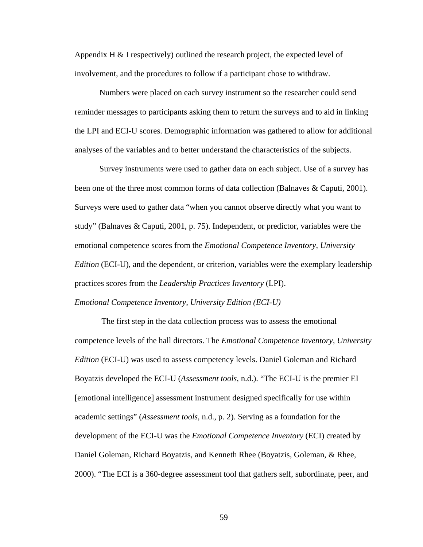Appendix H & I respectively) outlined the research project, the expected level of involvement, and the procedures to follow if a participant chose to withdraw.

 Numbers were placed on each survey instrument so the researcher could send reminder messages to participants asking them to return the surveys and to aid in linking the LPI and ECI-U scores. Demographic information was gathered to allow for additional analyses of the variables and to better understand the characteristics of the subjects.

 Survey instruments were used to gather data on each subject. Use of a survey has been one of the three most common forms of data collection (Balnaves & Caputi, 2001). Surveys were used to gather data "when you cannot observe directly what you want to study" (Balnaves & Caputi, 2001, p. 75). Independent, or predictor, variables were the emotional competence scores from the *Emotional Competence Inventory, University Edition* (ECI-U), and the dependent, or criterion, variables were the exemplary leadership practices scores from the *Leadership Practices Inventory* (LPI). *Emotional Competence Inventory, University Edition (ECI-U)* 

 The first step in the data collection process was to assess the emotional competence levels of the hall directors. The *Emotional Competence Inventory, University Edition* (ECI-U) was used to assess competency levels. Daniel Goleman and Richard Boyatzis developed the ECI-U (*Assessment tools*, n.d.). "The ECI-U is the premier EI [emotional intelligence] assessment instrument designed specifically for use within academic settings" (*Assessment tools*, n.d., p. 2). Serving as a foundation for the development of the ECI-U was the *Emotional Competence Inventory* (ECI) created by Daniel Goleman, Richard Boyatzis, and Kenneth Rhee (Boyatzis, Goleman, & Rhee, 2000). "The ECI is a 360-degree assessment tool that gathers self, subordinate, peer, and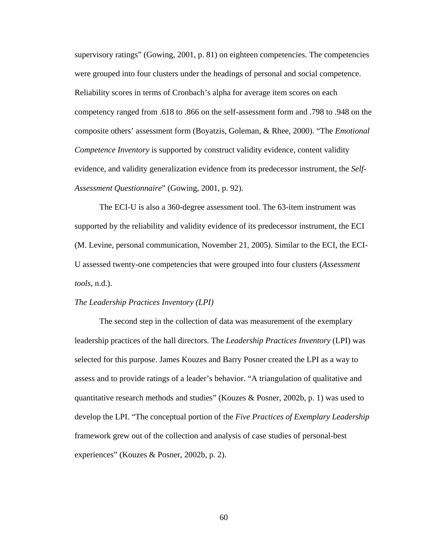supervisory ratings" (Gowing, 2001, p. 81) on eighteen competencies. The competencies were grouped into four clusters under the headings of personal and social competence. Reliability scores in terms of Cronbach's alpha for average item scores on each competency ranged from .618 to .866 on the self-assessment form and .798 to .948 on the composite others' assessment form (Boyatzis, Goleman, & Rhee, 2000). "The *Emotional Competence Inventory* is supported by construct validity evidence, content validity evidence, and validity generalization evidence from its predecessor instrument, the *Self-Assessment Questionnaire*" (Gowing, 2001, p. 92).

 The ECI-U is also a 360-degree assessment tool. The 63-item instrument was supported by the reliability and validity evidence of its predecessor instrument, the ECI (M. Levine, personal communication, November 21, 2005). Similar to the ECI, the ECI-U assessed twenty-one competencies that were grouped into four clusters (*Assessment tools*, n.d.).

#### *The Leadership Practices Inventory (LPI)*

 The second step in the collection of data was measurement of the exemplary leadership practices of the hall directors. The *Leadership Practices Inventory* (LPI) was selected for this purpose. James Kouzes and Barry Posner created the LPI as a way to assess and to provide ratings of a leader's behavior. "A triangulation of qualitative and quantitative research methods and studies" (Kouzes & Posner, 2002b, p. 1) was used to develop the LPI. "The conceptual portion of the *Five Practices of Exemplary Leadership* framework grew out of the collection and analysis of case studies of personal-best experiences" (Kouzes & Posner, 2002b, p. 2).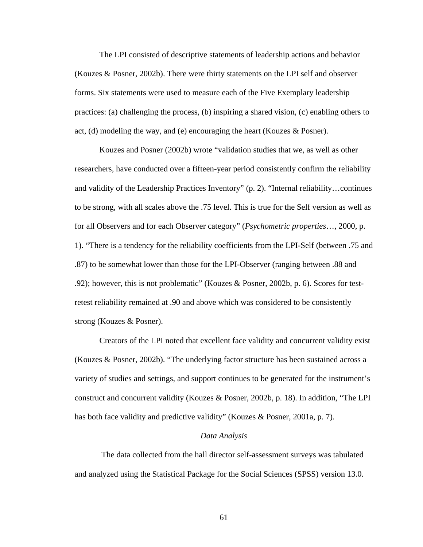The LPI consisted of descriptive statements of leadership actions and behavior (Kouzes & Posner, 2002b). There were thirty statements on the LPI self and observer forms. Six statements were used to measure each of the Five Exemplary leadership practices: (a) challenging the process, (b) inspiring a shared vision, (c) enabling others to act, (d) modeling the way, and (e) encouraging the heart (Kouzes  $\&$  Posner).

Kouzes and Posner (2002b) wrote "validation studies that we, as well as other researchers, have conducted over a fifteen-year period consistently confirm the reliability and validity of the Leadership Practices Inventory" (p. 2). "Internal reliability…continues to be strong, with all scales above the .75 level. This is true for the Self version as well as for all Observers and for each Observer category" (*Psychometric properties*…, 2000, p. 1). "There is a tendency for the reliability coefficients from the LPI-Self (between .75 and .87) to be somewhat lower than those for the LPI-Observer (ranging between .88 and .92); however, this is not problematic" (Kouzes & Posner, 2002b, p. 6). Scores for testretest reliability remained at .90 and above which was considered to be consistently strong (Kouzes & Posner).

Creators of the LPI noted that excellent face validity and concurrent validity exist (Kouzes & Posner, 2002b). "The underlying factor structure has been sustained across a variety of studies and settings, and support continues to be generated for the instrument's construct and concurrent validity (Kouzes & Posner, 2002b, p. 18). In addition, "The LPI has both face validity and predictive validity" (Kouzes & Posner, 2001a, p. 7).

### *Data Analysis*

 The data collected from the hall director self-assessment surveys was tabulated and analyzed using the Statistical Package for the Social Sciences (SPSS) version 13.0.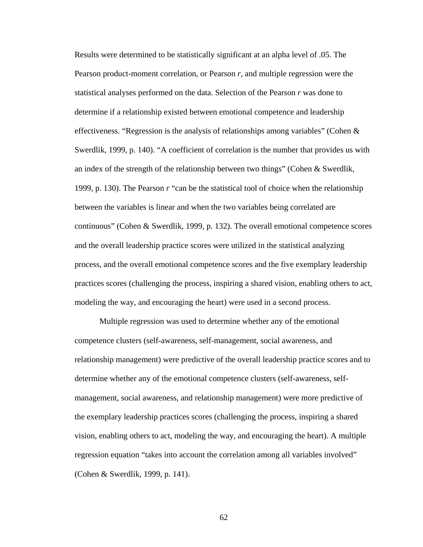Results were determined to be statistically significant at an alpha level of .05. The Pearson product-moment correlation, or Pearson *r*, and multiple regression were the statistical analyses performed on the data. Selection of the Pearson *r* was done to determine if a relationship existed between emotional competence and leadership effectiveness. "Regression is the analysis of relationships among variables" (Cohen  $\&$ Swerdlik, 1999, p. 140). "A coefficient of correlation is the number that provides us with an index of the strength of the relationship between two things" (Cohen & Swerdlik, 1999, p. 130). The Pearson *r* "can be the statistical tool of choice when the relationship between the variables is linear and when the two variables being correlated are continuous" (Cohen & Swerdlik, 1999, p. 132). The overall emotional competence scores and the overall leadership practice scores were utilized in the statistical analyzing process, and the overall emotional competence scores and the five exemplary leadership practices scores (challenging the process, inspiring a shared vision, enabling others to act, modeling the way, and encouraging the heart) were used in a second process.

 Multiple regression was used to determine whether any of the emotional competence clusters (self-awareness, self-management, social awareness, and relationship management) were predictive of the overall leadership practice scores and to determine whether any of the emotional competence clusters (self-awareness, selfmanagement, social awareness, and relationship management) were more predictive of the exemplary leadership practices scores (challenging the process, inspiring a shared vision, enabling others to act, modeling the way, and encouraging the heart). A multiple regression equation "takes into account the correlation among all variables involved" (Cohen & Swerdlik, 1999, p. 141).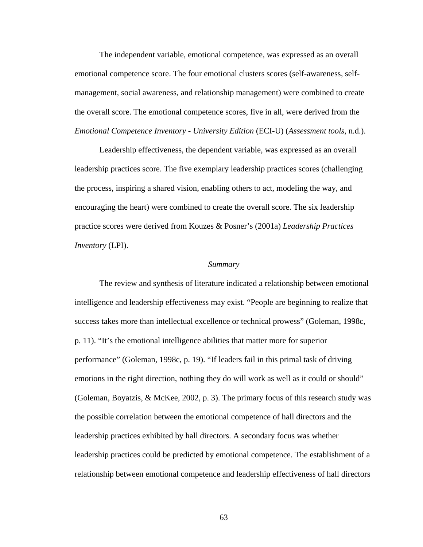The independent variable, emotional competence, was expressed as an overall emotional competence score. The four emotional clusters scores (self-awareness, selfmanagement, social awareness, and relationship management) were combined to create the overall score. The emotional competence scores, five in all, were derived from the *Emotional Competence Inventory - University Edition* (ECI-U) (*Assessment tools*, n.d.).

 Leadership effectiveness, the dependent variable, was expressed as an overall leadership practices score. The five exemplary leadership practices scores (challenging the process, inspiring a shared vision, enabling others to act, modeling the way, and encouraging the heart) were combined to create the overall score. The six leadership practice scores were derived from Kouzes & Posner's (2001a) *Leadership Practices Inventory* (LPI).

#### *Summary*

 The review and synthesis of literature indicated a relationship between emotional intelligence and leadership effectiveness may exist. "People are beginning to realize that success takes more than intellectual excellence or technical prowess" (Goleman, 1998c, p. 11). "It's the emotional intelligence abilities that matter more for superior performance" (Goleman, 1998c, p. 19). "If leaders fail in this primal task of driving emotions in the right direction, nothing they do will work as well as it could or should" (Goleman, Boyatzis, & McKee, 2002, p. 3). The primary focus of this research study was the possible correlation between the emotional competence of hall directors and the leadership practices exhibited by hall directors. A secondary focus was whether leadership practices could be predicted by emotional competence. The establishment of a relationship between emotional competence and leadership effectiveness of hall directors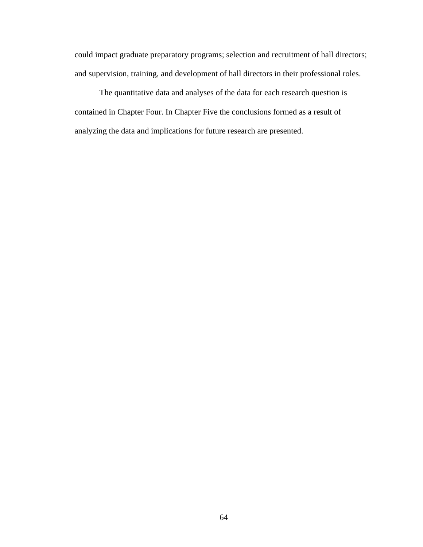could impact graduate preparatory programs; selection and recruitment of hall directors; and supervision, training, and development of hall directors in their professional roles.

The quantitative data and analyses of the data for each research question is contained in Chapter Four. In Chapter Five the conclusions formed as a result of analyzing the data and implications for future research are presented.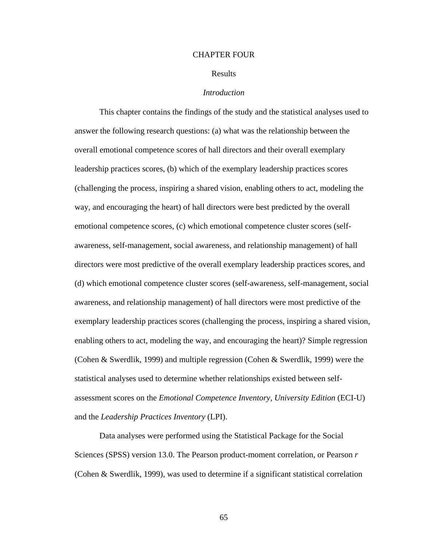#### CHAPTER FOUR

#### Results

## *Introduction*

This chapter contains the findings of the study and the statistical analyses used to answer the following research questions: (a) what was the relationship between the overall emotional competence scores of hall directors and their overall exemplary leadership practices scores, (b) which of the exemplary leadership practices scores (challenging the process, inspiring a shared vision, enabling others to act, modeling the way, and encouraging the heart) of hall directors were best predicted by the overall emotional competence scores, (c) which emotional competence cluster scores (selfawareness, self-management, social awareness, and relationship management) of hall directors were most predictive of the overall exemplary leadership practices scores, and (d) which emotional competence cluster scores (self-awareness, self-management, social awareness, and relationship management) of hall directors were most predictive of the exemplary leadership practices scores (challenging the process, inspiring a shared vision, enabling others to act, modeling the way, and encouraging the heart)? Simple regression (Cohen & Swerdlik, 1999) and multiple regression (Cohen & Swerdlik, 1999) were the statistical analyses used to determine whether relationships existed between selfassessment scores on the *Emotional Competence Inventory, University Edition* (ECI-U) and the *Leadership Practices Inventory* (LPI).

Data analyses were performed using the Statistical Package for the Social Sciences (SPSS) version 13.0. The Pearson product-moment correlation, or Pearson *r* (Cohen & Swerdlik, 1999), was used to determine if a significant statistical correlation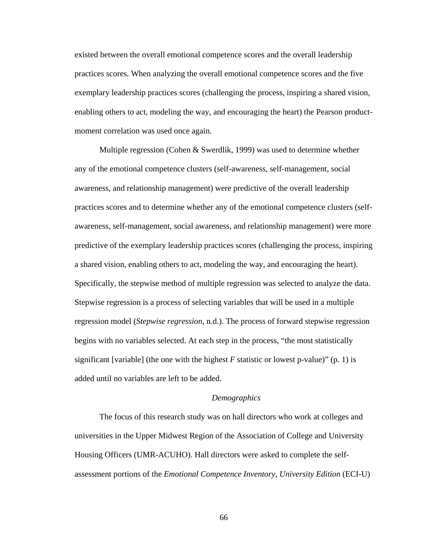existed between the overall emotional competence scores and the overall leadership practices scores. When analyzing the overall emotional competence scores and the five exemplary leadership practices scores (challenging the process, inspiring a shared vision, enabling others to act, modeling the way, and encouraging the heart) the Pearson productmoment correlation was used once again.

Multiple regression (Cohen & Swerdlik, 1999) was used to determine whether any of the emotional competence clusters (self-awareness, self-management, social awareness, and relationship management) were predictive of the overall leadership practices scores and to determine whether any of the emotional competence clusters (selfawareness, self-management, social awareness, and relationship management) were more predictive of the exemplary leadership practices scores (challenging the process, inspiring a shared vision, enabling others to act, modeling the way, and encouraging the heart). Specifically, the stepwise method of multiple regression was selected to analyze the data. Stepwise regression is a process of selecting variables that will be used in a multiple regression model (*Stepwise regression*, n.d.). The process of forward stepwise regression begins with no variables selected. At each step in the process, "the most statistically significant [variable] (the one with the highest  $F$  statistic or lowest p-value)" (p. 1) is added until no variables are left to be added.

#### *Demographics*

The focus of this research study was on hall directors who work at colleges and universities in the Upper Midwest Region of the Association of College and University Housing Officers (UMR-ACUHO). Hall directors were asked to complete the selfassessment portions of the *Emotional Competence Inventory, University Edition* (ECI-U)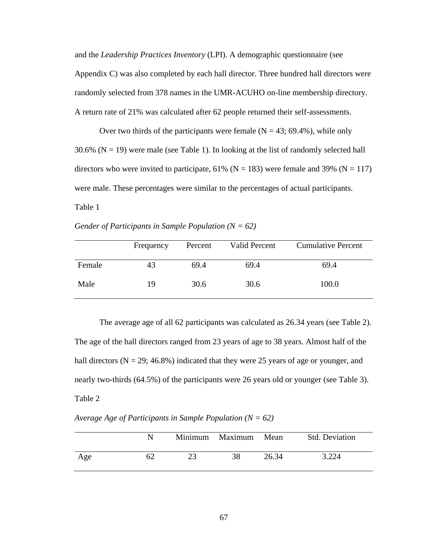and the *Leadership Practices Inventory* (LPI). A demographic questionnaire (see Appendix C) was also completed by each hall director. Three hundred hall directors were randomly selected from 378 names in the UMR-ACUHO on-line membership directory. A return rate of 21% was calculated after 62 people returned their self-assessments.

Over two thirds of the participants were female  $(N = 43; 69.4\%)$ , while only 30.6% ( $N = 19$ ) were male (see Table 1). In looking at the list of randomly selected hall directors who were invited to participate, 61% ( $N = 183$ ) were female and 39% ( $N = 117$ ) were male. These percentages were similar to the percentages of actual participants. Table 1

*Gender of Participants in Sample Population (N = 62)* 

|        | Frequency | Percent | <b>Valid Percent</b> | <b>Cumulative Percent</b> |
|--------|-----------|---------|----------------------|---------------------------|
| Female | 43        | 69.4    | 69.4                 | 69.4                      |
| Male   | 19        | 30.6    | 30.6                 | 100.0                     |

The average age of all 62 participants was calculated as 26.34 years (see Table 2). The age of the hall directors ranged from 23 years of age to 38 years. Almost half of the hall directors ( $N = 29$ ; 46.8%) indicated that they were 25 years of age or younger, and nearly two-thirds (64.5%) of the participants were 26 years old or younger (see Table 3). Table 2

*Average Age of Participants in Sample Population (N = 62)*

|     |    | Minimum Maximum Mean |       | <b>Std. Deviation</b> |
|-----|----|----------------------|-------|-----------------------|
| Age | 62 | 38                   | 26.34 | 3.224                 |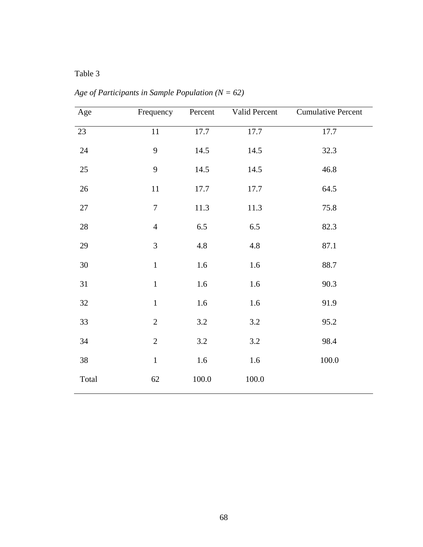# Table 3

| Age             | Frequency        | Percent | Valid Percent | <b>Cumulative Percent</b> |
|-----------------|------------------|---------|---------------|---------------------------|
| $\overline{23}$ | 11               | 17.7    | 17.7          | 17.7                      |
| $24\,$          | 9                | 14.5    | 14.5          | 32.3                      |
| 25              | 9                | 14.5    | 14.5          | 46.8                      |
| $26\,$          | $11\,$           | 17.7    | 17.7          | 64.5                      |
| $27\,$          | $\boldsymbol{7}$ | 11.3    | 11.3          | 75.8                      |
| $28\,$          | $\overline{4}$   | $6.5\,$ | $6.5\,$       | 82.3                      |
| 29              | $\mathfrak{Z}$   | 4.8     | 4.8           | 87.1                      |
| $30\,$          | $\,1\,$          | 1.6     | 1.6           | 88.7                      |
| 31              | $\mathbf 1$      | 1.6     | 1.6           | 90.3                      |
| 32              | $\,1$            | $1.6\,$ | 1.6           | 91.9                      |
| 33              | $\sqrt{2}$       | $3.2\,$ | $3.2\,$       | 95.2                      |
| 34              | $\sqrt{2}$       | $3.2\,$ | $3.2\,$       | 98.4                      |
| 38              | $\mathbf 1$      | 1.6     | 1.6           | 100.0                     |
| Total           | 62               | 100.0   | 100.0         |                           |

*Age of Participants in Sample Population (N = 62)*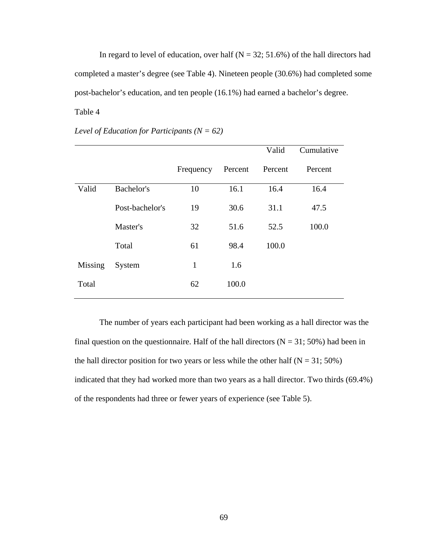In regard to level of education, over half  $(N = 32; 51.6%)$  of the hall directors had completed a master's degree (see Table 4). Nineteen people (30.6%) had completed some post-bachelor's education, and ten people (16.1%) had earned a bachelor's degree. Table 4

|                |                 |              |         | Valid   | Cumulative |
|----------------|-----------------|--------------|---------|---------|------------|
|                |                 | Frequency    | Percent | Percent | Percent    |
| Valid          | Bachelor's      | 10           | 16.1    | 16.4    | 16.4       |
|                | Post-bachelor's | 19           | 30.6    | 31.1    | 47.5       |
|                | Master's        | 32           | 51.6    | 52.5    | 100.0      |
|                | Total           | 61           | 98.4    | 100.0   |            |
| <b>Missing</b> | System          | $\mathbf{1}$ | 1.6     |         |            |
| Total          |                 | 62           | 100.0   |         |            |

*Level of Education for Participants (N = 62)* 

The number of years each participant had been working as a hall director was the final question on the questionnaire. Half of the hall directors ( $N = 31$ ; 50%) had been in the hall director position for two years or less while the other half  $(N = 31; 50\%)$ indicated that they had worked more than two years as a hall director. Two thirds (69.4%) of the respondents had three or fewer years of experience (see Table 5).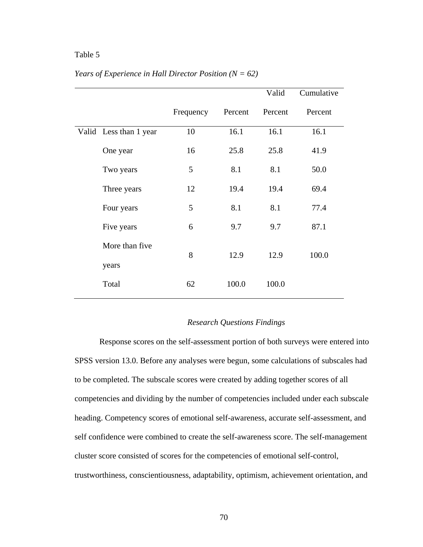## Table 5

|                        |           |         | Valid   | Cumulative |
|------------------------|-----------|---------|---------|------------|
|                        | Frequency | Percent | Percent | Percent    |
| Valid Less than 1 year | 10        | 16.1    | 16.1    | 16.1       |
| One year               | 16        | 25.8    | 25.8    | 41.9       |
| Two years              | 5         | 8.1     | 8.1     | 50.0       |
| Three years            | 12        | 19.4    | 19.4    | 69.4       |
| Four years             | 5         | 8.1     | 8.1     | 77.4       |
| Five years             | 6         | 9.7     | 9.7     | 87.1       |
| More than five         | 8         | 12.9    | 12.9    | 100.0      |
| years                  |           |         |         |            |
| Total                  | 62        | 100.0   | 100.0   |            |

## *Years of Experience in Hall Director Position (N = 62)*

## *Research Questions Findings*

Response scores on the self-assessment portion of both surveys were entered into SPSS version 13.0. Before any analyses were begun, some calculations of subscales had to be completed. The subscale scores were created by adding together scores of all competencies and dividing by the number of competencies included under each subscale heading. Competency scores of emotional self-awareness, accurate self-assessment, and self confidence were combined to create the self-awareness score. The self-management cluster score consisted of scores for the competencies of emotional self-control, trustworthiness, conscientiousness, adaptability, optimism, achievement orientation, and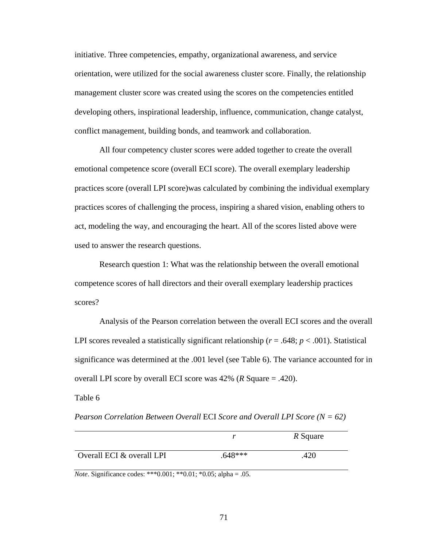initiative. Three competencies, empathy, organizational awareness, and service orientation, were utilized for the social awareness cluster score. Finally, the relationship management cluster score was created using the scores on the competencies entitled developing others, inspirational leadership, influence, communication, change catalyst, conflict management, building bonds, and teamwork and collaboration.

All four competency cluster scores were added together to create the overall emotional competence score (overall ECI score). The overall exemplary leadership practices score (overall LPI score)was calculated by combining the individual exemplary practices scores of challenging the process, inspiring a shared vision, enabling others to act, modeling the way, and encouraging the heart. All of the scores listed above were used to answer the research questions.

Research question 1: What was the relationship between the overall emotional competence scores of hall directors and their overall exemplary leadership practices scores?

Analysis of the Pearson correlation between the overall ECI scores and the overall LPI scores revealed a statistically significant relationship ( $r = .648$ ;  $p < .001$ ). Statistical significance was determined at the .001 level (see Table 6). The variance accounted for in overall LPI score by overall ECI score was 42% (*R* Square = .420).

Table 6

*Pearson Correlation Between Overall* ECI *Score and Overall LPI Score (N = 62)* 

|                           |           | R Square |
|---------------------------|-----------|----------|
| Overall ECI & overall LPI | $.648***$ | .420     |

*Note*. Significance codes: \*\*\*0.001; \*\*0.01; \*0.05; alpha = .05.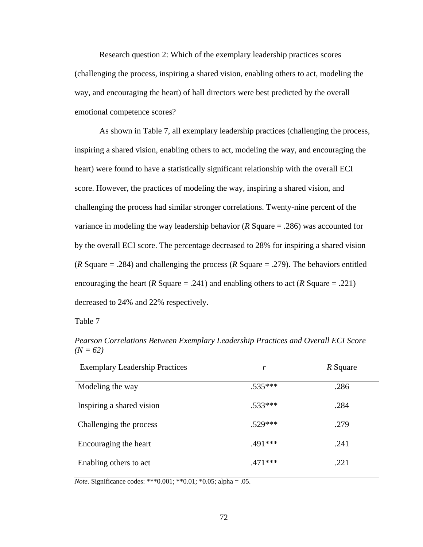Research question 2: Which of the exemplary leadership practices scores (challenging the process, inspiring a shared vision, enabling others to act, modeling the way, and encouraging the heart) of hall directors were best predicted by the overall emotional competence scores?

As shown in Table 7, all exemplary leadership practices (challenging the process, inspiring a shared vision, enabling others to act, modeling the way, and encouraging the heart) were found to have a statistically significant relationship with the overall ECI score. However, the practices of modeling the way, inspiring a shared vision, and challenging the process had similar stronger correlations. Twenty-nine percent of the variance in modeling the way leadership behavior (*R* Square = .286) was accounted for by the overall ECI score. The percentage decreased to 28% for inspiring a shared vision (*R* Square = .284) and challenging the process (*R* Square = .279). The behaviors entitled encouraging the heart (*R* Square = .241) and enabling others to act (*R* Square = .221) decreased to 24% and 22% respectively.

Table 7

| <b>Exemplary Leadership Practices</b> | r         | R Square |
|---------------------------------------|-----------|----------|
| Modeling the way                      | $.535***$ | .286     |
| Inspiring a shared vision             | $.533***$ | .284     |
| Challenging the process               | $.529***$ | .279     |
| Encouraging the heart                 | $.491***$ | .241     |
| Enabling others to act                | $.471***$ | .221     |

*Pearson Correlations Between Exemplary Leadership Practices and Overall ECI Score*   $(N = 62)$ 

*Note*. Significance codes: \*\*\*0.001; \*\*0.01; \*0.05; alpha = .05.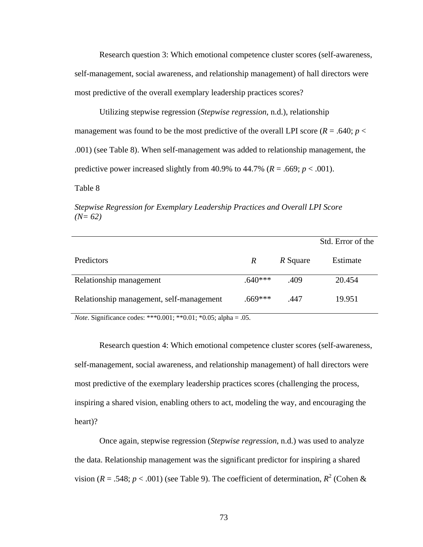Research question 3: Which emotional competence cluster scores (self-awareness, self-management, social awareness, and relationship management) of hall directors were most predictive of the overall exemplary leadership practices scores?

Utilizing stepwise regression (*Stepwise regression*, n.d.), relationship management was found to be the most predictive of the overall LPI score  $(R = .640; p <$ .001) (see Table 8). When self-management was added to relationship management, the predictive power increased slightly from 40.9% to 44.7% ( $R = .669$ ;  $p < .001$ ).

Table 8

*Stepwise Regression for Exemplary Leadership Practices and Overall LPI Score*   $(N=62)$ 

|                                          |                  |          | Std. Error of the |
|------------------------------------------|------------------|----------|-------------------|
| Predictors                               | $\boldsymbol{R}$ | R Square | Estimate          |
| Relationship management                  | $.640***$        | .409     | 20.454            |
| Relationship management, self-management | $.669***$        | .447     | 19.951            |

*Note*. Significance codes: \*\*\*0.001; \*\*0.01; \*0.05; alpha = .05.

Research question 4: Which emotional competence cluster scores (self-awareness, self-management, social awareness, and relationship management) of hall directors were most predictive of the exemplary leadership practices scores (challenging the process, inspiring a shared vision, enabling others to act, modeling the way, and encouraging the heart)?

Once again, stepwise regression (*Stepwise regression*, n.d.) was used to analyze the data. Relationship management was the significant predictor for inspiring a shared vision ( $R = .548$ ;  $p < .001$ ) (see Table 9). The coefficient of determination,  $R^2$  (Cohen &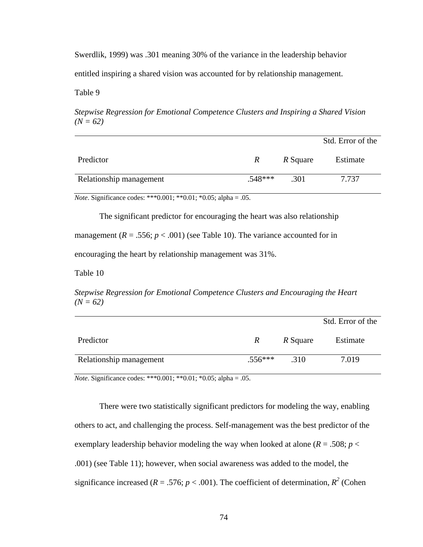Swerdlik, 1999) was .301 meaning 30% of the variance in the leadership behavior entitled inspiring a shared vision was accounted for by relationship management.

Table 9

*Stepwise Regression for Emotional Competence Clusters and Inspiring a Shared Vision*   $(N = 62)$ 

|                         |              |          | Std. Error of the |
|-------------------------|--------------|----------|-------------------|
| Predictor               | $\mathbb{R}$ | R Square | Estimate          |
| Relationship management | $.548***$    | .301     | 7.737             |

*Note*. Significance codes: \*\*\*0.001; \*\*0.01; \*0.05; alpha = .05.

The significant predictor for encouraging the heart was also relationship

management  $(R = .556; p < .001)$  (see Table 10). The variance accounted for in

encouraging the heart by relationship management was 31%.

Table 10

*Stepwise Regression for Emotional Competence Clusters and Encouraging the Heart*   $(N = 62)$ 

|                         |              |          | Std. Error of the |
|-------------------------|--------------|----------|-------------------|
| Predictor               | $\mathbb{R}$ | R Square | Estimate          |
| Relationship management | $.556***$    | .310     | 7.019             |

*Note*. Significance codes: \*\*\*0.001; \*\*0.01; \*0.05; alpha = .05.

There were two statistically significant predictors for modeling the way, enabling others to act, and challenging the process. Self-management was the best predictor of the exemplary leadership behavior modeling the way when looked at alone ( $R = .508$ ;  $p <$ .001) (see Table 11); however, when social awareness was added to the model, the significance increased ( $R = .576$ ;  $p < .001$ ). The coefficient of determination,  $R^2$  (Cohen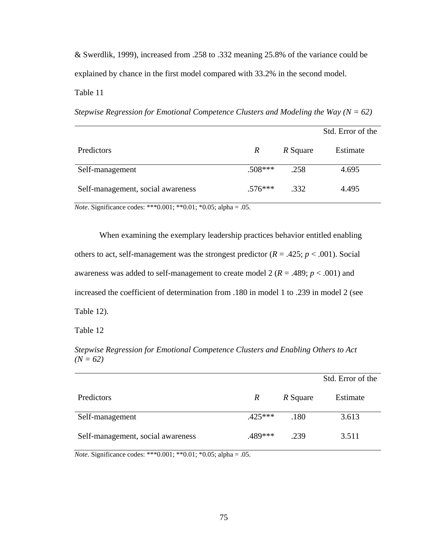& Swerdlik, 1999), increased from .258 to .332 meaning 25.8% of the variance could be explained by chance in the first model compared with 33.2% in the second model. Table 11

*Stepwise Regression for Emotional Competence Clusters and Modeling the Way (N = 62)* 

|                                   |           |          | Std. Error of the |
|-----------------------------------|-----------|----------|-------------------|
| Predictors                        | R         | R Square | Estimate          |
| Self-management                   | $.508***$ | .258     | 4.695             |
| Self-management, social awareness | $.576***$ | .332     | 4.495             |

*Note*. Significance codes: \*\*\*0.001; \*\*0.01; \*0.05; alpha = .05.

When examining the exemplary leadership practices behavior entitled enabling others to act, self-management was the strongest predictor  $(R = .425; p < .001)$ . Social awareness was added to self-management to create model 2 (*R* = .489; *p* < .001) and increased the coefficient of determination from .180 in model 1 to .239 in model 2 (see Table 12).

Table 12

*Stepwise Regression for Emotional Competence Clusters and Enabling Others to Act*   $(N = 62)$ 

|                                   |                  |          | Std. Error of the |
|-----------------------------------|------------------|----------|-------------------|
| Predictors                        | $\boldsymbol{R}$ | R Square | Estimate          |
| Self-management                   | $.425***$        | .180     | 3.613             |
| Self-management, social awareness | $.489***$        | .239     | 3.511             |

*Note*. Significance codes: \*\*\*0.001; \*\*0.01; \*0.05; alpha = .05.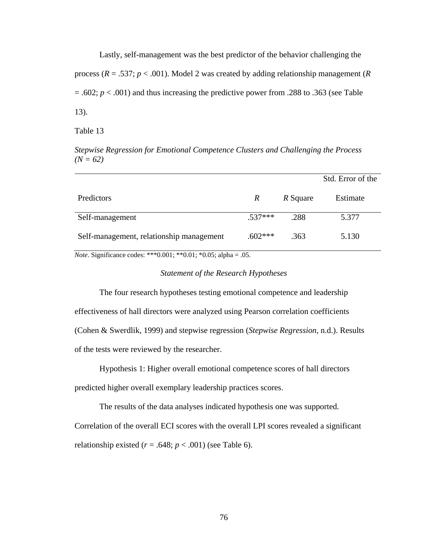Lastly, self-management was the best predictor of the behavior challenging the process (*R* = .537; *p* < .001). Model 2 was created by adding relationship management (*R*  $= .602$ ;  $p < .001$ ) and thus increasing the predictive power from .288 to .363 (see Table 13).

Table 13

*Stepwise Regression for Emotional Competence Clusters and Challenging the Process*   $(N = 62)$ 

|                                          |           |          | Std. Error of the |
|------------------------------------------|-----------|----------|-------------------|
| Predictors                               | R         | R Square | Estimate          |
| Self-management                          | $.537***$ | .288     | 5.377             |
| Self-management, relationship management | $.602***$ | .363     | 5.130             |

*Note*. Significance codes: \*\*\*0.001; \*\*0.01; \*0.05; alpha = .05.

## *Statement of the Research Hypotheses*

 The four research hypotheses testing emotional competence and leadership effectiveness of hall directors were analyzed using Pearson correlation coefficients (Cohen & Swerdlik, 1999) and stepwise regression (*Stepwise Regression*, n.d.). Results of the tests were reviewed by the researcher.

Hypothesis 1: Higher overall emotional competence scores of hall directors predicted higher overall exemplary leadership practices scores.

The results of the data analyses indicated hypothesis one was supported. Correlation of the overall ECI scores with the overall LPI scores revealed a significant relationship existed  $(r = .648; p < .001)$  (see Table 6).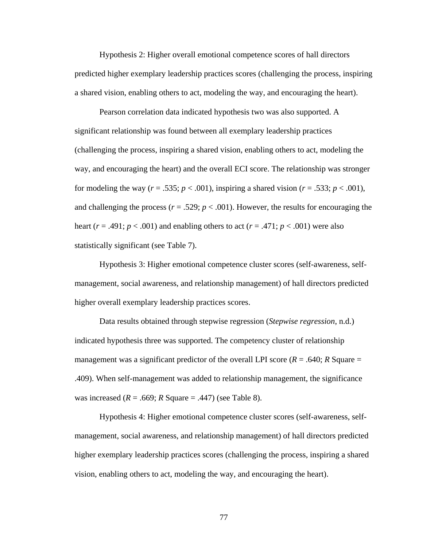Hypothesis 2: Higher overall emotional competence scores of hall directors predicted higher exemplary leadership practices scores (challenging the process, inspiring a shared vision, enabling others to act, modeling the way, and encouraging the heart).

Pearson correlation data indicated hypothesis two was also supported. A significant relationship was found between all exemplary leadership practices (challenging the process, inspiring a shared vision, enabling others to act, modeling the way, and encouraging the heart) and the overall ECI score. The relationship was stronger for modeling the way ( $r = .535$ ;  $p < .001$ ), inspiring a shared vision ( $r = .533$ ;  $p < .001$ ), and challenging the process ( $r = .529$ ;  $p < .001$ ). However, the results for encouraging the heart ( $r = .491$ ;  $p < .001$ ) and enabling others to act ( $r = .471$ ;  $p < .001$ ) were also statistically significant (see Table 7).

Hypothesis 3: Higher emotional competence cluster scores (self-awareness, selfmanagement, social awareness, and relationship management) of hall directors predicted higher overall exemplary leadership practices scores.

Data results obtained through stepwise regression (*Stepwise regression*, n.d.) indicated hypothesis three was supported. The competency cluster of relationship management was a significant predictor of the overall LPI score  $(R = .640; R)$  Square = .409). When self-management was added to relationship management, the significance was increased  $(R = .669; R$  Square  $= .447)$  (see Table 8).

Hypothesis 4: Higher emotional competence cluster scores (self-awareness, selfmanagement, social awareness, and relationship management) of hall directors predicted higher exemplary leadership practices scores (challenging the process, inspiring a shared vision, enabling others to act, modeling the way, and encouraging the heart).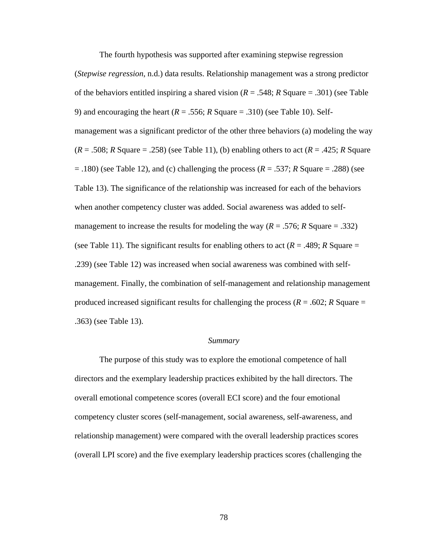The fourth hypothesis was supported after examining stepwise regression

(*Stepwise regression*, n.d.) data results. Relationship management was a strong predictor of the behaviors entitled inspiring a shared vision (*R* = .548; *R* Square = .301) (see Table 9) and encouraging the heart  $(R = .556; R$  Square  $= .310$ ) (see Table 10). Selfmanagement was a significant predictor of the other three behaviors (a) modeling the way  $(R = .508; R$  Square = .258) (see Table 11), (b) enabling others to act  $(R = .425; R$  Square  $(180)$  (see Table 12), and (c) challenging the process ( $R = .537$ ; *R* Square = .288) (see Table 13). The significance of the relationship was increased for each of the behaviors when another competency cluster was added. Social awareness was added to selfmanagement to increase the results for modeling the way  $(R = .576; R$  Square = .332) (see Table 11). The significant results for enabling others to act ( $R = .489$ ;  $R$  Square = .239) (see Table 12) was increased when social awareness was combined with selfmanagement. Finally, the combination of self-management and relationship management produced increased significant results for challenging the process ( $R = .602$ ;  $R$  Square  $=$ .363) (see Table 13).

#### *Summary*

 The purpose of this study was to explore the emotional competence of hall directors and the exemplary leadership practices exhibited by the hall directors. The overall emotional competence scores (overall ECI score) and the four emotional competency cluster scores (self-management, social awareness, self-awareness, and relationship management) were compared with the overall leadership practices scores (overall LPI score) and the five exemplary leadership practices scores (challenging the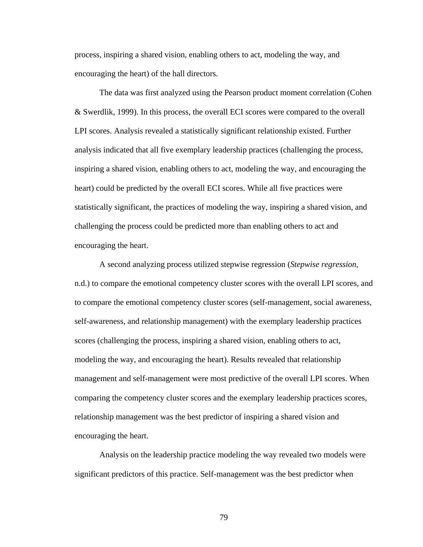process, inspiring a shared vision, enabling others to act, modeling the way, and encouraging the heart) of the hall directors.

 The data was first analyzed using the Pearson product moment correlation (Cohen & Swerdlik, 1999). In this process, the overall ECI scores were compared to the overall LPI scores. Analysis revealed a statistically significant relationship existed. Further analysis indicated that all five exemplary leadership practices (challenging the process, inspiring a shared vision, enabling others to act, modeling the way, and encouraging the heart) could be predicted by the overall ECI scores. While all five practices were statistically significant, the practices of modeling the way, inspiring a shared vision, and challenging the process could be predicted more than enabling others to act and encouraging the heart.

 A second analyzing process utilized stepwise regression (*Stepwise regression*, n.d.) to compare the emotional competency cluster scores with the overall LPI scores, and to compare the emotional competency cluster scores (self-management, social awareness, self-awareness, and relationship management) with the exemplary leadership practices scores (challenging the process, inspiring a shared vision, enabling others to act, modeling the way, and encouraging the heart). Results revealed that relationship management and self-management were most predictive of the overall LPI scores. When comparing the competency cluster scores and the exemplary leadership practices scores, relationship management was the best predictor of inspiring a shared vision and encouraging the heart.

 Analysis on the leadership practice modeling the way revealed two models were significant predictors of this practice. Self-management was the best predictor when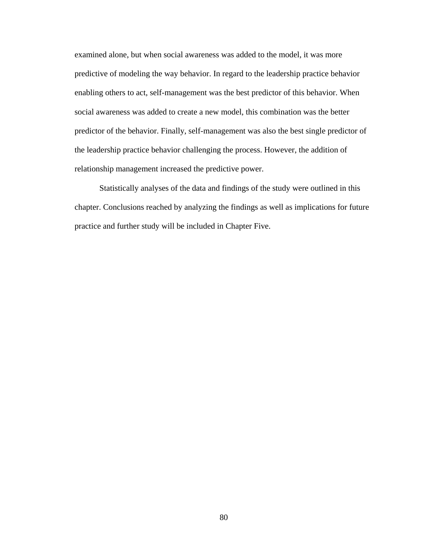examined alone, but when social awareness was added to the model, it was more predictive of modeling the way behavior. In regard to the leadership practice behavior enabling others to act, self-management was the best predictor of this behavior. When social awareness was added to create a new model, this combination was the better predictor of the behavior. Finally, self-management was also the best single predictor of the leadership practice behavior challenging the process. However, the addition of relationship management increased the predictive power.

 Statistically analyses of the data and findings of the study were outlined in this chapter. Conclusions reached by analyzing the findings as well as implications for future practice and further study will be included in Chapter Five.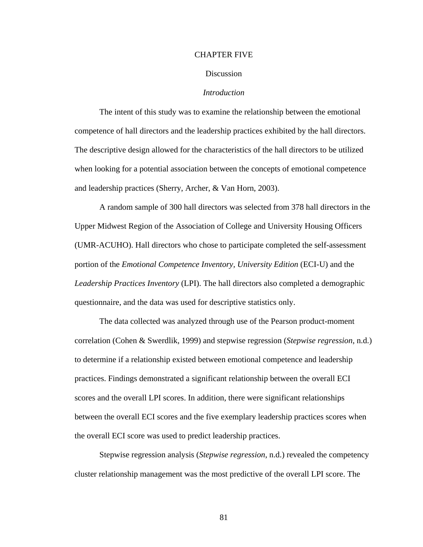#### CHAPTER FIVE

#### Discussion

## *Introduction*

The intent of this study was to examine the relationship between the emotional competence of hall directors and the leadership practices exhibited by the hall directors. The descriptive design allowed for the characteristics of the hall directors to be utilized when looking for a potential association between the concepts of emotional competence and leadership practices (Sherry, Archer, & Van Horn, 2003).

A random sample of 300 hall directors was selected from 378 hall directors in the Upper Midwest Region of the Association of College and University Housing Officers (UMR-ACUHO). Hall directors who chose to participate completed the self-assessment portion of the *Emotional Competence Inventory, University Edition* (ECI-U) and the *Leadership Practices Inventory* (LPI). The hall directors also completed a demographic questionnaire, and the data was used for descriptive statistics only.

The data collected was analyzed through use of the Pearson product-moment correlation (Cohen & Swerdlik, 1999) and stepwise regression (*Stepwise regression*, n.d.) to determine if a relationship existed between emotional competence and leadership practices. Findings demonstrated a significant relationship between the overall ECI scores and the overall LPI scores. In addition, there were significant relationships between the overall ECI scores and the five exemplary leadership practices scores when the overall ECI score was used to predict leadership practices.

Stepwise regression analysis (*Stepwise regression*, n.d.) revealed the competency cluster relationship management was the most predictive of the overall LPI score. The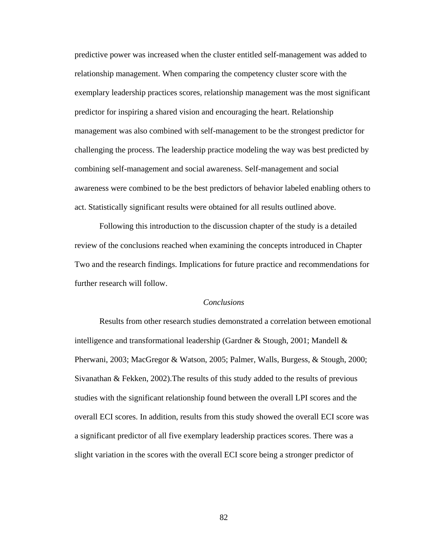predictive power was increased when the cluster entitled self-management was added to relationship management. When comparing the competency cluster score with the exemplary leadership practices scores, relationship management was the most significant predictor for inspiring a shared vision and encouraging the heart. Relationship management was also combined with self-management to be the strongest predictor for challenging the process. The leadership practice modeling the way was best predicted by combining self-management and social awareness. Self-management and social awareness were combined to be the best predictors of behavior labeled enabling others to act. Statistically significant results were obtained for all results outlined above.

Following this introduction to the discussion chapter of the study is a detailed review of the conclusions reached when examining the concepts introduced in Chapter Two and the research findings. Implications for future practice and recommendations for further research will follow.

## *Conclusions*

 Results from other research studies demonstrated a correlation between emotional intelligence and transformational leadership (Gardner & Stough, 2001; Mandell & Pherwani, 2003; MacGregor & Watson, 2005; Palmer, Walls, Burgess, & Stough, 2000; Sivanathan & Fekken, 2002).The results of this study added to the results of previous studies with the significant relationship found between the overall LPI scores and the overall ECI scores. In addition, results from this study showed the overall ECI score was a significant predictor of all five exemplary leadership practices scores. There was a slight variation in the scores with the overall ECI score being a stronger predictor of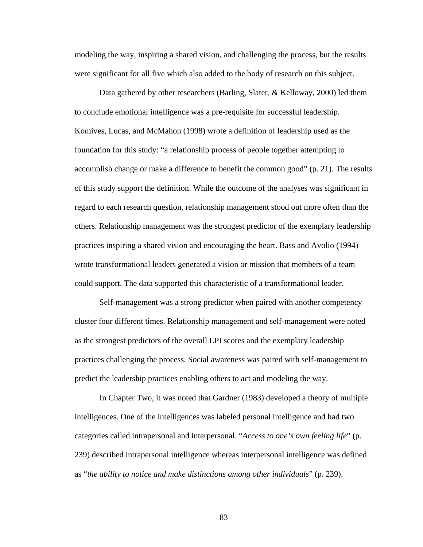modeling the way, inspiring a shared vision, and challenging the process, but the results were significant for all five which also added to the body of research on this subject.

 Data gathered by other researchers (Barling, Slater, & Kelloway, 2000) led them to conclude emotional intelligence was a pre-requisite for successful leadership. Komives, Lucas, and McMahon (1998) wrote a definition of leadership used as the foundation for this study: "a relationship process of people together attempting to accomplish change or make a difference to benefit the common good" (p. 21). The results of this study support the definition. While the outcome of the analyses was significant in regard to each research question, relationship management stood out more often than the others. Relationship management was the strongest predictor of the exemplary leadership practices inspiring a shared vision and encouraging the heart. Bass and Avolio (1994) wrote transformational leaders generated a vision or mission that members of a team could support. The data supported this characteristic of a transformational leader.

 Self-management was a strong predictor when paired with another competency cluster four different times. Relationship management and self-management were noted as the strongest predictors of the overall LPI scores and the exemplary leadership practices challenging the process. Social awareness was paired with self-management to predict the leadership practices enabling others to act and modeling the way.

 In Chapter Two, it was noted that Gardner (1983) developed a theory of multiple intelligences. One of the intelligences was labeled personal intelligence and had two categories called intrapersonal and interpersonal. "*Access to one's own feeling life*" (p. 239) described intrapersonal intelligence whereas interpersonal intelligence was defined as "*the ability to notice and make distinctions among other individuals*" (p. 239).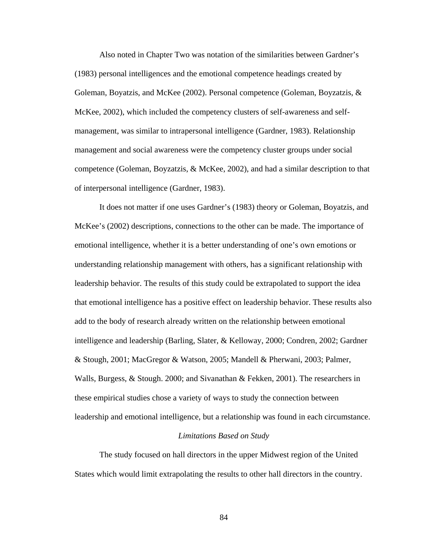Also noted in Chapter Two was notation of the similarities between Gardner's (1983) personal intelligences and the emotional competence headings created by Goleman, Boyatzis, and McKee (2002). Personal competence (Goleman, Boyzatzis, & McKee, 2002), which included the competency clusters of self-awareness and selfmanagement, was similar to intrapersonal intelligence (Gardner, 1983). Relationship management and social awareness were the competency cluster groups under social competence (Goleman, Boyzatzis, & McKee, 2002), and had a similar description to that of interpersonal intelligence (Gardner, 1983).

It does not matter if one uses Gardner's (1983) theory or Goleman, Boyatzis, and McKee's (2002) descriptions, connections to the other can be made. The importance of emotional intelligence, whether it is a better understanding of one's own emotions or understanding relationship management with others, has a significant relationship with leadership behavior. The results of this study could be extrapolated to support the idea that emotional intelligence has a positive effect on leadership behavior. These results also add to the body of research already written on the relationship between emotional intelligence and leadership (Barling, Slater, & Kelloway, 2000; Condren, 2002; Gardner & Stough, 2001; MacGregor & Watson, 2005; Mandell & Pherwani, 2003; Palmer, Walls, Burgess, & Stough. 2000; and Sivanathan & Fekken, 2001). The researchers in these empirical studies chose a variety of ways to study the connection between leadership and emotional intelligence, but a relationship was found in each circumstance.

## *Limitations Based on Study*

The study focused on hall directors in the upper Midwest region of the United States which would limit extrapolating the results to other hall directors in the country.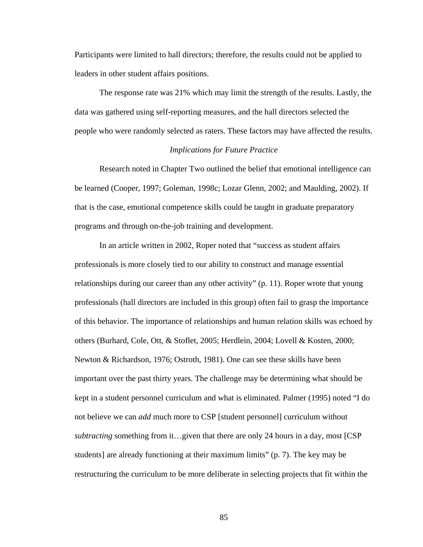Participants were limited to hall directors; therefore, the results could not be applied to leaders in other student affairs positions.

 The response rate was 21% which may limit the strength of the results. Lastly, the data was gathered using self-reporting measures, and the hall directors selected the people who were randomly selected as raters. These factors may have affected the results.

## *Implications for Future Practice*

 Research noted in Chapter Two outlined the belief that emotional intelligence can be learned (Cooper, 1997; Goleman, 1998c; Lozar Glenn, 2002; and Maulding, 2002). If that is the case, emotional competence skills could be taught in graduate preparatory programs and through on-the-job training and development.

 In an article written in 2002, Roper noted that "success as student affairs professionals is more closely tied to our ability to construct and manage essential relationships during our career than any other activity" (p. 11). Roper wrote that young professionals (hall directors are included in this group) often fail to grasp the importance of this behavior. The importance of relationships and human relation skills was echoed by others (Burhard, Cole, Ott, & Stoflet, 2005; Herdlein, 2004; Lovell & Kosten, 2000; Newton & Richardson, 1976; Ostroth, 1981). One can see these skills have been important over the past thirty years. The challenge may be determining what should be kept in a student personnel curriculum and what is eliminated. Palmer (1995) noted "I do not believe we can *add* much more to CSP [student personnel] curriculum without *subtracting* something from it…given that there are only 24 hours in a day, most [CSP students] are already functioning at their maximum limits" (p. 7). The key may be restructuring the curriculum to be more deliberate in selecting projects that fit within the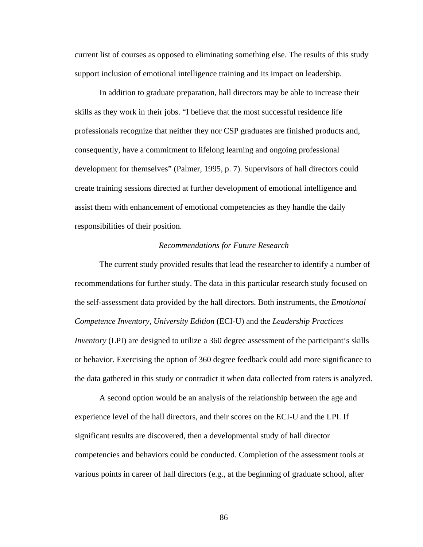current list of courses as opposed to eliminating something else. The results of this study support inclusion of emotional intelligence training and its impact on leadership.

 In addition to graduate preparation, hall directors may be able to increase their skills as they work in their jobs. "I believe that the most successful residence life professionals recognize that neither they nor CSP graduates are finished products and, consequently, have a commitment to lifelong learning and ongoing professional development for themselves" (Palmer, 1995, p. 7). Supervisors of hall directors could create training sessions directed at further development of emotional intelligence and assist them with enhancement of emotional competencies as they handle the daily responsibilities of their position.

#### *Recommendations for Future Research*

 The current study provided results that lead the researcher to identify a number of recommendations for further study. The data in this particular research study focused on the self-assessment data provided by the hall directors. Both instruments, the *Emotional Competence Inventory, University Edition* (ECI-U) and the *Leadership Practices Inventory* (LPI) are designed to utilize a 360 degree assessment of the participant's skills or behavior. Exercising the option of 360 degree feedback could add more significance to the data gathered in this study or contradict it when data collected from raters is analyzed.

 A second option would be an analysis of the relationship between the age and experience level of the hall directors, and their scores on the ECI-U and the LPI. If significant results are discovered, then a developmental study of hall director competencies and behaviors could be conducted. Completion of the assessment tools at various points in career of hall directors (e.g., at the beginning of graduate school, after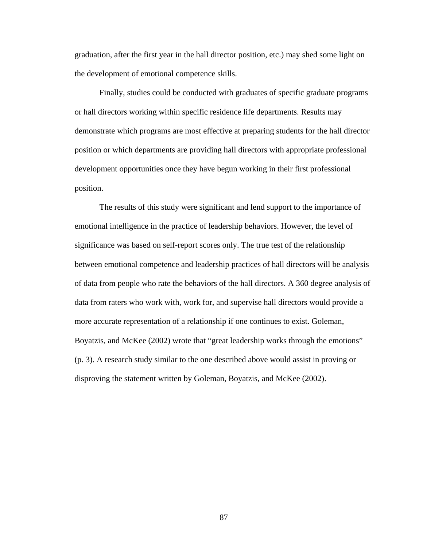graduation, after the first year in the hall director position, etc.) may shed some light on the development of emotional competence skills.

 Finally, studies could be conducted with graduates of specific graduate programs or hall directors working within specific residence life departments. Results may demonstrate which programs are most effective at preparing students for the hall director position or which departments are providing hall directors with appropriate professional development opportunities once they have begun working in their first professional position.

 The results of this study were significant and lend support to the importance of emotional intelligence in the practice of leadership behaviors. However, the level of significance was based on self-report scores only. The true test of the relationship between emotional competence and leadership practices of hall directors will be analysis of data from people who rate the behaviors of the hall directors. A 360 degree analysis of data from raters who work with, work for, and supervise hall directors would provide a more accurate representation of a relationship if one continues to exist. Goleman, Boyatzis, and McKee (2002) wrote that "great leadership works through the emotions" (p. 3). A research study similar to the one described above would assist in proving or disproving the statement written by Goleman, Boyatzis, and McKee (2002).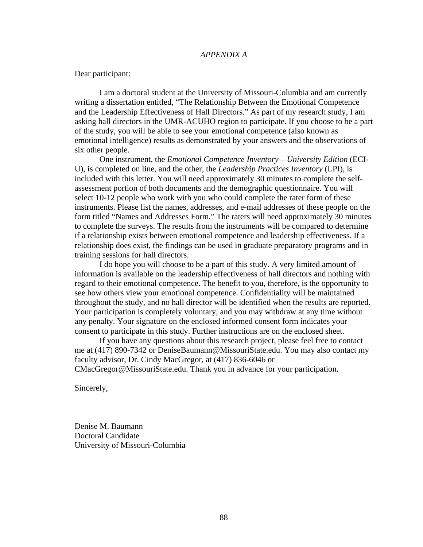#### *APPENDIX A*

Dear participant:

 I am a doctoral student at the University of Missouri-Columbia and am currently writing a dissertation entitled, "The Relationship Between the Emotional Competence and the Leadership Effectiveness of Hall Directors." As part of my research study, I am asking hall directors in the UMR-ACUHO region to participate. If you choose to be a part of the study, you will be able to see your emotional competence (also known as emotional intelligence) results as demonstrated by your answers and the observations of six other people.

 One instrument, the *Emotional Competence Inventory – University Edition* (ECI-U), is completed on line, and the other, the *Leadership Practices Inventory* (LPI), is included with this letter. You will need approximately 30 minutes to complete the selfassessment portion of both documents and the demographic questionnaire. You will select 10-12 people who work with you who could complete the rater form of these instruments. Please list the names, addresses, and e-mail addresses of these people on the form titled "Names and Addresses Form." The raters will need approximately 30 minutes to complete the surveys. The results from the instruments will be compared to determine if a relationship exists between emotional competence and leadership effectiveness. If a relationship does exist, the findings can be used in graduate preparatory programs and in training sessions for hall directors.

 I do hope you will choose to be a part of this study. A very limited amount of information is available on the leadership effectiveness of hall directors and nothing with regard to their emotional competence. The benefit to you, therefore, is the opportunity to see how others view your emotional competence. Confidentiality will be maintained throughout the study, and no hall director will be identified when the results are reported. Your participation is completely voluntary, and you may withdraw at any time without any penalty. Your signature on the enclosed informed consent form indicates your consent to participate in this study. Further instructions are on the enclosed sheet.

 If you have any questions about this research project, please feel free to contact me at (417) 890-7342 or [DeniseBaumann@MissouriState.edu.](mailto:DeniseBaumann@MissouriState.edu) You may also contact my faculty advisor, Dr. Cindy MacGregor, at (417) 836-6046 or

[CMacGregor@MissouriState.edu](mailto:CMacGregor@MissouriState.edu). Thank you in advance for your participation.

Sincerely,

Denise M. Baumann Doctoral Candidate University of Missouri-Columbia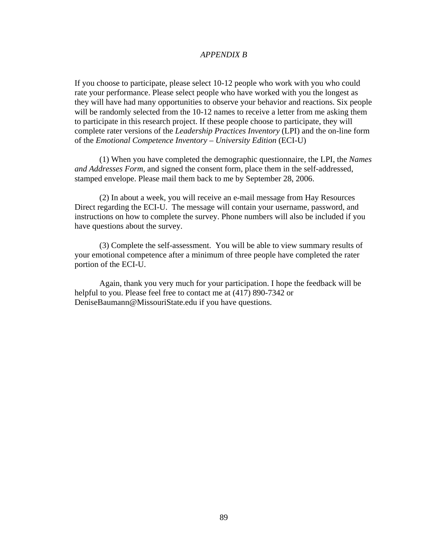## *APPENDIX B*

If you choose to participate, please select 10-12 people who work with you who could rate your performance. Please select people who have worked with you the longest as they will have had many opportunities to observe your behavior and reactions. Six people will be randomly selected from the 10-12 names to receive a letter from me asking them to participate in this research project. If these people choose to participate, they will complete rater versions of the *Leadership Practices Inventory* (LPI) and the on-line form of the *Emotional Competence Inventory – University Edition* (ECI-U)

(1) When you have completed the demographic questionnaire, the LPI, the *Names and Addresses Form*, and signed the consent form, place them in the self-addressed, stamped envelope. Please mail them back to me by September 28, 2006.

 (2) In about a week, you will receive an e-mail message from Hay Resources Direct regarding the ECI-U. The message will contain your username, password, and instructions on how to complete the survey. Phone numbers will also be included if you have questions about the survey.

 (3) Complete the self-assessment. You will be able to view summary results of your emotional competence after a minimum of three people have completed the rater portion of the ECI-U.

 Again, thank you very much for your participation. I hope the feedback will be helpful to you. Please feel free to contact me at (417) 890-7342 or [DeniseBaumann@MissouriState.edu](mailto:DeniseBaumann@MissouriState.edu) if you have questions.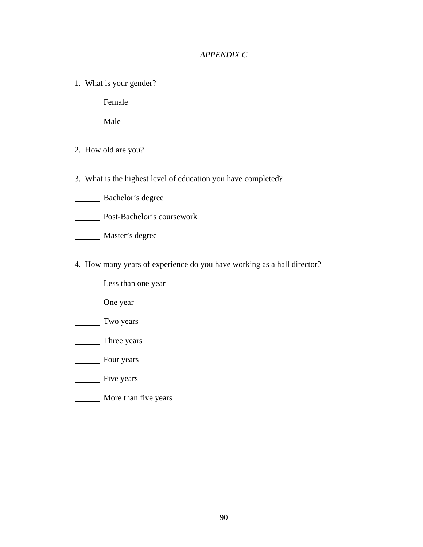## *APPENDIX C*

1. What is your gender?

Female

Male

- 2. How old are you?
- 3. What is the highest level of education you have completed?
- Bachelor's degree
- Post-Bachelor's coursework
- Master's degree
- 4. How many years of experience do you have working as a hall director?
- Less than one year
- One year
- Two years
- Three years
- **Four years**
- Five years
- **More than five years**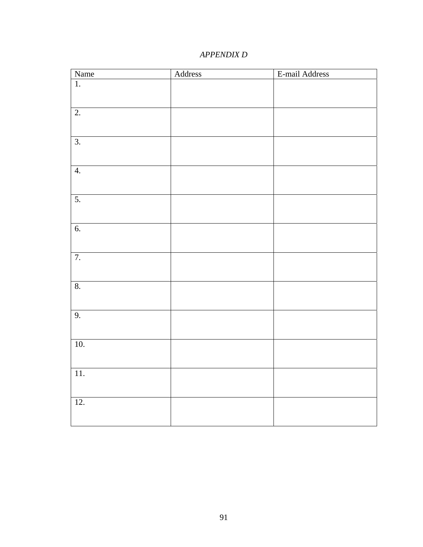## *APPENDIX D*

| Name             | Address | E-mail Address |
|------------------|---------|----------------|
| $\overline{1}$ . |         |                |
|                  |         |                |
|                  |         |                |
| $\overline{2}$ . |         |                |
|                  |         |                |
|                  |         |                |
| $\overline{3}$ . |         |                |
|                  |         |                |
| $\overline{4}$ . |         |                |
|                  |         |                |
|                  |         |                |
| 5.               |         |                |
|                  |         |                |
|                  |         |                |
| 6.               |         |                |
|                  |         |                |
| 7.               |         |                |
|                  |         |                |
|                  |         |                |
| 8.               |         |                |
|                  |         |                |
|                  |         |                |
| 9.               |         |                |
|                  |         |                |
|                  |         |                |
| 10.              |         |                |
|                  |         |                |
| $11.$            |         |                |
|                  |         |                |
|                  |         |                |
| 12.              |         |                |
|                  |         |                |
|                  |         |                |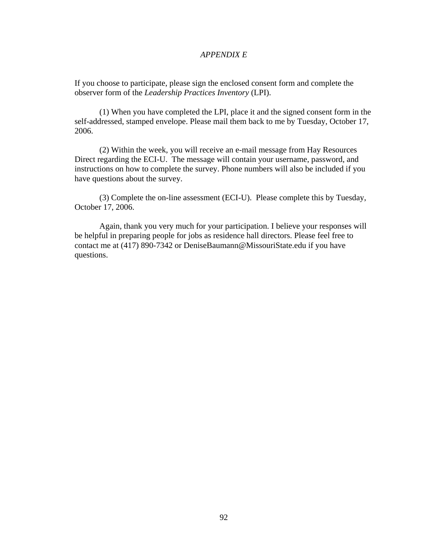## *APPENDIX E*

If you choose to participate, please sign the enclosed consent form and complete the observer form of the *Leadership Practices Inventory* (LPI).

(1) When you have completed the LPI, place it and the signed consent form in the self-addressed, stamped envelope. Please mail them back to me by Tuesday, October 17, 2006.

 (2) Within the week, you will receive an e-mail message from Hay Resources Direct regarding the ECI-U. The message will contain your username, password, and instructions on how to complete the survey. Phone numbers will also be included if you have questions about the survey.

 (3) Complete the on-line assessment (ECI-U). Please complete this by Tuesday, October 17, 2006.

 Again, thank you very much for your participation. I believe your responses will be helpful in preparing people for jobs as residence hall directors. Please feel free to contact me at (417) 890-7342 or [DeniseBaumann@MissouriState.edu](mailto:DeniseBaumann@MissouriState.edu) if you have questions.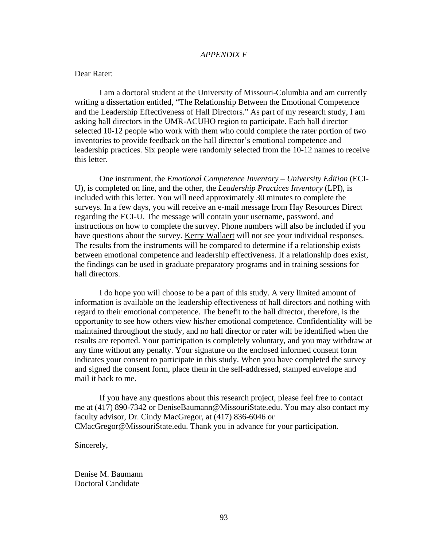### *APPENDIX F*

## Dear Rater:

 I am a doctoral student at the University of Missouri-Columbia and am currently writing a dissertation entitled, "The Relationship Between the Emotional Competence and the Leadership Effectiveness of Hall Directors." As part of my research study, I am asking hall directors in the UMR-ACUHO region to participate. Each hall director selected 10-12 people who work with them who could complete the rater portion of two inventories to provide feedback on the hall director's emotional competence and leadership practices. Six people were randomly selected from the 10-12 names to receive this letter.

One instrument, the *Emotional Competence Inventory – University Edition* (ECI-U), is completed on line, and the other, the *Leadership Practices Inventory* (LPI), is included with this letter. You will need approximately 30 minutes to complete the surveys. In a few days, you will receive an e-mail message from Hay Resources Direct regarding the ECI-U. The message will contain your username, password, and instructions on how to complete the survey. Phone numbers will also be included if you have questions about the survey. Kerry Wallaert will not see your individual responses. The results from the instruments will be compared to determine if a relationship exists between emotional competence and leadership effectiveness. If a relationship does exist, the findings can be used in graduate preparatory programs and in training sessions for hall directors.

 I do hope you will choose to be a part of this study. A very limited amount of information is available on the leadership effectiveness of hall directors and nothing with regard to their emotional competence. The benefit to the hall director, therefore, is the opportunity to see how others view his/her emotional competence. Confidentiality will be maintained throughout the study, and no hall director or rater will be identified when the results are reported. Your participation is completely voluntary, and you may withdraw at any time without any penalty. Your signature on the enclosed informed consent form indicates your consent to participate in this study. When you have completed the survey and signed the consent form, place them in the self-addressed, stamped envelope and mail it back to me.

 If you have any questions about this research project, please feel free to contact me at (417) 890-7342 or [DeniseBaumann@MissouriState.edu.](mailto:DeniseBaumann@MissouriState.edu) You may also contact my faculty advisor, Dr. Cindy MacGregor, at (417) 836-6046 or [CMacGregor@MissouriState.edu](mailto:CMacGregor@MissouriState.edu). Thank you in advance for your participation.

Sincerely,

Denise M. Baumann Doctoral Candidate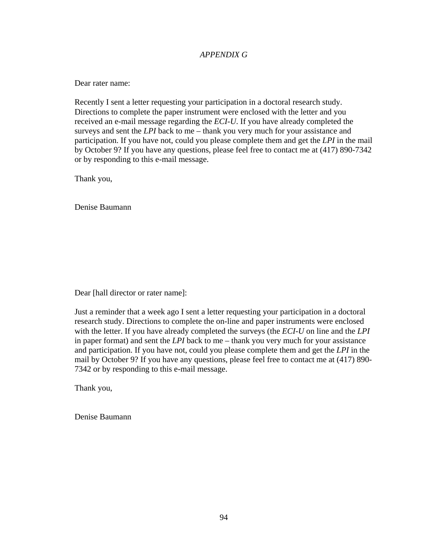## *APPENDIX G*

Dear rater name:

Recently I sent a letter requesting your participation in a doctoral research study. Directions to complete the paper instrument were enclosed with the letter and you received an e-mail message regarding the *ECI-U*. If you have already completed the surveys and sent the *LPI* back to me – thank you very much for your assistance and participation. If you have not, could you please complete them and get the *LPI* in the mail by October 9? If you have any questions, please feel free to contact me at (417) 890-7342 or by responding to this e-mail message.

Thank you,

Denise Baumann

Dear [hall director or rater name]:

Just a reminder that a week ago I sent a letter requesting your participation in a doctoral research study. Directions to complete the on-line and paper instruments were enclosed with the letter. If you have already completed the surveys (the *ECI-U* on line and the *LPI* in paper format) and sent the *LPI* back to me – thank you very much for your assistance and participation. If you have not, could you please complete them and get the *LPI* in the mail by October 9? If you have any questions, please feel free to contact me at (417) 890- 7342 or by responding to this e-mail message.

Thank you,

Denise Baumann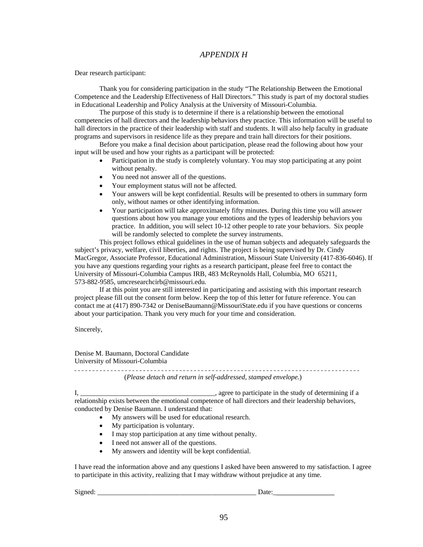## *APPENDIX H*

Dear research participant:

Thank you for considering participation in the study "The Relationship Between the Emotional Competence and the Leadership Effectiveness of Hall Directors." This study is part of my doctoral studies in Educational Leadership and Policy Analysis at the University of Missouri-Columbia.

The purpose of this study is to determine if there is a relationship between the emotional competencies of hall directors and the leadership behaviors they practice. This information will be useful to hall directors in the practice of their leadership with staff and students. It will also help faculty in graduate programs and supervisors in residence life as they prepare and train hall directors for their positions.

Before you make a final decision about participation, please read the following about how your input will be used and how your rights as a participant will be protected:

- Participation in the study is completely voluntary. You may stop participating at any point without penalty.
- You need not answer all of the questions.
- Your employment status will not be affected.
- Your answers will be kept confidential. Results will be presented to others in summary form only, without names or other identifying information.
- Your participation will take approximately fifty minutes. During this time you will answer questions about how you manage your emotions and the types of leadership behaviors you practice. In addition, you will select 10-12 other people to rate your behaviors. Six people will be randomly selected to complete the survey instruments.

This project follows ethical guidelines in the use of human subjects and adequately safeguards the subject's privacy, welfare, civil liberties, and rights. The project is being supervised by Dr. Cindy MacGregor, Associate Professor, Educational Administration, Missouri State University (417-836-6046). If you have any questions regarding your rights as a research participant, please feel free to contact the University of Missouri-Columbia Campus IRB, 483 McReynolds Hall, Columbia, MO 65211, 573-882-9585, umcresearchcirb@missouri.edu.

If at this point you are still interested in participating and assisting with this important research project please fill out the consent form below. Keep the top of this letter for future reference. You can contact me at (417) 890-7342 or DeniseBaumann@MissouriState.edu if you have questions or concerns about your participation. Thank you very much for your time and consideration.

Sincerely,

Denise M. Baumann, Doctoral Candidate University of Missouri-Columbia

(*Please detach and return in self-addressed, stamped envelope.*) I, \_\_\_\_\_\_\_\_\_\_\_\_\_\_\_\_\_\_\_\_\_\_\_\_\_\_\_\_\_\_\_\_\_\_\_\_\_\_\_, agree to participate in the study of determining if a relationship exists between the emotional competence of hall directors and their leadership behaviors, conducted by Denise Baumann. I understand that:

- My answers will be used for educational research.
- My participation is voluntary.
- I may stop participation at any time without penalty.
- I need not answer all of the questions.
- My answers and identity will be kept confidential.

I have read the information above and any questions I asked have been answered to my satisfaction. I agree to participate in this activity, realizing that I may withdraw without prejudice at any time.

Signed: \_\_\_\_\_\_\_\_\_\_\_\_\_\_\_\_\_\_\_\_\_\_\_\_\_\_\_\_\_\_\_\_\_\_\_\_\_\_\_\_\_\_\_\_\_\_ Date:\_\_\_\_\_\_\_\_\_\_\_\_\_\_\_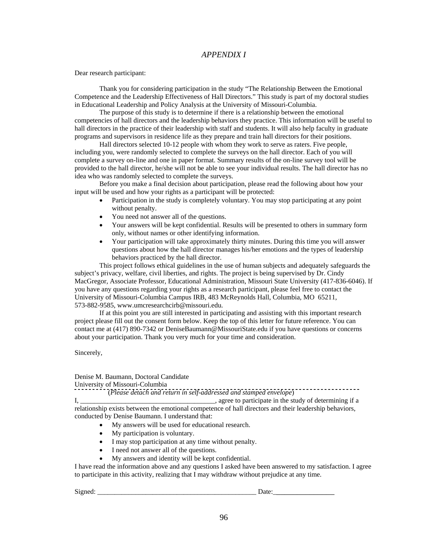## *APPENDIX I*

Dear research participant:

Thank you for considering participation in the study "The Relationship Between the Emotional Competence and the Leadership Effectiveness of Hall Directors." This study is part of my doctoral studies in Educational Leadership and Policy Analysis at the University of Missouri-Columbia.

The purpose of this study is to determine if there is a relationship between the emotional competencies of hall directors and the leadership behaviors they practice. This information will be useful to hall directors in the practice of their leadership with staff and students. It will also help faculty in graduate programs and supervisors in residence life as they prepare and train hall directors for their positions.

Hall directors selected 10-12 people with whom they work to serve as raters. Five people, including you, were randomly selected to complete the surveys on the hall director. Each of you will complete a survey on-line and one in paper format. Summary results of the on-line survey tool will be provided to the hall director, he/she will not be able to see your individual results. The hall director has no idea who was randomly selected to complete the surveys.

Before you make a final decision about participation, please read the following about how your input will be used and how your rights as a participant will be protected:

- Participation in the study is completely voluntary. You may stop participating at any point without penalty.
- You need not answer all of the questions.
- Your answers will be kept confidential. Results will be presented to others in summary form only, without names or other identifying information.
- Your participation will take approximately thirty minutes. During this time you will answer questions about how the hall director manages his/her emotions and the types of leadership behaviors practiced by the hall director.

This project follows ethical guidelines in the use of human subjects and adequately safeguards the subject's privacy, welfare, civil liberties, and rights. The project is being supervised by Dr. Cindy MacGregor, Associate Professor, Educational Administration, Missouri State University (417-836-6046). If you have any questions regarding your rights as a research participant, please feel free to contact the University of Missouri-Columbia Campus IRB, 483 McReynolds Hall, Columbia, MO 65211, 573-882-9585, www.umcresearchcirb@missouri.edu.

If at this point you are still interested in participating and assisting with this important research project please fill out the consent form below. Keep the top of this letter for future reference. You can contact me at (417) 890-7342 or DeniseBaumann@MissouriState.edu if you have questions or concerns about your participation. Thank you very much for your time and consideration.

Sincerely,

# Denise M. Baumann, Doctoral Candidate

University of Missouri-Columbia

 (*Please detach and return in self-addressed and stamped envelope*) I, the study of determining if a study of determining if a study of determining if a relationship exists between the emotional competence of hall directors and their leadership behaviors, conducted by Denise Baumann. I understand that:

- My answers will be used for educational research.
- My participation is voluntary.
- I may stop participation at any time without penalty.
- I need not answer all of the questions.
- My answers and identity will be kept confidential.

I have read the information above and any questions I asked have been answered to my satisfaction. I agree to participate in this activity, realizing that I may withdraw without prejudice at any time.

Signed: \_\_\_\_\_\_\_\_\_\_\_\_\_\_\_\_\_\_\_\_\_\_\_\_\_\_\_\_\_\_\_\_\_\_\_\_\_\_\_\_\_\_\_\_\_\_ Date:\_\_\_\_\_\_\_\_\_\_\_\_\_\_\_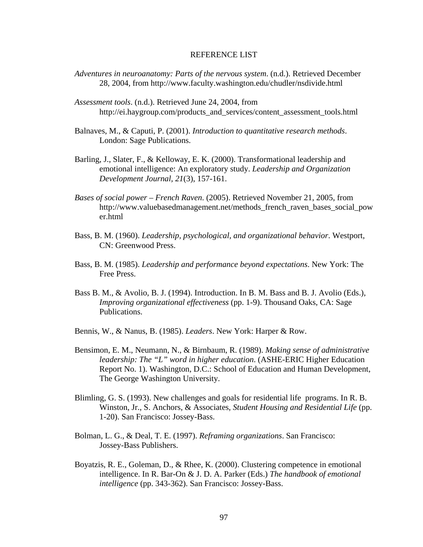## REFERENCE LIST

- *Adventures in neuroanatomy: Parts of the nervous system*. (n.d.). Retrieved December 28, 2004, from http://www.faculty.washington.edu/chudler/nsdivide.html
- *Assessment tools*. (n.d.). Retrieved June 24, 2004, from http://ei.haygroup.com/products\_and\_services/content\_assessment\_tools.html
- Balnaves, M., & Caputi, P. (2001). *Introduction to quantitative research methods*. London: Sage Publications.
- Barling, J., Slater, F., & Kelloway, E. K. (2000). Transformational leadership and emotional intelligence: An exploratory study. *Leadership and Organization Development Journal, 21*(3), 157-161.
- *Bases of social power French Raven*. (2005). Retrieved November 21, 2005, from [http://www.valuebasedmanagement.net/methods\\_french\\_raven\\_bases\\_social\\_pow](http://www.valuebasedmanagement.net/methods_french_raven_bases_social_power.html) [er.html](http://www.valuebasedmanagement.net/methods_french_raven_bases_social_power.html)
- Bass, B. M. (1960). *Leadership, psychological, and organizational behavior*. Westport, CN: Greenwood Press.
- Bass, B. M. (1985). *Leadership and performance beyond expectations*. New York: The Free Press.
- Bass B. M., & Avolio, B. J. (1994). Introduction. In B. M. Bass and B. J. Avolio (Eds.), *Improving organizational effectiveness* (pp. 1-9). Thousand Oaks, CA: Sage Publications.
- Bennis, W., & Nanus, B. (1985). *Leaders*. New York: Harper & Row.
- Bensimon, E. M., Neumann, N., & Birnbaum, R. (1989). *Making sense of administrative leadership: The "L" word in higher education*. (ASHE-ERIC Higher Education Report No. 1). Washington, D.C.: School of Education and Human Development, The George Washington University.
- Blimling, G. S. (1993). New challenges and goals for residential life programs. In R. B. Winston, Jr., S. Anchors, & Associates, *Student Housing and Residential Life* (pp. 1-20). San Francisco: Jossey-Bass.
- Bolman, L. G., & Deal, T. E. (1997). *Reframing organizations*. San Francisco: Jossey-Bass Publishers.
- Boyatzis, R. E., Goleman, D., & Rhee, K. (2000). Clustering competence in emotional intelligence. In R. Bar-On & J. D. A. Parker (Eds.) *The handbook of emotional intelligence* (pp. 343-362). San Francisco: Jossey-Bass.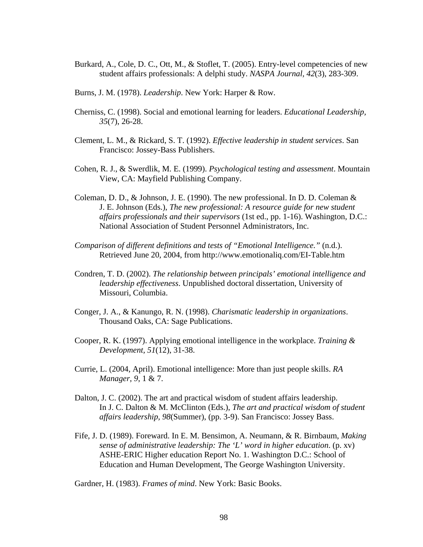- Burkard, A., Cole, D. C., Ott, M., & Stoflet, T. (2005). Entry-level competencies of new student affairs professionals: A delphi study. *NASPA Journal, 42*(3), 283-309.
- Burns, J. M. (1978). *Leadership*. New York: Harper & Row.
- Cherniss, C. (1998). Social and emotional learning for leaders. *Educational Leadership, 35*(7), 26-28.
- Clement, L. M., & Rickard, S. T. (1992). *Effective leadership in student services*. San Francisco: Jossey-Bass Publishers.
- Cohen, R. J., & Swerdlik, M. E. (1999). *Psychological testing and assessment*. Mountain View, CA: Mayfield Publishing Company.
- Coleman, D. D., & Johnson, J. E. (1990). The new professional. In D. D. Coleman & J. E. Johnson (Eds.), *The new professional: A resource guide for new student affairs professionals and their supervisors* (1st ed., pp. 1-16). Washington, D.C.: National Association of Student Personnel Administrators, Inc.
- *Comparison of different definitions and tests of "Emotional Intelligence."* (n.d.). Retrieved June 20, 2004, from http://www.emotionaliq.com/EI-Table.htm
- Condren, T. D. (2002). *The relationship between principals' emotional intelligence and leadership effectiveness*. Unpublished doctoral dissertation, University of Missouri, Columbia.
- Conger, J. A., & Kanungo, R. N. (1998). *Charismatic leadership in organizations*. Thousand Oaks, CA: Sage Publications.
- Cooper, R. K. (1997). Applying emotional intelligence in the workplace. *Training & Development, 51*(12), 31-38.
- Currie, L. (2004, April). Emotional intelligence: More than just people skills. *RA Manager*, *9*, 1 & 7.
- Dalton, J. C. (2002). The art and practical wisdom of student affairs leadership. In J. C. Dalton & M. McClinton (Eds.), *The art and practical wisdom of student affairs leadership, 98*(Summer), (pp. 3-9). San Francisco: Jossey Bass.
- Fife, J. D. (1989). Foreward. In E. M. Bensimon, A. Neumann, & R. Birnbaum, *Making sense of administrative leadership: The 'L' word in higher education*. (p. xv) ASHE-ERIC Higher education Report No. 1. Washington D.C.: School of Education and Human Development, The George Washington University.

Gardner, H. (1983). *Frames of mind*. New York: Basic Books.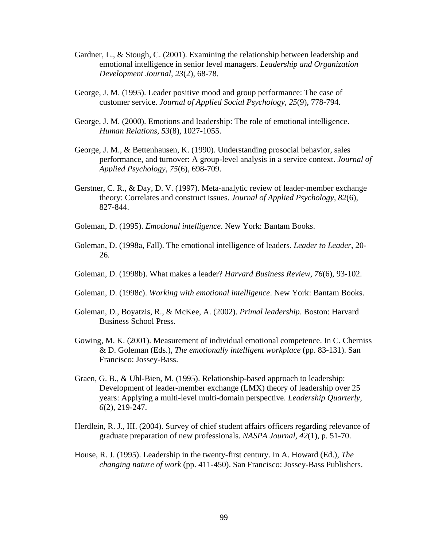- Gardner, L., & Stough, C. (2001). Examining the relationship between leadership and emotional intelligence in senior level managers. *Leadership and Organization Development Journal, 23*(2), 68-78.
- George, J. M. (1995). Leader positive mood and group performance: The case of customer service. *Journal of Applied Social Psychology, 25*(9), 778-794.
- George, J. M. (2000). Emotions and leadership: The role of emotional intelligence. *Human Relations, 53*(8), 1027-1055.
- George, J. M., & Bettenhausen, K. (1990). Understanding prosocial behavior, sales performance, and turnover: A group-level analysis in a service context. *Journal of Applied Psychology, 75*(6), 698-709.
- Gerstner, C. R., & Day, D. V. (1997). Meta-analytic review of leader-member exchange theory: Correlates and construct issues. *Journal of Applied Psychology, 82*(6), 827-844.
- Goleman, D. (1995). *Emotional intelligence*. New York: Bantam Books.
- Goleman, D. (1998a, Fall). The emotional intelligence of leaders. *Leader to Leader*, 20- 26.
- Goleman, D. (1998b). What makes a leader? *Harvard Business Review, 76*(6), 93-102.
- Goleman, D. (1998c). *Working with emotional intelligence*. New York: Bantam Books.
- Goleman, D., Boyatzis, R., & McKee, A. (2002). *Primal leadership*. Boston: Harvard Business School Press.
- Gowing, M. K. (2001). Measurement of individual emotional competence. In C. Cherniss & D. Goleman (Eds.), *The emotionally intelligent workplace* (pp. 83-131). San Francisco: Jossey-Bass.
- Graen, G. B., & Uhl-Bien, M. (1995). Relationship-based approach to leadership: Development of leader-member exchange (LMX) theory of leadership over 25 years: Applying a multi-level multi-domain perspective. *Leadership Quarterly, 6*(2), 219-247.
- Herdlein, R. J., III. (2004). Survey of chief student affairs officers regarding relevance of graduate preparation of new professionals. *NASPA Journal, 42*(1), p. 51-70.
- House, R. J. (1995). Leadership in the twenty-first century. In A. Howard (Ed.), *The changing nature of work* (pp. 411-450). San Francisco: Jossey-Bass Publishers.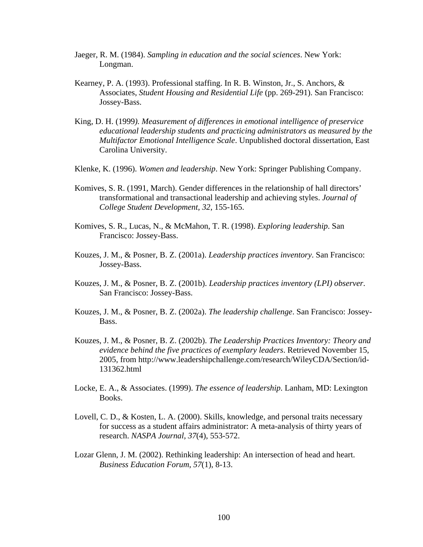- Jaeger, R. M. (1984). *Sampling in education and the social sciences*. New York: Longman.
- Kearney, P. A. (1993). Professional staffing. In R. B. Winston, Jr., S. Anchors, & Associates, *Student Housing and Residential Life* (pp. 269-291). San Francisco: Jossey-Bass.
- King, D. H. (1999*). Measurement of differences in emotional intelligence of preservice educational leadership students and practicing administrators as measured by the Multifactor Emotional Intelligence Scale*. Unpublished doctoral dissertation, East Carolina University.
- Klenke, K. (1996). *Women and leadership*. New York: Springer Publishing Company.
- Komives, S. R. (1991, March). Gender differences in the relationship of hall directors' transformational and transactional leadership and achieving styles. *Journal of College Student Development, 32*, 155-165.
- Komives, S. R., Lucas, N., & McMahon, T. R. (1998). *Exploring leadership*. San Francisco: Jossey-Bass.
- Kouzes, J. M., & Posner, B. Z. (2001a). *Leadership practices inventory*. San Francisco: Jossey-Bass.
- Kouzes, J. M., & Posner, B. Z. (2001b). *Leadership practices inventory (LPI) observer*. San Francisco: Jossey-Bass.
- Kouzes, J. M., & Posner, B. Z. (2002a). *The leadership challenge*. San Francisco: Jossey-Bass.
- Kouzes, J. M., & Posner, B. Z. (2002b). *The Leadership Practices Inventory: Theory and evidence behind the five practices of exemplary leaders*. Retrieved November 15, 2005, from [http://www.leadershipchallenge.com/research/WileyCDA/Section/id-](http://www.leadershipchallenge.com/research/WileyCDA/Section/id-131362.html)[131362.html](http://www.leadershipchallenge.com/research/WileyCDA/Section/id-131362.html)
- Locke, E. A., & Associates. (1999). *The essence of leadership*. Lanham, MD: Lexington Books.
- Lovell, C. D., & Kosten, L. A. (2000). Skills, knowledge, and personal traits necessary for success as a student affairs administrator: A meta-analysis of thirty years of research. *NASPA Journal, 37*(4), 553-572.
- Lozar Glenn, J. M. (2002). Rethinking leadership: An intersection of head and heart. *Business Education Forum*, *57*(1), 8-13.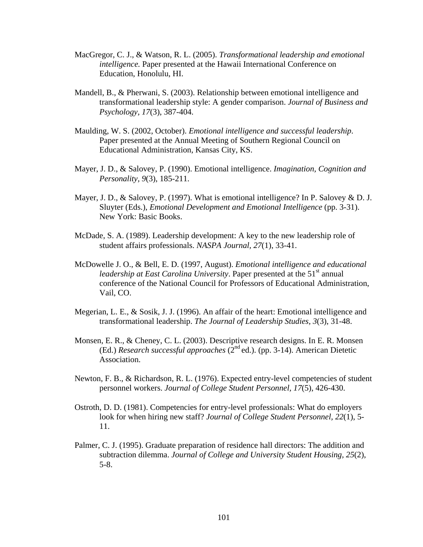- MacGregor, C. J., & Watson, R. L. (2005). *Transformational leadership and emotional intelligence.* Paper presented at the Hawaii International Conference on Education, Honolulu, HI.
- Mandell, B., & Pherwani, S. (2003). Relationship between emotional intelligence and transformational leadership style: A gender comparison. *Journal of Business and Psychology, 17*(3), 387-404.
- Maulding, W. S. (2002, October). *Emotional intelligence and successful leadership*. Paper presented at the Annual Meeting of Southern Regional Council on Educational Administration, Kansas City, KS.
- Mayer, J. D., & Salovey, P. (1990). Emotional intelligence. *Imagination, Cognition and Personality, 9*(3), 185-211.
- Mayer, J. D., & Salovey, P. (1997). What is emotional intelligence? In P. Salovey & D. J. Sluyter (Eds.), *Emotional Development and Emotional Intelligence* (pp. 3-31). New York: Basic Books.
- McDade, S. A. (1989). Leadership development: A key to the new leadership role of student affairs professionals. *NASPA Journal, 27*(1), 33-41.
- McDowelle J. O., & Bell, E. D. (1997, August). *Emotional intelligence and educational leadership at East Carolina University.* Paper presented at the 51<sup>st</sup> annual conference of the National Council for Professors of Educational Administration, Vail, CO.
- Megerian, L. E., & Sosik, J. J. (1996). An affair of the heart: Emotional intelligence and transformational leadership. *The Journal of Leadership Studies, 3*(3), 31-48.
- Monsen, E. R., & Cheney, C. L. (2003). Descriptive research designs. In E. R. Monsen (Ed.) *Research successful approaches* (2nd ed.). (pp. 3-14). American Dietetic Association.
- Newton, F. B., & Richardson, R. L. (1976). Expected entry-level competencies of student personnel workers. *Journal of College Student Personnel, 17*(5), 426-430.
- Ostroth, D. D. (1981). Competencies for entry-level professionals: What do employers look for when hiring new staff? *Journal of College Student Personnel, 22*(1), 5- 11.
- Palmer, C. J. (1995). Graduate preparation of residence hall directors: The addition and subtraction dilemma. *Journal of College and University Student Housing, 25*(2), 5-8.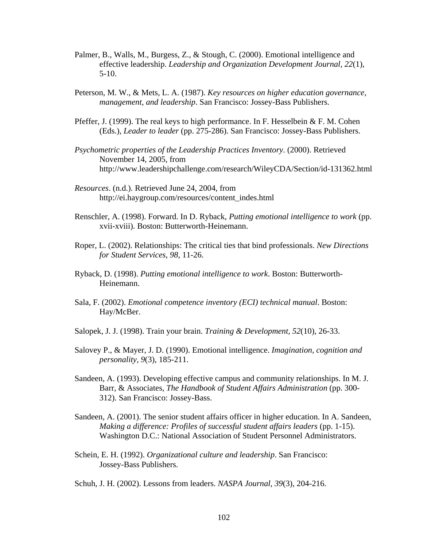- Palmer, B., Walls, M., Burgess, Z., & Stough, C. (2000). Emotional intelligence and effective leadership. *Leadership and Organization Development Journal, 22*(1), 5-10.
- Peterson, M. W., & Mets, L. A. (1987). *Key resources on higher education governance, management, and leadership*. San Francisco: Jossey-Bass Publishers.
- Pfeffer, J. (1999). The real keys to high performance. In F. Hesselbein & F. M. Cohen (Eds.), *Leader to leader* (pp. 275-286). San Francisco: Jossey-Bass Publishers.
- *Psychometric properties of the Leadership Practices Inventory*. (2000). Retrieved November 14, 2005, from [http://www.leadershipchallenge.com/research/WileyCDA/Section/id-1](http://www.leadershipchallenge.com/research/WileyCDA/Section/id-)31362.html
- *Resources*. (n.d.). Retrieved June 24, 2004, from http://ei.haygroup.com/resources/content\_indes.html
- Renschler, A. (1998). Forward. In D. Ryback, *Putting emotional intelligence to work* (pp. xvii-xviii). Boston: Butterworth-Heinemann.
- Roper, L. (2002). Relationships: The critical ties that bind professionals. *New Directions for Student Services, 98*, 11-26.
- Ryback, D. (1998). *Putting emotional intelligence to work*. Boston: Butterworth-Heinemann.
- Sala, F. (2002). *Emotional competence inventory (ECI) technical manual*. Boston: Hay/McBer.
- Salopek, J. J. (1998). Train your brain. *Training & Development, 52*(10), 26-33.
- Salovey P., & Mayer, J. D. (1990). Emotional intelligence. *Imagination, cognition and personality, 9*(3), 185-211.
- Sandeen, A. (1993). Developing effective campus and community relationships. In M. J. Barr, & Associates, *The Handbook of Student Affairs Administration* (pp. 300- 312). San Francisco: Jossey-Bass.
- Sandeen, A. (2001). The senior student affairs officer in higher education. In A. Sandeen, *Making a difference: Profiles of successful student affairs leaders* (pp. 1-15). Washington D.C.: National Association of Student Personnel Administrators.
- Schein, E. H. (1992). *Organizational culture and leadership*. San Francisco: Jossey-Bass Publishers.
- Schuh, J. H. (2002). Lessons from leaders. *NASPA Journal, 39*(3), 204-216.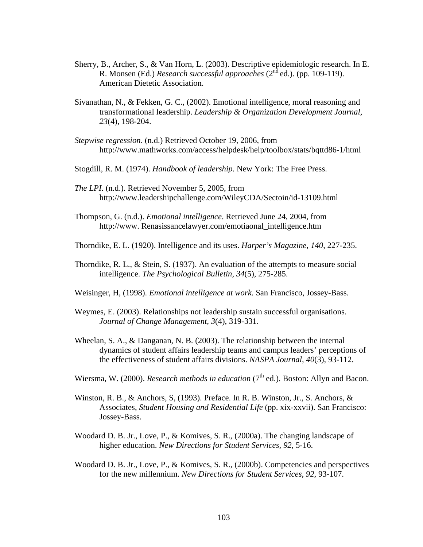- Sherry, B., Archer, S., & Van Horn, L. (2003). Descriptive epidemiologic research. In E. R. Monsen (Ed.) *Research successful approaches* (2nd ed.). (pp. 109-119). American Dietetic Association.
- Sivanathan, N., & Fekken, G. C., (2002). Emotional intelligence, moral reasoning and transformational leadership. *Leadership & Organization Development Journal, 23*(4), 198-204.
- *Stepwise regression*. (n.d.) Retrieved October 19, 2006, from <http://www.mathworks.com/access/helpdesk/help/toolbox/stats/bqttd86-1/html>
- Stogdill, R. M. (1974). *Handbook of leadership*. New York: The Free Press.
- *The LPI*. (n.d.). Retrieved November 5, 2005, from http://www.leadershipchallenge.com/WileyCDA/Sectoin/id-13109.html
- Thompson, G. (n.d.). *Emotional intelligence*. Retrieved June 24, 2004, from http://www. Renasissancelawyer.com/emotiaonal\_intelligence.htm
- Thorndike, E. L. (1920). Intelligence and its uses. *Harper's Magazine, 140*, 227-235.
- Thorndike, R. L., & Stein, S. (1937). An evaluation of the attempts to measure social intelligence. *The Psychological Bulletin, 34*(5), 275-285.
- Weisinger, H, (1998). *Emotional intelligence at work*. San Francisco, Jossey-Bass.
- Weymes, E. (2003). Relationships not leadership sustain successful organisations. *Journal of Change Management, 3*(4), 319-331.
- Wheelan, S. A., & Danganan, N. B. (2003). The relationship between the internal dynamics of student affairs leadership teams and campus leaders' perceptions of the effectiveness of student affairs divisions. *NASPA Journal, 40*(3), 93-112.
- Wiersma, W. (2000). *Research methods in education* (7<sup>th</sup> ed.). Boston: Allyn and Bacon.
- Winston, R. B., & Anchors, S, (1993). Preface. In R. B. Winston, Jr., S. Anchors, & Associates, *Student Housing and Residential Life* (pp. xix-xxvii). San Francisco: Jossey-Bass.
- Woodard D. B. Jr., Love, P., & Komives, S. R., (2000a). The changing landscape of higher education. *New Directions for Student Services, 92*, 5-16.
- Woodard D. B. Jr., Love, P., & Komives, S. R., (2000b). Competencies and perspectives for the new millennium. *New Directions for Student Services, 92*, 93-107.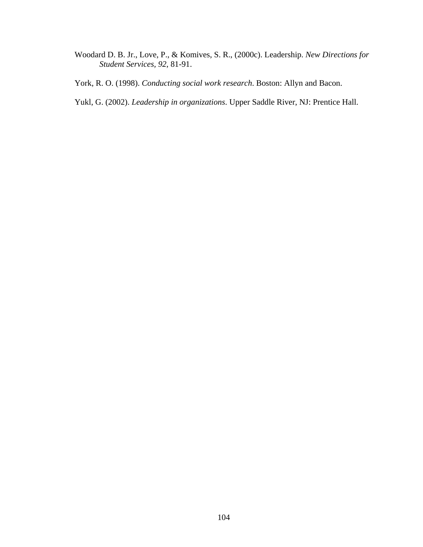- Woodard D. B. Jr., Love, P., & Komives, S. R., (2000c). Leadership. *New Directions for Student Services, 92*, 81-91.
- York, R. O. (1998). *Conducting social work research*. Boston: Allyn and Bacon.
- Yukl, G. (2002). *Leadership in organizations*. Upper Saddle River, NJ: Prentice Hall.